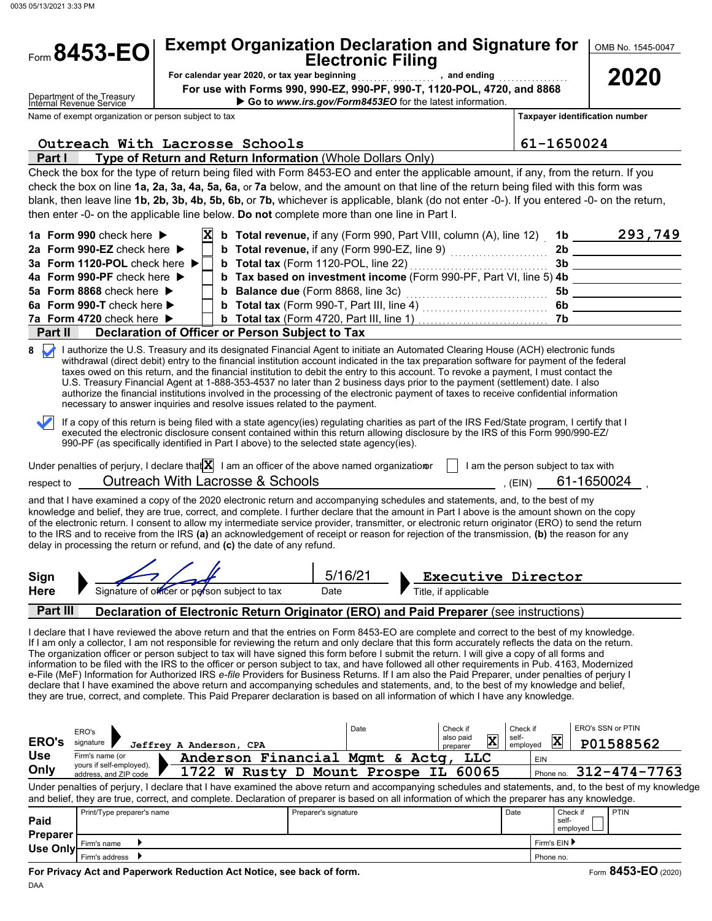| Form 8453-EO                                                                                                                                                                                                                                                                                                                   | <b>Exempt Organization Declaration and Signature for</b>                                                                                                                                                                                                                                                                                                                                                                                                                                                                                                                                                                                                                                                                                                                                                                                                                                                                                                                                                                                                                                                                                                | <b>Electronic Filing</b>                                 |                                                                                                                                                                                                                                                                   |                                                                              | OMB No. 1545-0047                                        |
|--------------------------------------------------------------------------------------------------------------------------------------------------------------------------------------------------------------------------------------------------------------------------------------------------------------------------------|---------------------------------------------------------------------------------------------------------------------------------------------------------------------------------------------------------------------------------------------------------------------------------------------------------------------------------------------------------------------------------------------------------------------------------------------------------------------------------------------------------------------------------------------------------------------------------------------------------------------------------------------------------------------------------------------------------------------------------------------------------------------------------------------------------------------------------------------------------------------------------------------------------------------------------------------------------------------------------------------------------------------------------------------------------------------------------------------------------------------------------------------------------|----------------------------------------------------------|-------------------------------------------------------------------------------------------------------------------------------------------------------------------------------------------------------------------------------------------------------------------|------------------------------------------------------------------------------|----------------------------------------------------------|
| Department of the Treasury<br>Internal Revenue Service                                                                                                                                                                                                                                                                         | For calendar year 2020, or tax year beginning [11] For calendar year 2020, or tax year beginning                                                                                                                                                                                                                                                                                                                                                                                                                                                                                                                                                                                                                                                                                                                                                                                                                                                                                                                                                                                                                                                        | Go to www.irs.gov/Form8453EO for the latest information. | For use with Forms 990, 990-EZ, 990-PF, 990-T, 1120-POL, 4720, and 8868                                                                                                                                                                                           |                                                                              | 2020                                                     |
| Name of exempt organization or person subject to tax                                                                                                                                                                                                                                                                           |                                                                                                                                                                                                                                                                                                                                                                                                                                                                                                                                                                                                                                                                                                                                                                                                                                                                                                                                                                                                                                                                                                                                                         |                                                          |                                                                                                                                                                                                                                                                   | Taxpayer identification number                                               |                                                          |
|                                                                                                                                                                                                                                                                                                                                | Outreach With Lacrosse Schools                                                                                                                                                                                                                                                                                                                                                                                                                                                                                                                                                                                                                                                                                                                                                                                                                                                                                                                                                                                                                                                                                                                          |                                                          |                                                                                                                                                                                                                                                                   | 61-1650024                                                                   |                                                          |
| Part I                                                                                                                                                                                                                                                                                                                         | Type of Return and Return Information (Whole Dollars Only)<br>Check the box for the type of return being filed with Form 8453-EO and enter the applicable amount, if any, from the return. If you<br>check the box on line 1a, 2a, 3a, 4a, 5a, 6a, or 7a below, and the amount on that line of the return being filed with this form was<br>blank, then leave line 1b, 2b, 3b, 4b, 5b, 6b, or 7b, whichever is applicable, blank (do not enter -0-). If you entered -0- on the return,<br>then enter -0- on the applicable line below. Do not complete more than one line in Part I.                                                                                                                                                                                                                                                                                                                                                                                                                                                                                                                                                                    |                                                          |                                                                                                                                                                                                                                                                   |                                                                              |                                                          |
| 1a Form 990 check here $\blacktriangleright$<br>2a Form 990-EZ check here $\blacktriangleright$<br>3a Form 1120-POL check here ▶<br>4a Form 990-PF check here $\blacktriangleright$<br>5a Form 8868 check here $\blacktriangleright$<br>6a Form 990-T check here $\blacktriangleright$<br>7a Form 4720 check here ▶<br>Part II | ΙX<br>Declaration of Officer or Person Subject to Tax                                                                                                                                                                                                                                                                                                                                                                                                                                                                                                                                                                                                                                                                                                                                                                                                                                                                                                                                                                                                                                                                                                   |                                                          | <b>b</b> Total revenue, if any (Form 990, Part VIII, column (A), line 12)<br>b Total revenue, if any (Form 990-EZ, line 9) [11, 12, 13, 13, 13, 14, 15, 16, 17, 18, 18, 18, 18, 18, 18, 18,<br>b Tax based on investment income (Form 990-PF, Part VI, line 5) 4b | 7b.                                                                          | 1b $\frac{293}{749}$<br>3b<br>5b _________________<br>6b |
| $8\sqrt$                                                                                                                                                                                                                                                                                                                       | I authorize the U.S. Treasury and its designated Financial Agent to initiate an Automated Clearing House (ACH) electronic funds<br>withdrawal (direct debit) entry to the financial institution account indicated in the tax preparation software for payment of the federal<br>taxes owed on this return, and the financial institution to debit the entry to this account. To revoke a payment, I must contact the<br>U.S. Treasury Financial Agent at 1-888-353-4537 no later than 2 business days prior to the payment (settlement) date. I also<br>authorize the financial institutions involved in the processing of the electronic payment of taxes to receive confidential information<br>necessary to answer inquiries and resolve issues related to the payment.<br>If a copy of this return is being filed with a state agency(ies) regulating charities as part of the IRS Fed/State program, I certify that I<br>executed the electronic disclosure consent contained within this return allowing disclosure by the IRS of this Form 990/990-EZ/<br>990-PF (as specifically identified in Part I above) to the selected state agency(ies). |                                                          |                                                                                                                                                                                                                                                                   |                                                                              |                                                          |
| respect to                                                                                                                                                                                                                                                                                                                     | Under penalties of perjury, I declare that $\mathbf{X}$ I am an officer of the above named organization $\ \cdot\ $<br>Outreach With Lacrosse & Schools<br>and that I have examined a copy of the 2020 electronic return and accompanying schedules and statements, and, to the best of my<br>knowledge and belief, they are true, correct, and complete. I further declare that the amount in Part I above is the amount shown on the copy<br>of the electronic return. I consent to allow my intermediate service provider, transmitter, or electronic return originator (ERO) to send the return<br>to the IRS and to receive from the IRS (a) an acknowledgement of receipt or reason for rejection of the transmission, (b) the reason for any<br>delay in processing the return or refund, and (c) the date of any refund.                                                                                                                                                                                                                                                                                                                        |                                                          | (EIN)                                                                                                                                                                                                                                                             | I am the person subject to tax with                                          | 61-1650024                                               |
|                                                                                                                                                                                                                                                                                                                                |                                                                                                                                                                                                                                                                                                                                                                                                                                                                                                                                                                                                                                                                                                                                                                                                                                                                                                                                                                                                                                                                                                                                                         | 5/16/21                                                  | Executive Director                                                                                                                                                                                                                                                |                                                                              |                                                          |
| Sign<br><b>Here</b>                                                                                                                                                                                                                                                                                                            | Signature of officer or person subject to tax                                                                                                                                                                                                                                                                                                                                                                                                                                                                                                                                                                                                                                                                                                                                                                                                                                                                                                                                                                                                                                                                                                           | Date                                                     | Title, if applicable                                                                                                                                                                                                                                              |                                                                              |                                                          |
| Part III                                                                                                                                                                                                                                                                                                                       | Declaration of Electronic Return Originator (ERO) and Paid Preparer (see instructions)                                                                                                                                                                                                                                                                                                                                                                                                                                                                                                                                                                                                                                                                                                                                                                                                                                                                                                                                                                                                                                                                  |                                                          |                                                                                                                                                                                                                                                                   |                                                                              |                                                          |
|                                                                                                                                                                                                                                                                                                                                | I declare that I have reviewed the above return and that the entries on Form 8453-EO are complete and correct to the best of my knowledge.<br>If I am only a collector, I am not responsible for reviewing the return and only declare that this form accurately reflects the data on the return.<br>The organization officer or person subject to tax will have signed this form before I submit the return. I will give a copy of all forms and<br>information to be filed with the IRS to the officer or person subject to tax, and have followed all other requirements in Pub. 4163, Modernized<br>e-File (MeF) Information for Authorized IRS e-file Providers for Business Returns. If I am also the Paid Preparer, under penalties of perjury I<br>declare that I have examined the above return and accompanying schedules and statements, and, to the best of my knowledge and belief,<br>they are true, correct, and complete. This Paid Preparer declaration is based on all information of which I have any knowledge.                                                                                                                     |                                                          |                                                                                                                                                                                                                                                                   |                                                                              |                                                          |
| ERO's<br><b>ERO's</b><br>signature<br><b>Use</b><br>Firm's name (or<br>yours if self-employed),<br>Only<br>address, and ZIP code                                                                                                                                                                                               | Jeffrey A Anderson, CPA<br>Anderson Financial Mgmt & Actg,<br>1722<br>Under penalties of perjury, I declare that I have examined the above return and accompanying schedules and statements, and, to the best of my knowledge<br>and belief, they are true, correct, and complete. Declaration of preparer is based on all information of which the preparer has any knowledge.                                                                                                                                                                                                                                                                                                                                                                                                                                                                                                                                                                                                                                                                                                                                                                         | Date<br>W Rusty D Mount Prospe IL                        | Check if<br>also paid<br>$\overline{\mathbf{x}}$<br>preparer<br><b>TTC</b><br>60065                                                                                                                                                                               | Check if<br>self-<br>$\overline{\mathbf{x}}$<br>employed<br>EIN<br>Phone no. | ERO's SSN or PTIN<br>P01588562<br>$312 - 474 - 7763$     |
| Print/Type preparer's name<br>Paid                                                                                                                                                                                                                                                                                             |                                                                                                                                                                                                                                                                                                                                                                                                                                                                                                                                                                                                                                                                                                                                                                                                                                                                                                                                                                                                                                                                                                                                                         | Preparer's signature                                     |                                                                                                                                                                                                                                                                   | Date<br>Check if<br>self-<br>employed I                                      | <b>PTIN</b>                                              |
| <b>Preparer</b><br>Firm's name                                                                                                                                                                                                                                                                                                 |                                                                                                                                                                                                                                                                                                                                                                                                                                                                                                                                                                                                                                                                                                                                                                                                                                                                                                                                                                                                                                                                                                                                                         |                                                          |                                                                                                                                                                                                                                                                   | Firm's EIN ▶                                                                 |                                                          |
| <b>Use Only</b><br>Firm's address                                                                                                                                                                                                                                                                                              |                                                                                                                                                                                                                                                                                                                                                                                                                                                                                                                                                                                                                                                                                                                                                                                                                                                                                                                                                                                                                                                                                                                                                         |                                                          |                                                                                                                                                                                                                                                                   | Phone no.                                                                    |                                                          |

DAA **For Privacy Act and Paperwork Reduction Act Notice, see back of form.**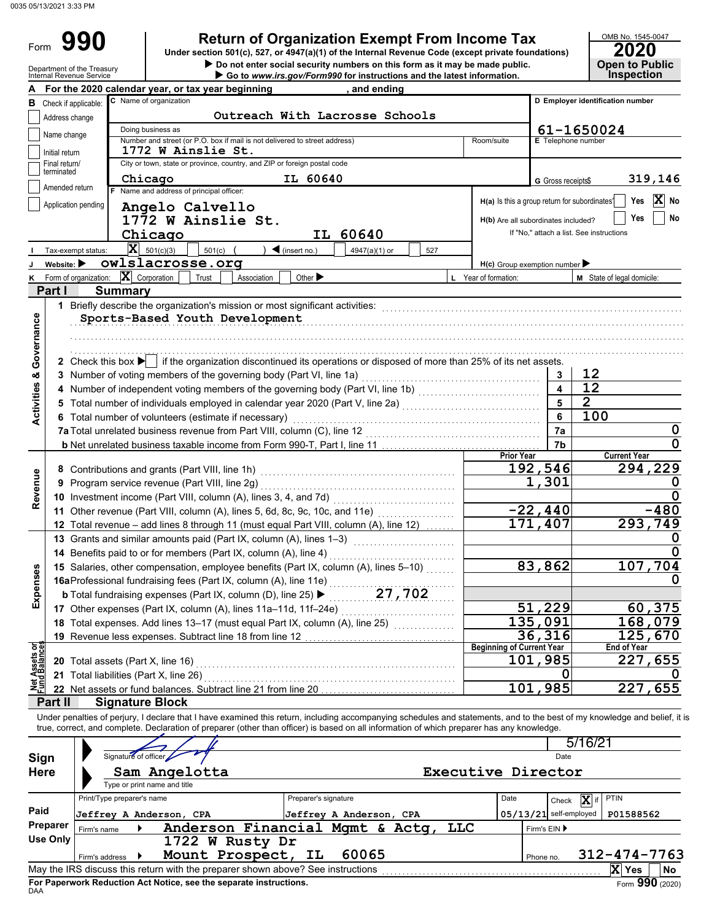Form 990

# **990 2010 2020**<br>
Under section 501(c), 527, or 4947(a)(1) of the Internal Revenue Code (except private foundations) **2020**

OMB No. 1545-0047

|                           | Department of the Treasury<br>Internal Revenue Service | Do not enter social security numbers on this form as it may be made public.<br>Go to www.irs.gov/Form990 for instructions and the latest information.                      |                           | <b>Open to Public</b><br><b>Inspection</b> |
|---------------------------|--------------------------------------------------------|----------------------------------------------------------------------------------------------------------------------------------------------------------------------------|---------------------------|--------------------------------------------|
|                           |                                                        | For the 2020 calendar year, or tax year beginning<br>and ending                                                                                                            |                           |                                            |
| в                         | Check if applicable:                                   | C Name of organization                                                                                                                                                     |                           | D Employer identification number           |
|                           | Address change                                         | Outreach With Lacrosse Schools                                                                                                                                             |                           |                                            |
|                           |                                                        | Doing business as                                                                                                                                                          |                           | 61-1650024                                 |
|                           | Name change                                            | Number and street (or P.O. box if mail is not delivered to street address)<br>Room/suite                                                                                   | <b>E</b> Telephone number |                                            |
|                           | Initial return                                         | 1772 W Ainslie St.                                                                                                                                                         |                           |                                            |
|                           | Final return/<br>terminated                            | City or town, state or province, country, and ZIP or foreign postal code                                                                                                   |                           |                                            |
|                           | Amended return                                         | IL 60640<br>Chicago                                                                                                                                                        | G Gross receipts\$        | 319,146                                    |
|                           |                                                        | F Name and address of principal officer:<br>H(a) Is this a group return for subordinates?                                                                                  |                           | $\overline{\mathbf{X}}$ No<br>Yes          |
|                           | Application pending                                    | Angelo Calvello                                                                                                                                                            |                           |                                            |
|                           |                                                        | 1772 W Ainslie St.<br>H(b) Are all subordinates included?                                                                                                                  |                           | Yes<br>No                                  |
|                           |                                                        | IL 60640<br>Chicago                                                                                                                                                        |                           | If "No," attach a list. See instructions   |
|                           | Tax-exempt status:                                     | $ \mathbf{X} $ 501(c)(3)<br>$\blacktriangleleft$ (insert no.)<br>501(c)<br>4947(a)(1) or<br>527                                                                            |                           |                                            |
|                           | Website: $\blacktriangleright$                         | owlslacrosse.org<br>$H(c)$ Group exemption number                                                                                                                          |                           |                                            |
|                           | K Form of organization:                                | $ \mathbf{X} $ Corporation<br>Trust<br>Association<br>Other $\blacktriangleright$<br>L Year of formation:                                                                  |                           | M State of legal domicile:                 |
|                           | Part I                                                 | <b>Summary</b>                                                                                                                                                             |                           |                                            |
|                           |                                                        | 1 Briefly describe the organization's mission or most significant activities: www.communities.com/www.communities.com                                                      |                           |                                            |
|                           |                                                        | Sports-Based Youth Development                                                                                                                                             |                           |                                            |
|                           |                                                        |                                                                                                                                                                            |                           |                                            |
|                           |                                                        |                                                                                                                                                                            |                           |                                            |
| Governance                |                                                        | 2 Check this box $\blacktriangleright$ if the organization discontinued its operations or disposed of more than 25% of its net assets.                                     |                           |                                            |
|                           |                                                        | 3 Number of voting members of the governing body (Part VI, line 1a)                                                                                                        | 3                         | 12                                         |
|                           |                                                        | 4 Number of independent voting members of the governing body (Part VI, line 1b) [11] [11] Number of independent voting                                                     | $\overline{\mathbf{4}}$   | $\overline{12}$                            |
| <b>Activities &amp;</b>   |                                                        | 5 Total number of individuals employed in calendar year 2020 (Part V, line 2a) [[[[[[[[[[[[[[[[[[[[[[[[[[[[[[[                                                             | $5\overline{5}$           | $\overline{2}$                             |
|                           |                                                        | 6 Total number of volunteers (estimate if necessary)                                                                                                                       | $6\phantom{a}$            | 100                                        |
|                           |                                                        |                                                                                                                                                                            | 7a                        | 0                                          |
|                           |                                                        |                                                                                                                                                                            | 7b                        | 0                                          |
|                           |                                                        | <b>Prior Year</b>                                                                                                                                                          |                           | <b>Current Year</b>                        |
|                           |                                                        |                                                                                                                                                                            | 192,546                   | 294,229                                    |
| Revenue                   |                                                        | 9 Program service revenue (Part VIII, line 2g)                                                                                                                             | 1,301                     |                                            |
|                           |                                                        |                                                                                                                                                                            |                           | 0                                          |
|                           |                                                        | $-22,440$                                                                                                                                                                  |                           | $-480$                                     |
|                           |                                                        | 171,407<br>12 Total revenue - add lines 8 through 11 (must equal Part VIII, column (A), line 12)                                                                           |                           | 293,749                                    |
|                           |                                                        | 13 Grants and similar amounts paid (Part IX, column (A), lines 1-3)                                                                                                        |                           |                                            |
|                           |                                                        | 14 Benefits paid to or for members (Part IX, column (A), line 4)                                                                                                           |                           | 0                                          |
|                           |                                                        | 15 Salaries, other compensation, employee benefits (Part IX, column (A), lines 5-10)                                                                                       | 83,862                    | 107,704                                    |
| မ္တ                       |                                                        | 16aProfessional fundraising fees (Part IX, column (A), line 11e)                                                                                                           |                           |                                            |
| Expen                     |                                                        | 27,702<br><b>b</b> Total fundraising expenses (Part IX, column (D), line 25) $\blacktriangleright$                                                                         |                           |                                            |
|                           |                                                        | 17 Other expenses (Part IX, column (A), lines 11a-11d, 11f-24e)                                                                                                            | 51,229                    | 60,375                                     |
|                           |                                                        | 135,091<br>18 Total expenses. Add lines 13-17 (must equal Part IX, column (A), line 25)                                                                                    |                           | 168,079                                    |
|                           |                                                        | 19 Revenue less expenses. Subtract line 18 from line 12 [11, 12]                                                                                                           | 36,316                    | 125,670                                    |
| : Assets or<br>d Balances |                                                        | <b>Beginning of Current Year</b>                                                                                                                                           |                           | <b>End of Year</b>                         |
|                           |                                                        | 101,985<br>20 Total assets (Part X, line 16)                                                                                                                               |                           | 227,655                                    |
|                           |                                                        | 21 Total liabilities (Part X, line 26)                                                                                                                                     | 0                         |                                            |
|                           |                                                        | 101,985<br>22 Net assets or fund balances. Subtract line 21 from line 20                                                                                                   |                           | 227,655                                    |
|                           | Part II                                                | <b>Signature Block</b>                                                                                                                                                     |                           |                                            |
|                           |                                                        | Under penalties of perjury, I declare that I have examined this return, including accompanying schedules and statements, and to the best of my knowledge and belief, it is |                           |                                            |
|                           |                                                        | true, correct, and complete. Declaration of preparer (other than officer) is based on all information of which preparer has any knowledge.                                 |                           |                                            |
|                           |                                                        |                                                                                                                                                                            |                           | 5/16/21                                    |
| Sign                      |                                                        | Signature of officer                                                                                                                                                       | Date                      |                                            |
| <b>Here</b>               |                                                        | Sam Angelotta<br>Executive Director                                                                                                                                        |                           |                                            |
|                           |                                                        | Type or print name and title                                                                                                                                               |                           |                                            |
|                           |                                                        | Print/Type preparer's name<br>Preparer's signature<br>Date                                                                                                                 | Check                     | <b>PTIN</b><br>X if                        |
| Paid                      |                                                        | $05/13/21$ self-employed<br>Jeffrey A Anderson, CPA<br>Jeffrey A Anderson, CPA                                                                                             |                           | P01588562                                  |
|                           | <b>Preparer</b><br>Firm's name                         | Anderson Financial Mgmt & Actg,<br><b>TTC</b>                                                                                                                              | Firm's EIN ▶              |                                            |
|                           | <b>Use Only</b>                                        | 1722 W Rusty Dr                                                                                                                                                            |                           |                                            |
|                           | Firm's address                                         | Mount Prospect, IL<br>60065                                                                                                                                                | Phone no.                 | $312 - 474 - 7763$                         |
|                           |                                                        |                                                                                                                                                                            |                           | X Yes<br><b>No</b>                         |

| Sign        |                            | Signature of officer                                               |                                                                                 | 5/16/21<br>Date                             |
|-------------|----------------------------|--------------------------------------------------------------------|---------------------------------------------------------------------------------|---------------------------------------------|
| <b>Here</b> |                            | Sam Angelotta<br>Type or print name and title                      |                                                                                 | Executive Director                          |
|             | Print/Type preparer's name |                                                                    | Preparer's signature                                                            | <b>PTIN</b><br>$\mathbf x$<br>Date<br>Check |
| Paid        |                            | Jeffrey A Anderson, CPA                                            | Jeffrey A Anderson, CPA                                                         | $05/13/21$ self-employed<br>P01588562       |
| Preparer    | Firm's name                |                                                                    | Anderson Financial Mqmt & Actq,                                                 | <b>LLC</b><br>Firm's $EIN$                  |
| Use Only    |                            | 1722 W Rusty Dr                                                    |                                                                                 |                                             |
|             | Firm's address             | Mount Prospect, IL                                                 | 60065                                                                           | $312 - 474 - 7763$<br>Phone no.             |
|             |                            |                                                                    | May the IRS discuss this return with the preparer shown above? See instructions | x<br><b>Yes</b><br><b>No</b>                |
|             |                            | For Paperwork Reduction Act Notice, see the separate instructions. |                                                                                 | Form 990 (2020)                             |

DAA **For Paperwork Reduction Act Notice, see the separate instructions.**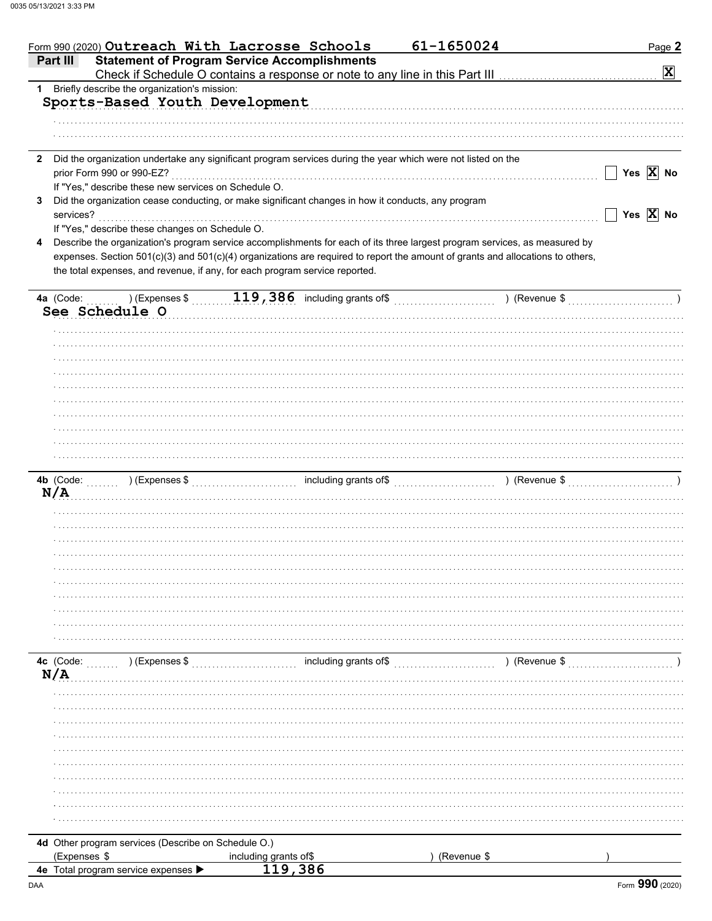| Part III<br>Briefly describe the organization's mission:<br>$\mathbf 1$<br>Sports-Based Youth Development<br>Did the organization undertake any significant program services during the year which were not listed on the<br>$2^{\circ}$<br>$\overline{\phantom{x}}$ Yes $\overline{\textbf{X}}$ No<br>prior Form 990 or 990-EZ?<br>If "Yes," describe these new services on Schedule O.<br>Did the organization cease conducting, or make significant changes in how it conducts, any program<br>3<br>Yes $\overline{\mathbf{X}}$ No<br>services?<br>If "Yes," describe these changes on Schedule O.<br>Describe the organization's program service accomplishments for each of its three largest program services, as measured by<br>4<br>expenses. Section 501(c)(3) and 501(c)(4) organizations are required to report the amount of grants and allocations to others,<br>the total expenses, and revenue, if any, for each program service reported.<br>$(119, 386)$ including grants of $(20, 386)$ including grants of $(30, 38)$ and $(40, 38)$ including grants of $(30, 38)$ including grants of $(30, 38)$ including grants of $(30, 38)$ including grants of $(30, 38)$ includ<br>4a (Code:<br>See Schedule O<br>N/A<br>including grants of\$<br>(Revenue \$) (Revenue \$)<br>$\ldots$ ) (Expenses \$<br>4c (Code:<br>N/A<br>4d Other program services (Describe on Schedule O.)<br>(Expenses \$<br>including grants of \$<br>119, 386<br>(Revenue \$ | Form 990 (2020) Outreach With Lacrosse Schools<br><u>61-1650024</u> | Page 2       |
|-------------------------------------------------------------------------------------------------------------------------------------------------------------------------------------------------------------------------------------------------------------------------------------------------------------------------------------------------------------------------------------------------------------------------------------------------------------------------------------------------------------------------------------------------------------------------------------------------------------------------------------------------------------------------------------------------------------------------------------------------------------------------------------------------------------------------------------------------------------------------------------------------------------------------------------------------------------------------------------------------------------------------------------------------------------------------------------------------------------------------------------------------------------------------------------------------------------------------------------------------------------------------------------------------------------------------------------------------------------------------------------------------------------------------------------------------------------------|---------------------------------------------------------------------|--------------|
|                                                                                                                                                                                                                                                                                                                                                                                                                                                                                                                                                                                                                                                                                                                                                                                                                                                                                                                                                                                                                                                                                                                                                                                                                                                                                                                                                                                                                                                                   | <b>Statement of Program Service Accomplishments</b>                 |              |
|                                                                                                                                                                                                                                                                                                                                                                                                                                                                                                                                                                                                                                                                                                                                                                                                                                                                                                                                                                                                                                                                                                                                                                                                                                                                                                                                                                                                                                                                   |                                                                     | $\mathbf{x}$ |
|                                                                                                                                                                                                                                                                                                                                                                                                                                                                                                                                                                                                                                                                                                                                                                                                                                                                                                                                                                                                                                                                                                                                                                                                                                                                                                                                                                                                                                                                   |                                                                     |              |
|                                                                                                                                                                                                                                                                                                                                                                                                                                                                                                                                                                                                                                                                                                                                                                                                                                                                                                                                                                                                                                                                                                                                                                                                                                                                                                                                                                                                                                                                   |                                                                     |              |
|                                                                                                                                                                                                                                                                                                                                                                                                                                                                                                                                                                                                                                                                                                                                                                                                                                                                                                                                                                                                                                                                                                                                                                                                                                                                                                                                                                                                                                                                   |                                                                     |              |
|                                                                                                                                                                                                                                                                                                                                                                                                                                                                                                                                                                                                                                                                                                                                                                                                                                                                                                                                                                                                                                                                                                                                                                                                                                                                                                                                                                                                                                                                   |                                                                     |              |
|                                                                                                                                                                                                                                                                                                                                                                                                                                                                                                                                                                                                                                                                                                                                                                                                                                                                                                                                                                                                                                                                                                                                                                                                                                                                                                                                                                                                                                                                   |                                                                     |              |
|                                                                                                                                                                                                                                                                                                                                                                                                                                                                                                                                                                                                                                                                                                                                                                                                                                                                                                                                                                                                                                                                                                                                                                                                                                                                                                                                                                                                                                                                   |                                                                     |              |
|                                                                                                                                                                                                                                                                                                                                                                                                                                                                                                                                                                                                                                                                                                                                                                                                                                                                                                                                                                                                                                                                                                                                                                                                                                                                                                                                                                                                                                                                   |                                                                     |              |
|                                                                                                                                                                                                                                                                                                                                                                                                                                                                                                                                                                                                                                                                                                                                                                                                                                                                                                                                                                                                                                                                                                                                                                                                                                                                                                                                                                                                                                                                   |                                                                     |              |
|                                                                                                                                                                                                                                                                                                                                                                                                                                                                                                                                                                                                                                                                                                                                                                                                                                                                                                                                                                                                                                                                                                                                                                                                                                                                                                                                                                                                                                                                   |                                                                     |              |
|                                                                                                                                                                                                                                                                                                                                                                                                                                                                                                                                                                                                                                                                                                                                                                                                                                                                                                                                                                                                                                                                                                                                                                                                                                                                                                                                                                                                                                                                   |                                                                     |              |
|                                                                                                                                                                                                                                                                                                                                                                                                                                                                                                                                                                                                                                                                                                                                                                                                                                                                                                                                                                                                                                                                                                                                                                                                                                                                                                                                                                                                                                                                   |                                                                     |              |
|                                                                                                                                                                                                                                                                                                                                                                                                                                                                                                                                                                                                                                                                                                                                                                                                                                                                                                                                                                                                                                                                                                                                                                                                                                                                                                                                                                                                                                                                   |                                                                     |              |
|                                                                                                                                                                                                                                                                                                                                                                                                                                                                                                                                                                                                                                                                                                                                                                                                                                                                                                                                                                                                                                                                                                                                                                                                                                                                                                                                                                                                                                                                   |                                                                     |              |
|                                                                                                                                                                                                                                                                                                                                                                                                                                                                                                                                                                                                                                                                                                                                                                                                                                                                                                                                                                                                                                                                                                                                                                                                                                                                                                                                                                                                                                                                   |                                                                     |              |
|                                                                                                                                                                                                                                                                                                                                                                                                                                                                                                                                                                                                                                                                                                                                                                                                                                                                                                                                                                                                                                                                                                                                                                                                                                                                                                                                                                                                                                                                   |                                                                     |              |
|                                                                                                                                                                                                                                                                                                                                                                                                                                                                                                                                                                                                                                                                                                                                                                                                                                                                                                                                                                                                                                                                                                                                                                                                                                                                                                                                                                                                                                                                   |                                                                     |              |
|                                                                                                                                                                                                                                                                                                                                                                                                                                                                                                                                                                                                                                                                                                                                                                                                                                                                                                                                                                                                                                                                                                                                                                                                                                                                                                                                                                                                                                                                   |                                                                     |              |
|                                                                                                                                                                                                                                                                                                                                                                                                                                                                                                                                                                                                                                                                                                                                                                                                                                                                                                                                                                                                                                                                                                                                                                                                                                                                                                                                                                                                                                                                   |                                                                     |              |
|                                                                                                                                                                                                                                                                                                                                                                                                                                                                                                                                                                                                                                                                                                                                                                                                                                                                                                                                                                                                                                                                                                                                                                                                                                                                                                                                                                                                                                                                   |                                                                     |              |
|                                                                                                                                                                                                                                                                                                                                                                                                                                                                                                                                                                                                                                                                                                                                                                                                                                                                                                                                                                                                                                                                                                                                                                                                                                                                                                                                                                                                                                                                   |                                                                     |              |
|                                                                                                                                                                                                                                                                                                                                                                                                                                                                                                                                                                                                                                                                                                                                                                                                                                                                                                                                                                                                                                                                                                                                                                                                                                                                                                                                                                                                                                                                   |                                                                     |              |
|                                                                                                                                                                                                                                                                                                                                                                                                                                                                                                                                                                                                                                                                                                                                                                                                                                                                                                                                                                                                                                                                                                                                                                                                                                                                                                                                                                                                                                                                   |                                                                     |              |
|                                                                                                                                                                                                                                                                                                                                                                                                                                                                                                                                                                                                                                                                                                                                                                                                                                                                                                                                                                                                                                                                                                                                                                                                                                                                                                                                                                                                                                                                   |                                                                     |              |
|                                                                                                                                                                                                                                                                                                                                                                                                                                                                                                                                                                                                                                                                                                                                                                                                                                                                                                                                                                                                                                                                                                                                                                                                                                                                                                                                                                                                                                                                   |                                                                     |              |
|                                                                                                                                                                                                                                                                                                                                                                                                                                                                                                                                                                                                                                                                                                                                                                                                                                                                                                                                                                                                                                                                                                                                                                                                                                                                                                                                                                                                                                                                   |                                                                     |              |
|                                                                                                                                                                                                                                                                                                                                                                                                                                                                                                                                                                                                                                                                                                                                                                                                                                                                                                                                                                                                                                                                                                                                                                                                                                                                                                                                                                                                                                                                   |                                                                     |              |
|                                                                                                                                                                                                                                                                                                                                                                                                                                                                                                                                                                                                                                                                                                                                                                                                                                                                                                                                                                                                                                                                                                                                                                                                                                                                                                                                                                                                                                                                   |                                                                     |              |
|                                                                                                                                                                                                                                                                                                                                                                                                                                                                                                                                                                                                                                                                                                                                                                                                                                                                                                                                                                                                                                                                                                                                                                                                                                                                                                                                                                                                                                                                   |                                                                     |              |
|                                                                                                                                                                                                                                                                                                                                                                                                                                                                                                                                                                                                                                                                                                                                                                                                                                                                                                                                                                                                                                                                                                                                                                                                                                                                                                                                                                                                                                                                   |                                                                     |              |
|                                                                                                                                                                                                                                                                                                                                                                                                                                                                                                                                                                                                                                                                                                                                                                                                                                                                                                                                                                                                                                                                                                                                                                                                                                                                                                                                                                                                                                                                   |                                                                     |              |
|                                                                                                                                                                                                                                                                                                                                                                                                                                                                                                                                                                                                                                                                                                                                                                                                                                                                                                                                                                                                                                                                                                                                                                                                                                                                                                                                                                                                                                                                   |                                                                     |              |
|                                                                                                                                                                                                                                                                                                                                                                                                                                                                                                                                                                                                                                                                                                                                                                                                                                                                                                                                                                                                                                                                                                                                                                                                                                                                                                                                                                                                                                                                   |                                                                     |              |
|                                                                                                                                                                                                                                                                                                                                                                                                                                                                                                                                                                                                                                                                                                                                                                                                                                                                                                                                                                                                                                                                                                                                                                                                                                                                                                                                                                                                                                                                   |                                                                     |              |
|                                                                                                                                                                                                                                                                                                                                                                                                                                                                                                                                                                                                                                                                                                                                                                                                                                                                                                                                                                                                                                                                                                                                                                                                                                                                                                                                                                                                                                                                   |                                                                     |              |
|                                                                                                                                                                                                                                                                                                                                                                                                                                                                                                                                                                                                                                                                                                                                                                                                                                                                                                                                                                                                                                                                                                                                                                                                                                                                                                                                                                                                                                                                   |                                                                     |              |
|                                                                                                                                                                                                                                                                                                                                                                                                                                                                                                                                                                                                                                                                                                                                                                                                                                                                                                                                                                                                                                                                                                                                                                                                                                                                                                                                                                                                                                                                   |                                                                     |              |
|                                                                                                                                                                                                                                                                                                                                                                                                                                                                                                                                                                                                                                                                                                                                                                                                                                                                                                                                                                                                                                                                                                                                                                                                                                                                                                                                                                                                                                                                   |                                                                     |              |
|                                                                                                                                                                                                                                                                                                                                                                                                                                                                                                                                                                                                                                                                                                                                                                                                                                                                                                                                                                                                                                                                                                                                                                                                                                                                                                                                                                                                                                                                   |                                                                     |              |
|                                                                                                                                                                                                                                                                                                                                                                                                                                                                                                                                                                                                                                                                                                                                                                                                                                                                                                                                                                                                                                                                                                                                                                                                                                                                                                                                                                                                                                                                   |                                                                     |              |
|                                                                                                                                                                                                                                                                                                                                                                                                                                                                                                                                                                                                                                                                                                                                                                                                                                                                                                                                                                                                                                                                                                                                                                                                                                                                                                                                                                                                                                                                   |                                                                     |              |
|                                                                                                                                                                                                                                                                                                                                                                                                                                                                                                                                                                                                                                                                                                                                                                                                                                                                                                                                                                                                                                                                                                                                                                                                                                                                                                                                                                                                                                                                   |                                                                     |              |
|                                                                                                                                                                                                                                                                                                                                                                                                                                                                                                                                                                                                                                                                                                                                                                                                                                                                                                                                                                                                                                                                                                                                                                                                                                                                                                                                                                                                                                                                   |                                                                     |              |
|                                                                                                                                                                                                                                                                                                                                                                                                                                                                                                                                                                                                                                                                                                                                                                                                                                                                                                                                                                                                                                                                                                                                                                                                                                                                                                                                                                                                                                                                   |                                                                     |              |
|                                                                                                                                                                                                                                                                                                                                                                                                                                                                                                                                                                                                                                                                                                                                                                                                                                                                                                                                                                                                                                                                                                                                                                                                                                                                                                                                                                                                                                                                   |                                                                     |              |
|                                                                                                                                                                                                                                                                                                                                                                                                                                                                                                                                                                                                                                                                                                                                                                                                                                                                                                                                                                                                                                                                                                                                                                                                                                                                                                                                                                                                                                                                   |                                                                     |              |
|                                                                                                                                                                                                                                                                                                                                                                                                                                                                                                                                                                                                                                                                                                                                                                                                                                                                                                                                                                                                                                                                                                                                                                                                                                                                                                                                                                                                                                                                   |                                                                     |              |
|                                                                                                                                                                                                                                                                                                                                                                                                                                                                                                                                                                                                                                                                                                                                                                                                                                                                                                                                                                                                                                                                                                                                                                                                                                                                                                                                                                                                                                                                   |                                                                     |              |
|                                                                                                                                                                                                                                                                                                                                                                                                                                                                                                                                                                                                                                                                                                                                                                                                                                                                                                                                                                                                                                                                                                                                                                                                                                                                                                                                                                                                                                                                   |                                                                     |              |
|                                                                                                                                                                                                                                                                                                                                                                                                                                                                                                                                                                                                                                                                                                                                                                                                                                                                                                                                                                                                                                                                                                                                                                                                                                                                                                                                                                                                                                                                   |                                                                     |              |
|                                                                                                                                                                                                                                                                                                                                                                                                                                                                                                                                                                                                                                                                                                                                                                                                                                                                                                                                                                                                                                                                                                                                                                                                                                                                                                                                                                                                                                                                   |                                                                     |              |
|                                                                                                                                                                                                                                                                                                                                                                                                                                                                                                                                                                                                                                                                                                                                                                                                                                                                                                                                                                                                                                                                                                                                                                                                                                                                                                                                                                                                                                                                   |                                                                     |              |
|                                                                                                                                                                                                                                                                                                                                                                                                                                                                                                                                                                                                                                                                                                                                                                                                                                                                                                                                                                                                                                                                                                                                                                                                                                                                                                                                                                                                                                                                   |                                                                     |              |
|                                                                                                                                                                                                                                                                                                                                                                                                                                                                                                                                                                                                                                                                                                                                                                                                                                                                                                                                                                                                                                                                                                                                                                                                                                                                                                                                                                                                                                                                   |                                                                     |              |
|                                                                                                                                                                                                                                                                                                                                                                                                                                                                                                                                                                                                                                                                                                                                                                                                                                                                                                                                                                                                                                                                                                                                                                                                                                                                                                                                                                                                                                                                   |                                                                     |              |
|                                                                                                                                                                                                                                                                                                                                                                                                                                                                                                                                                                                                                                                                                                                                                                                                                                                                                                                                                                                                                                                                                                                                                                                                                                                                                                                                                                                                                                                                   | 4e Total program service expenses >                                 |              |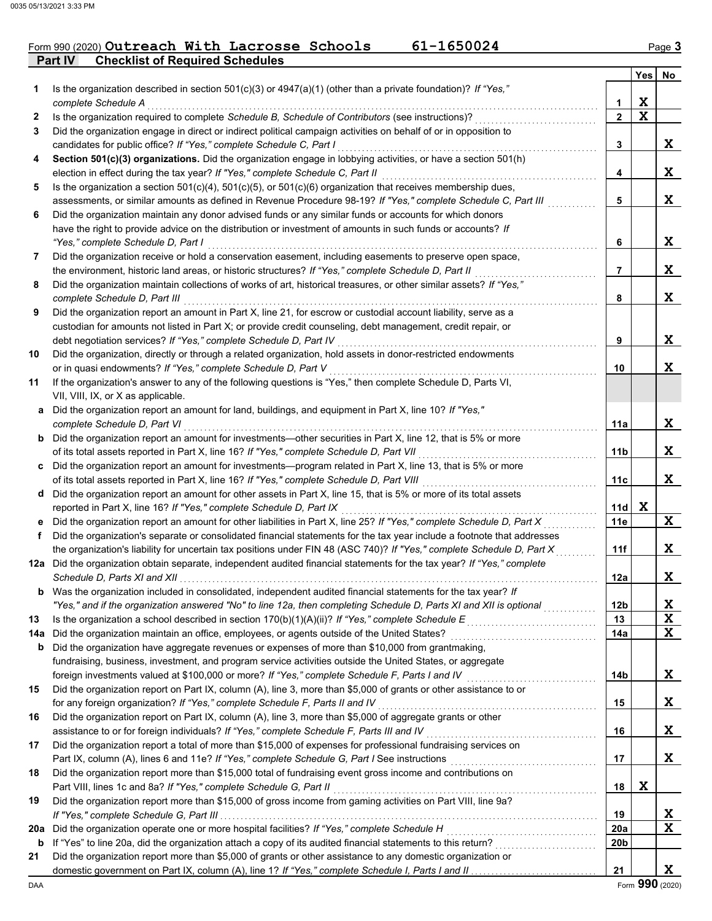#### **Part IV Checklist of Required Schedules** Form 990 (2020) Page **3 Outreach With Lacrosse Schools 61-1650024**

| 61-1650024 |  |  |
|------------|--|--|
|            |  |  |

|     |                                                                                                                                                                               |              | Yes | No          |
|-----|-------------------------------------------------------------------------------------------------------------------------------------------------------------------------------|--------------|-----|-------------|
| 1   | Is the organization described in section $501(c)(3)$ or $4947(a)(1)$ (other than a private foundation)? If "Yes,"                                                             |              |     |             |
|     | complete Schedule A                                                                                                                                                           | 1            | X   |             |
| 2   | Is the organization required to complete Schedule B, Schedule of Contributors (see instructions)?                                                                             | $\mathbf{2}$ | X   |             |
| 3   | Did the organization engage in direct or indirect political campaign activities on behalf of or in opposition to                                                              |              |     |             |
|     | candidates for public office? If "Yes," complete Schedule C, Part I                                                                                                           | 3            |     | X           |
| 4   | Section 501(c)(3) organizations. Did the organization engage in lobbying activities, or have a section 501(h)                                                                 |              |     |             |
|     | election in effect during the tax year? If "Yes," complete Schedule C, Part II                                                                                                | 4            |     | X           |
| 5   | Is the organization a section $501(c)(4)$ , $501(c)(5)$ , or $501(c)(6)$ organization that receives membership dues,                                                          |              |     |             |
|     | assessments, or similar amounts as defined in Revenue Procedure 98-19? If "Yes," complete Schedule C, Part III                                                                | 5            |     | X           |
| 6   | Did the organization maintain any donor advised funds or any similar funds or accounts for which donors                                                                       |              |     |             |
|     | have the right to provide advice on the distribution or investment of amounts in such funds or accounts? If                                                                   |              |     |             |
|     | "Yes," complete Schedule D, Part I                                                                                                                                            | 6            |     | X           |
| 7   | Did the organization receive or hold a conservation easement, including easements to preserve open space,                                                                     |              |     |             |
|     | the environment, historic land areas, or historic structures? If "Yes," complete Schedule D, Part II                                                                          | 7            |     | X           |
| 8   | Did the organization maintain collections of works of art, historical treasures, or other similar assets? If "Yes,"                                                           |              |     |             |
|     | complete Schedule D, Part III                                                                                                                                                 | 8            |     | X           |
| 9   | Did the organization report an amount in Part X, line 21, for escrow or custodial account liability, serve as a                                                               |              |     |             |
|     | custodian for amounts not listed in Part X; or provide credit counseling, debt management, credit repair, or                                                                  |              |     | X           |
| 10  | debt negotiation services? If "Yes," complete Schedule D, Part IV                                                                                                             | 9            |     |             |
|     | Did the organization, directly or through a related organization, hold assets in donor-restricted endowments<br>or in quasi endowments? If "Yes," complete Schedule D, Part V | 10           |     | X           |
| 11  | If the organization's answer to any of the following questions is "Yes," then complete Schedule D, Parts VI,                                                                  |              |     |             |
|     | VII, VIII, IX, or X as applicable.                                                                                                                                            |              |     |             |
|     | a Did the organization report an amount for land, buildings, and equipment in Part X, line 10? If "Yes,"                                                                      |              |     |             |
|     | complete Schedule D, Part VI                                                                                                                                                  | 11a          |     | X           |
|     | <b>b</b> Did the organization report an amount for investments—other securities in Part X, line 12, that is 5% or more                                                        |              |     |             |
|     | of its total assets reported in Part X, line 16? If "Yes," complete Schedule D, Part VII                                                                                      | 11b          |     | X           |
|     | c Did the organization report an amount for investments—program related in Part X, line 13, that is 5% or more                                                                |              |     |             |
|     | of its total assets reported in Part X, line 16? If "Yes," complete Schedule D, Part VIII                                                                                     | 11c          |     | X           |
|     | d Did the organization report an amount for other assets in Part X, line 15, that is 5% or more of its total assets                                                           |              |     |             |
|     | reported in Part X, line 16? If "Yes," complete Schedule D, Part IX                                                                                                           | 11d          | X   |             |
|     | e Did the organization report an amount for other liabilities in Part X, line 25? If "Yes," complete Schedule D, Part X                                                       | 11e          |     | $\mathbf x$ |
| f   | Did the organization's separate or consolidated financial statements for the tax year include a footnote that addresses                                                       |              |     |             |
|     | the organization's liability for uncertain tax positions under FIN 48 (ASC 740)? If "Yes," complete Schedule D, Part X                                                        | 11f          |     | X           |
|     | 12a Did the organization obtain separate, independent audited financial statements for the tax year? If "Yes," complete                                                       |              |     |             |
|     |                                                                                                                                                                               | 12a          |     | X           |
|     | <b>b</b> Was the organization included in consolidated, independent audited financial statements for the tax year? If                                                         |              |     |             |
|     | "Yes," and if the organization answered "No" to line 12a, then completing Schedule D, Parts XI and XII is optional                                                            | 12b          |     | X           |
| 13  | Is the organization a school described in section $170(b)(1)(A)(ii)?$ If "Yes," complete Schedule E                                                                           | 13           |     | $\mathbf x$ |
| 14a | Did the organization maintain an office, employees, or agents outside of the United States?                                                                                   | 14a          |     | $\mathbf x$ |
| b   | Did the organization have aggregate revenues or expenses of more than \$10,000 from grantmaking,                                                                              |              |     |             |
|     | fundraising, business, investment, and program service activities outside the United States, or aggregate                                                                     |              |     |             |
|     | foreign investments valued at \$100,000 or more? If "Yes," complete Schedule F, Parts I and IV                                                                                | 14b          |     | X           |
| 15  | Did the organization report on Part IX, column (A), line 3, more than \$5,000 of grants or other assistance to or                                                             |              |     |             |
|     | for any foreign organization? If "Yes," complete Schedule F, Parts II and IV                                                                                                  | 15           |     | X           |
| 16  | Did the organization report on Part IX, column (A), line 3, more than \$5,000 of aggregate grants or other                                                                    |              |     |             |
|     | assistance to or for foreign individuals? If "Yes," complete Schedule F, Parts III and IV                                                                                     | 16           |     | X           |
| 17  | Did the organization report a total of more than \$15,000 of expenses for professional fundraising services on                                                                |              |     |             |
| 18  | Did the organization report more than \$15,000 total of fundraising event gross income and contributions on                                                                   | 17           |     | X           |
|     | Part VIII, lines 1c and 8a? If "Yes," complete Schedule G, Part II                                                                                                            | 18           | X   |             |
| 19  | Did the organization report more than \$15,000 of gross income from gaming activities on Part VIII, line 9a?                                                                  |              |     |             |
|     |                                                                                                                                                                               | 19           |     | X           |
| 20a |                                                                                                                                                                               | <b>20a</b>   |     | $\mathbf X$ |
| b   |                                                                                                                                                                               | 20b          |     |             |
| 21  | Did the organization report more than \$5,000 of grants or other assistance to any domestic organization or                                                                   |              |     |             |
|     |                                                                                                                                                                               | 21           |     | X           |
|     |                                                                                                                                                                               |              |     |             |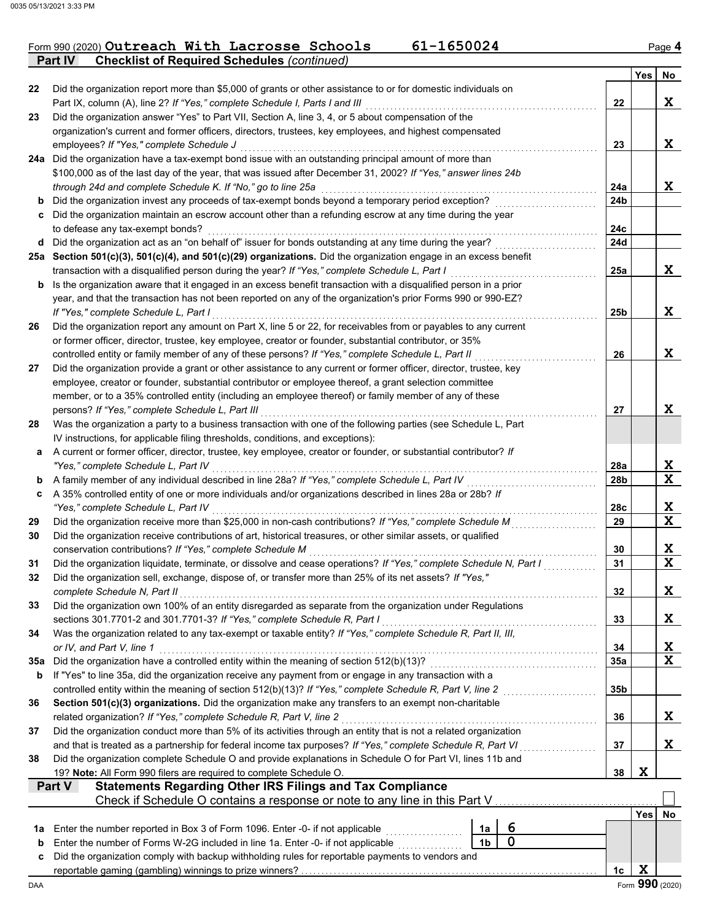|  | Form 990 (2020) Outreach With Lacrosse Schools |  |  |  | 61-1650024 | Page 4 |
|--|------------------------------------------------|--|--|--|------------|--------|
|--|------------------------------------------------|--|--|--|------------|--------|

**Part IV Checklist of Required Schedules** *(continued)*

|     |                                                                                                                                                                                                                          |                 | Yes        | No                      |
|-----|--------------------------------------------------------------------------------------------------------------------------------------------------------------------------------------------------------------------------|-----------------|------------|-------------------------|
| 22  | Did the organization report more than \$5,000 of grants or other assistance to or for domestic individuals on                                                                                                            |                 |            |                         |
|     | Part IX, column (A), line 2? If "Yes," complete Schedule I, Parts I and III                                                                                                                                              | 22              |            | X                       |
| 23  | Did the organization answer "Yes" to Part VII, Section A, line 3, 4, or 5 about compensation of the                                                                                                                      |                 |            |                         |
|     | organization's current and former officers, directors, trustees, key employees, and highest compensated                                                                                                                  |                 |            |                         |
|     | employees? If "Yes," complete Schedule J                                                                                                                                                                                 | 23              |            | X                       |
|     | 24a Did the organization have a tax-exempt bond issue with an outstanding principal amount of more than<br>\$100,000 as of the last day of the year, that was issued after December 31, 2002? If "Yes," answer lines 24b |                 |            |                         |
|     | through 24d and complete Schedule K. If "No," go to line 25a                                                                                                                                                             | 24a             |            | X                       |
| b   | Did the organization invest any proceeds of tax-exempt bonds beyond a temporary period exception?                                                                                                                        | 24b             |            |                         |
| c   | Did the organization maintain an escrow account other than a refunding escrow at any time during the year                                                                                                                |                 |            |                         |
|     | to defease any tax-exempt bonds?                                                                                                                                                                                         | 24c             |            |                         |
|     | d Did the organization act as an "on behalf of" issuer for bonds outstanding at any time during the year?                                                                                                                | 24d             |            |                         |
|     | 25a Section 501(c)(3), 501(c)(4), and 501(c)(29) organizations. Did the organization engage in an excess benefit                                                                                                         |                 |            |                         |
|     | transaction with a disqualified person during the year? If "Yes," complete Schedule L, Part I                                                                                                                            | 25a             |            | X                       |
|     | <b>b</b> Is the organization aware that it engaged in an excess benefit transaction with a disqualified person in a prior                                                                                                |                 |            |                         |
|     | year, and that the transaction has not been reported on any of the organization's prior Forms 990 or 990-EZ?                                                                                                             |                 |            |                         |
|     | If "Yes," complete Schedule L, Part I                                                                                                                                                                                    | 25 <sub>b</sub> |            | X                       |
| 26  | Did the organization report any amount on Part X, line 5 or 22, for receivables from or payables to any current                                                                                                          |                 |            |                         |
|     | or former officer, director, trustee, key employee, creator or founder, substantial contributor, or 35%                                                                                                                  |                 |            | X                       |
| 27  | controlled entity or family member of any of these persons? If "Yes," complete Schedule L, Part II<br>Did the organization provide a grant or other assistance to any current or former officer, director, trustee, key  | 26              |            |                         |
|     | employee, creator or founder, substantial contributor or employee thereof, a grant selection committee                                                                                                                   |                 |            |                         |
|     | member, or to a 35% controlled entity (including an employee thereof) or family member of any of these                                                                                                                   |                 |            |                         |
|     | persons? If "Yes," complete Schedule L, Part III                                                                                                                                                                         | 27              |            | X                       |
| 28  | Was the organization a party to a business transaction with one of the following parties (see Schedule L, Part                                                                                                           |                 |            |                         |
|     | IV instructions, for applicable filing thresholds, conditions, and exceptions):                                                                                                                                          |                 |            |                         |
| a   | A current or former officer, director, trustee, key employee, creator or founder, or substantial contributor? If                                                                                                         |                 |            |                         |
|     | "Yes," complete Schedule L, Part IV                                                                                                                                                                                      | 28a             |            | X                       |
| b   | A family member of any individual described in line 28a? If "Yes," complete Schedule L, Part IV                                                                                                                          | 28 <sub>b</sub> |            | $\mathbf x$             |
| c   | A 35% controlled entity of one or more individuals and/or organizations described in lines 28a or 28b? If                                                                                                                |                 |            |                         |
|     | "Yes," complete Schedule L, Part IV                                                                                                                                                                                      | 28c             |            | X                       |
| 29  | Did the organization receive more than \$25,000 in non-cash contributions? If "Yes," complete Schedule M                                                                                                                 | 29              |            | $\mathbf x$             |
| 30  | Did the organization receive contributions of art, historical treasures, or other similar assets, or qualified<br>conservation contributions? If "Yes," complete Schedule M                                              | 30              |            | X                       |
| 31  | Did the organization liquidate, terminate, or dissolve and cease operations? If "Yes," complete Schedule N, Part I                                                                                                       | 31              |            | $\overline{\mathbf{x}}$ |
| 32  | Did the organization sell, exchange, dispose of, or transfer more than 25% of its net assets? If "Yes,"                                                                                                                  |                 |            |                         |
|     | complete Schedule N, Part II                                                                                                                                                                                             | 32              |            | X                       |
| 33  | Did the organization own 100% of an entity disregarded as separate from the organization under Regulations                                                                                                               |                 |            |                         |
|     | sections 301.7701-2 and 301.7701-3? If "Yes," complete Schedule R, Part I                                                                                                                                                | 33              |            | Χ                       |
| 34  | Was the organization related to any tax-exempt or taxable entity? If "Yes," complete Schedule R, Part II, III,                                                                                                           |                 |            |                         |
|     | or IV, and Part V, line 1                                                                                                                                                                                                | 34              |            | <u>x</u>                |
| 35а | Did the organization have a controlled entity within the meaning of section 512(b)(13)?                                                                                                                                  | 35a             |            | $\mathbf x$             |
| b   | If "Yes" to line 35a, did the organization receive any payment from or engage in any transaction with a                                                                                                                  |                 |            |                         |
|     |                                                                                                                                                                                                                          | 35b             |            |                         |
| 36  | Section 501(c)(3) organizations. Did the organization make any transfers to an exempt non-charitable                                                                                                                     |                 |            |                         |
| 37  | related organization? If "Yes," complete Schedule R, Part V, line 2<br>Did the organization conduct more than 5% of its activities through an entity that is not a related organization                                  | 36              |            | X                       |
|     | and that is treated as a partnership for federal income tax purposes? If "Yes," complete Schedule R, Part VI                                                                                                             | 37              |            | Χ                       |
| 38  | Did the organization complete Schedule O and provide explanations in Schedule O for Part VI, lines 11b and                                                                                                               |                 |            |                         |
|     | 19? Note: All Form 990 filers are required to complete Schedule O.                                                                                                                                                       | 38              | X          |                         |
|     | <b>Statements Regarding Other IRS Filings and Tax Compliance</b><br><b>Part V</b>                                                                                                                                        |                 |            |                         |
|     | Check if Schedule O contains a response or note to any line in this Part V                                                                                                                                               |                 |            |                         |
|     |                                                                                                                                                                                                                          |                 | <b>Yes</b> | No                      |
| 1а  | 6<br>Enter the number reported in Box 3 of Form 1096. Enter -0- if not applicable<br>1a                                                                                                                                  |                 |            |                         |
| b   | 0<br>1 <sub>b</sub><br>Enter the number of Forms W-2G included in line 1a. Enter -0- if not applicable [11, 11, 11, 11, 11, 11, 11, 1                                                                                    |                 |            |                         |
| c   | Did the organization comply with backup withholding rules for reportable payments to vendors and                                                                                                                         |                 |            |                         |
|     |                                                                                                                                                                                                                          | 1c              | X          | Form 990 (2020)         |
| DAA |                                                                                                                                                                                                                          |                 |            |                         |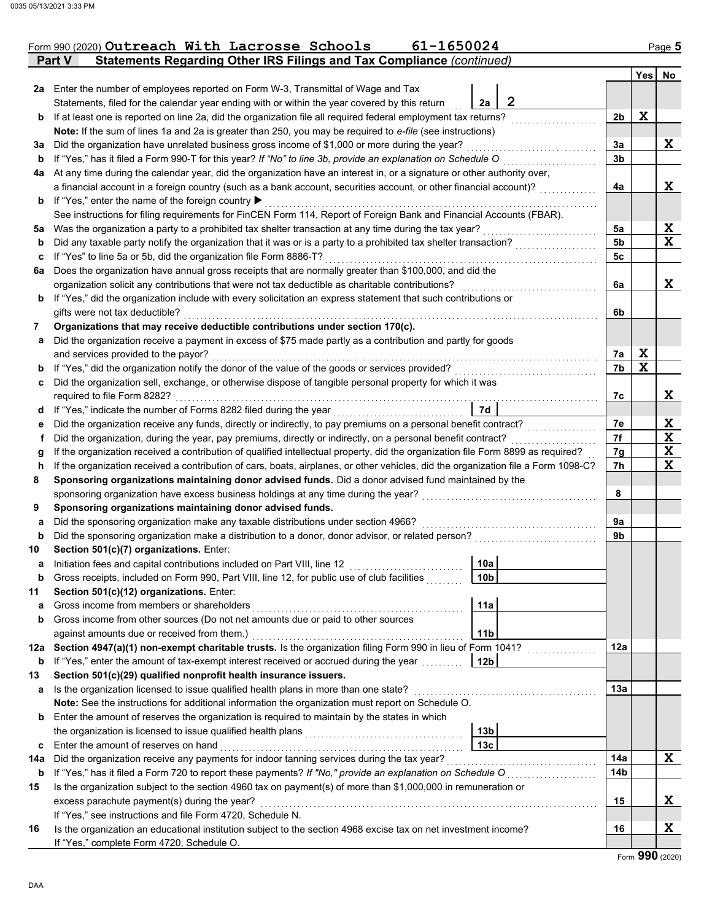|     | 61-1650024<br>Form 990 (2020) Outreach With Lacrosse Schools                                                                       |                    |                |             | Page 5      |
|-----|------------------------------------------------------------------------------------------------------------------------------------|--------------------|----------------|-------------|-------------|
|     | Statements Regarding Other IRS Filings and Tax Compliance (continued)<br>Part V                                                    |                    |                |             |             |
| 2a  | Enter the number of employees reported on Form W-3, Transmittal of Wage and Tax                                                    |                    |                | <b>Yes</b>  | No          |
|     | Statements, filed for the calendar year ending with or within the year covered by this return                                      | $\mathbf{2}$<br>2a |                |             |             |
| b   | If at least one is reported on line 2a, did the organization file all required federal employment tax returns?                     |                    | 2 <sub>b</sub> | X           |             |
|     | Note: If the sum of lines 1a and 2a is greater than 250, you may be required to e-file (see instructions)                          |                    |                |             |             |
| За  | Did the organization have unrelated business gross income of \$1,000 or more during the year?                                      |                    | За             |             | X           |
| b   | If "Yes," has it filed a Form 990-T for this year? If "No" to line 3b, provide an explanation on Schedule O                        |                    | 3b             |             |             |
| 4a  | At any time during the calendar year, did the organization have an interest in, or a signature or other authority over,            |                    |                |             |             |
|     | a financial account in a foreign country (such as a bank account, securities account, or other financial account)?                 |                    | 4a             |             | X           |
| b   | If "Yes," enter the name of the foreign country ▶                                                                                  |                    |                |             |             |
|     | See instructions for filing requirements for FinCEN Form 114, Report of Foreign Bank and Financial Accounts (FBAR).                |                    |                |             |             |
| 5a  | Was the organization a party to a prohibited tax shelter transaction at any time during the tax year?                              |                    | 5a             |             | X           |
| b   | Did any taxable party notify the organization that it was or is a party to a prohibited tax shelter transaction?                   |                    | 5 <sub>b</sub> |             | $\mathbf x$ |
| c   | If "Yes" to line 5a or 5b, did the organization file Form 8886-T?                                                                  |                    | 5c             |             |             |
| 6a  | Does the organization have annual gross receipts that are normally greater than \$100,000, and did the                             |                    |                |             |             |
|     | organization solicit any contributions that were not tax deductible as charitable contributions?                                   |                    | 6a             |             | X           |
| b   | If "Yes," did the organization include with every solicitation an express statement that such contributions or                     |                    |                |             |             |
|     | gifts were not tax deductible?                                                                                                     |                    | 6b             |             |             |
| 7   | Organizations that may receive deductible contributions under section 170(c).                                                      |                    |                |             |             |
| а   | Did the organization receive a payment in excess of \$75 made partly as a contribution and partly for goods                        |                    |                |             |             |
|     | and services provided to the payor?                                                                                                |                    | 7a             | X           |             |
| b   | If "Yes," did the organization notify the donor of the value of the goods or services provided?                                    |                    | 7b             | $\mathbf x$ |             |
| c   | Did the organization sell, exchange, or otherwise dispose of tangible personal property for which it was                           |                    |                |             |             |
|     | required to file Form 8282?                                                                                                        |                    | 7c             |             | X           |
| d   | If "Yes," indicate the number of Forms 8282 filed during the year<br>.                                                             | 7d                 |                |             |             |
| е   | Did the organization receive any funds, directly or indirectly, to pay premiums on a personal benefit contract?                    |                    | 7e             |             | X           |
| f   | Did the organization, during the year, pay premiums, directly or indirectly, on a personal benefit contract?                       |                    | 7f             |             | X           |
| g   | If the organization received a contribution of qualified intellectual property, did the organization file Form 8899 as required?   |                    | 7g             |             | X           |
| h   | If the organization received a contribution of cars, boats, airplanes, or other vehicles, did the organization file a Form 1098-C? |                    | 7h             |             | X           |
| 8   | Sponsoring organizations maintaining donor advised funds. Did a donor advised fund maintained by the                               |                    |                |             |             |
|     | sponsoring organization have excess business holdings at any time during the year?                                                 |                    | 8              |             |             |
| 9   | Sponsoring organizations maintaining donor advised funds.                                                                          |                    |                |             |             |
| a   | Did the sponsoring organization make any taxable distributions under section 4966?                                                 |                    | 9a             |             |             |
| b   | Did the sponsoring organization make a distribution to a donor, donor advisor, or related person?                                  |                    | 9 <sub>b</sub> |             |             |
| 10  | Section 501(c)(7) organizations. Enter:                                                                                            |                    |                |             |             |
|     | Initiation fees and capital contributions included on Part VIII, line 12                                                           | 10a                |                |             |             |
| b   | Gross receipts, included on Form 990, Part VIII, line 12, for public use of club facilities                                        | 10b                |                |             |             |
| 11  | Section 501(c)(12) organizations. Enter:                                                                                           |                    |                |             |             |
| a   | Gross income from members or shareholders                                                                                          | 11a                |                |             |             |
| b   | Gross income from other sources (Do not net amounts due or paid to other sources                                                   |                    |                |             |             |
|     | against amounts due or received from them.)                                                                                        | 11 <sub>b</sub>    |                |             |             |
| 12a | Section 4947(a)(1) non-exempt charitable trusts. Is the organization filing Form 990 in lieu of Form 1041?                         |                    | 12a            |             |             |
| b   | If "Yes," enter the amount of tax-exempt interest received or accrued during the year                                              | 12 <sub>b</sub>    |                |             |             |
| 13  | Section 501(c)(29) qualified nonprofit health insurance issuers.                                                                   |                    |                |             |             |
| а   | Is the organization licensed to issue qualified health plans in more than one state?                                               |                    | 13a            |             |             |
|     | Note: See the instructions for additional information the organization must report on Schedule O.                                  |                    |                |             |             |
| b   | Enter the amount of reserves the organization is required to maintain by the states in which                                       |                    |                |             |             |
|     | the organization is licensed to issue qualified health plans                                                                       | 13b                |                |             |             |
| c   | Enter the amount of reserves on hand                                                                                               | 13 <sub>c</sub>    |                |             |             |
| 14a | Did the organization receive any payments for indoor tanning services during the tax year?                                         |                    | 14a            |             | X           |
| b   | If "Yes," has it filed a Form 720 to report these payments? If "No," provide an explanation on Schedule O                          |                    | 14b            |             |             |
| 15  | Is the organization subject to the section 4960 tax on payment(s) of more than \$1,000,000 in remuneration or                      |                    |                |             |             |
|     | excess parachute payment(s) during the year?                                                                                       |                    | 15             |             | X           |
|     | If "Yes," see instructions and file Form 4720, Schedule N.                                                                         |                    |                |             |             |
| 16  | Is the organization an educational institution subject to the section 4968 excise tax on net investment income?                    |                    | 16             |             | X           |
|     | If "Yes," complete Form 4720, Schedule O.                                                                                          |                    |                |             |             |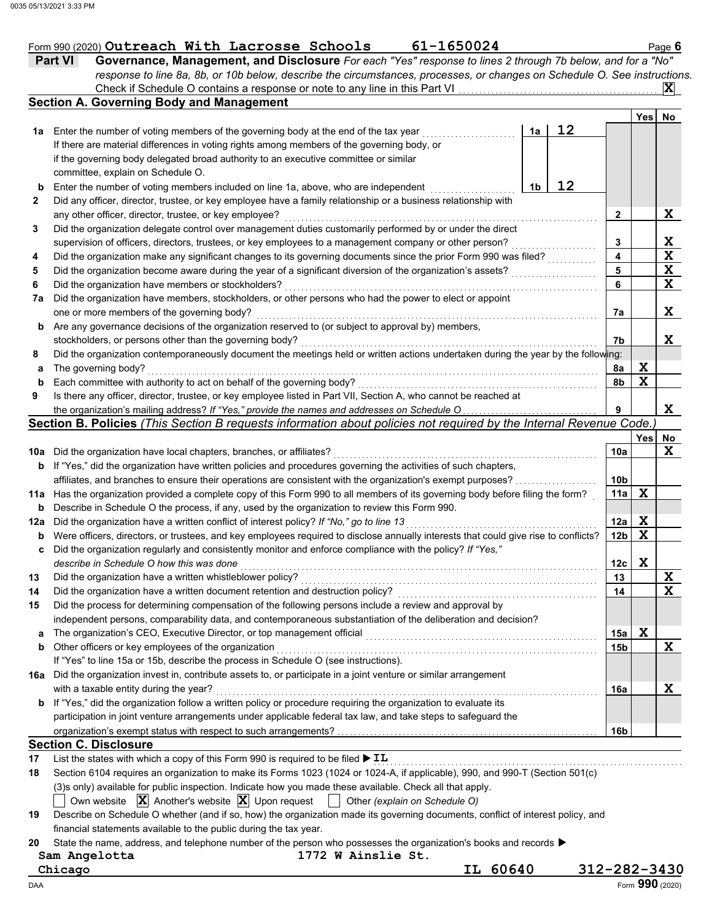|     | Form 990 (2020) Outreach With Lacrosse Schools<br>61-1650024<br>Governance, Management, and Disclosure For each "Yes" response to lines 2 through 7b below, and for a "No"<br>Part VI |                 |             | Page 6                  |
|-----|---------------------------------------------------------------------------------------------------------------------------------------------------------------------------------------|-----------------|-------------|-------------------------|
|     | response to line 8a, 8b, or 10b below, describe the circumstances, processes, or changes on Schedule O. See instructions.                                                             |                 |             |                         |
|     |                                                                                                                                                                                       |                 |             | $\mathbf{x}$            |
|     | <b>Section A. Governing Body and Management</b>                                                                                                                                       |                 |             |                         |
|     |                                                                                                                                                                                       |                 | Yes         | No                      |
| 1a  | 12<br>Enter the number of voting members of the governing body at the end of the tax year<br>1a                                                                                       |                 |             |                         |
|     | If there are material differences in voting rights among members of the governing body, or                                                                                            |                 |             |                         |
|     | if the governing body delegated broad authority to an executive committee or similar                                                                                                  |                 |             |                         |
|     | committee, explain on Schedule O.                                                                                                                                                     |                 |             |                         |
| b   | 12<br>Enter the number of voting members included on line 1a, above, who are independent<br>1 <sub>b</sub>                                                                            |                 |             |                         |
|     | Did any officer, director, trustee, or key employee have a family relationship or a business relationship with                                                                        |                 |             |                         |
|     | any other officer, director, trustee, or key employee?                                                                                                                                | 2               |             | X                       |
|     | Did the organization delegate control over management duties customarily performed by or under the direct                                                                             |                 |             |                         |
|     | supervision of officers, directors, trustees, or key employees to a management company or other person?                                                                               | 3               |             | X                       |
|     | Did the organization make any significant changes to its governing documents since the prior Form 990 was filed?                                                                      | 4               |             | $\overline{\mathbf{x}}$ |
|     | Did the organization become aware during the year of a significant diversion of the organization's assets?                                                                            | 5               |             | $\overline{\mathbf{x}}$ |
|     | Did the organization have members or stockholders?                                                                                                                                    | 6               |             | $\mathbf x$             |
| 7a  | Did the organization have members, stockholders, or other persons who had the power to elect or appoint                                                                               |                 |             |                         |
|     | one or more members of the governing body?                                                                                                                                            | 7a              |             | X                       |
| b   | Are any governance decisions of the organization reserved to (or subject to approval by) members,                                                                                     |                 |             |                         |
|     | stockholders, or persons other than the governing body?                                                                                                                               | 7b              |             | X                       |
|     | Did the organization contemporaneously document the meetings held or written actions undertaken during the year by the following:                                                     |                 |             |                         |
| а   | The governing body?                                                                                                                                                                   | 8а              | X           |                         |
| b   | Each committee with authority to act on behalf of the governing body?                                                                                                                 | 8b              | $\mathbf x$ |                         |
|     | Is there any officer, director, trustee, or key employee listed in Part VII, Section A, who cannot be reached at                                                                      |                 |             |                         |
|     |                                                                                                                                                                                       | 9               |             | X                       |
|     | Section B. Policies (This Section B requests information about policies not required by the Internal Revenue Code.                                                                    |                 |             |                         |
|     |                                                                                                                                                                                       |                 | Yes         | No                      |
| 10a | Did the organization have local chapters, branches, or affiliates?                                                                                                                    | 10a             |             | X                       |
| b   | If "Yes," did the organization have written policies and procedures governing the activities of such chapters,                                                                        |                 |             |                         |
|     | affiliates, and branches to ensure their operations are consistent with the organization's exempt purposes?                                                                           | 10 <sub>b</sub> |             |                         |
| 11a | Has the organization provided a complete copy of this Form 990 to all members of its governing body before filing the form?                                                           | 11a             | X           |                         |
| b   | Describe in Schedule O the process, if any, used by the organization to review this Form 990.                                                                                         |                 |             |                         |
| 12a | Did the organization have a written conflict of interest policy? If "No," go to line 13                                                                                               | 12a             | X           |                         |
| b   | Were officers, directors, or trustees, and key employees required to disclose annually interests that could give rise to conflicts?                                                   | 12 <sub>b</sub> | $\mathbf x$ |                         |
|     | Did the organization regularly and consistently monitor and enforce compliance with the policy? If "Yes,"                                                                             |                 |             |                         |
|     | describe in Schedule O how this was done                                                                                                                                              | 12c             | X           |                         |
| 13  | Did the organization have a written whistleblower policy?                                                                                                                             | 13              |             | Χ                       |
| 14  | Did the organization have a written document retention and destruction policy?                                                                                                        | 14              |             | X                       |
| 15  | Did the process for determining compensation of the following persons include a review and approval by                                                                                |                 |             |                         |
|     | independent persons, comparability data, and contemporaneous substantiation of the deliberation and decision?                                                                         |                 |             |                         |
| а   |                                                                                                                                                                                       | 15a             | X           |                         |
| b   | Other officers or key employees of the organization                                                                                                                                   | 15 <sub>b</sub> |             | X                       |
|     | If "Yes" to line 15a or 15b, describe the process in Schedule O (see instructions).                                                                                                   |                 |             |                         |
| 16a | Did the organization invest in, contribute assets to, or participate in a joint venture or similar arrangement                                                                        |                 |             |                         |
|     | with a taxable entity during the year?                                                                                                                                                | 16a             |             | X                       |
| b   | If "Yes," did the organization follow a written policy or procedure requiring the organization to evaluate its                                                                        |                 |             |                         |
|     | participation in joint venture arrangements under applicable federal tax law, and take steps to safeguard the                                                                         |                 |             |                         |
|     |                                                                                                                                                                                       | 16 <sub>b</sub> |             |                         |
|     | <b>Section C. Disclosure</b>                                                                                                                                                          |                 |             |                         |
| 17  | List the states with which a copy of this Form 990 is required to be filed ▶ IL                                                                                                       |                 |             |                         |
|     | Section 6104 requires an organization to make its Forms 1023 (1024 or 1024-A, if applicable), 990, and 990-T (Section 501(c)                                                          |                 |             |                         |

Own website  $\boxed{\mathbf{X}}$  Another's website  $\boxed{\mathbf{X}}$  Upon request  $\boxed{\phantom{a}}$  Other *(explain on Schedule O)* 

**19** Describe on Schedule O whether (and if so, how) the organization made its governing documents, conflict of interest policy, and financial statements available to the public during the tax year.

**20** State the name, address, and telephone number of the person who possesses the organization's books and records  $\blacktriangleright$ 

**Sam Angelotta 1772 W Ainslie St.**

**Chicago IL 60640 312-282-3430**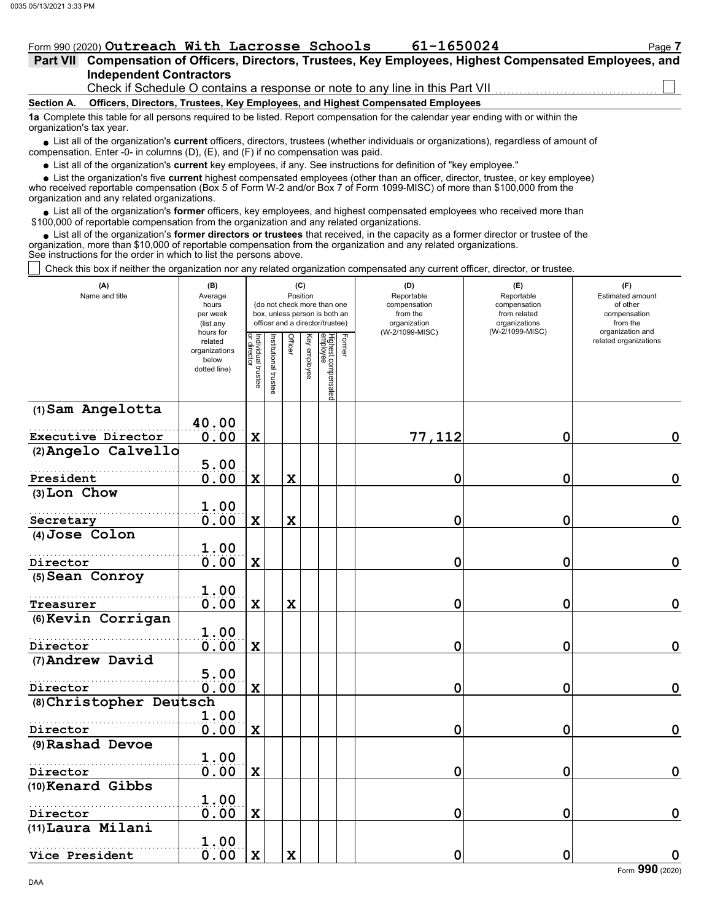#### Form 990 (2020) Page **7 Outreach With Lacrosse Schools 61-1650024**

| Part VII Compensation of Officers, Directors, Trustees, Key Employees, Highest Compensated Employees, and |
|-----------------------------------------------------------------------------------------------------------|
| <b>Independent Contractors</b>                                                                            |
| Check if Schedule O contains a response or note to any line in this Part VII                              |

#### **Section A. Officers, Directors, Trustees, Key Employees, and Highest Compensated Employees**

**1a** Complete this table for all persons required to be listed. Report compensation for the calendar year ending with or within the organization's tax year.

■ List all of the organization's **current** officers, directors, trustees (whether individuals or organizations), regardless of amount of compensation. Enter -0- in columns (D), (E), and (F) if no compensation was paid.

List all of the organization's **current** key employees, if any. See instructions for definition of "key employee."

■ List all of the organization's **current** key employees, if any. See instructions for definition of "key employee."<br>■ List the organization's five **current** highest compensated employees (other than an officer, director,

who received reportable compensation (Box 5 of Form W-2 and/or Box 7 of Form 1099-MISC) of more than \$100,000 from the organization and any related organizations.

• List all of the organization's **former** officers, key employees, and highest compensated employees who received more than<br>00,000 of reportable compensation from the organization and any related erganizations. \$100,000 of reportable compensation from the organization and any related organizations.

• List all of the organization's **former directors or trustees** that received, in the capacity as a former director or trustee of the anization more than \$10,000 of reportable compensation from the organization and any rel organization, more than \$10,000 of reportable compensation from the organization and any related organizations. See instructions for the order in which to list the persons above.

Check this box if neither the organization nor any related organization compensated any current officer, director, or trustee.

| (A)<br>Name and title        | (B)<br>Average<br>hours<br>per week<br>(list any               |                                   |                      | (C)<br>Position |              | (do not check more than one<br>box, unless person is both an<br>officer and a director/trustee) |        | (D)<br>Reportable<br>compensation<br>from the<br>organization | (E)<br>Reportable<br>compensation<br>from related<br>organizations | (F)<br>Estimated amount<br>of other<br>compensation<br>from the |
|------------------------------|----------------------------------------------------------------|-----------------------------------|----------------------|-----------------|--------------|-------------------------------------------------------------------------------------------------|--------|---------------------------------------------------------------|--------------------------------------------------------------------|-----------------------------------------------------------------|
|                              | hours for<br>related<br>organizations<br>below<br>dotted line) | Individual trustee<br>or director | nstitutional trustee | Officer         | Key employee | Highest compensated<br>employee                                                                 | Former | (W-2/1099-MISC)                                               | (W-2/1099-MISC)                                                    | organization and<br>related organizations                       |
| (1) Sam Angelotta            |                                                                |                                   |                      |                 |              |                                                                                                 |        |                                                               |                                                                    |                                                                 |
| Executive Director           | 40.00<br>0.00                                                  | $\mathbf x$                       |                      |                 |              |                                                                                                 |        | 77,112                                                        | $\mathbf 0$                                                        | $\mathbf 0$                                                     |
| (2) Angelo Calvello          |                                                                |                                   |                      |                 |              |                                                                                                 |        |                                                               |                                                                    |                                                                 |
|                              | 5.00                                                           |                                   |                      |                 |              |                                                                                                 |        |                                                               |                                                                    |                                                                 |
| President                    | 0.00                                                           | $\mathbf x$                       |                      | $\mathbf x$     |              |                                                                                                 |        | 0                                                             | $\mathbf 0$                                                        | $\mathbf 0$                                                     |
| (3) Lon Chow                 |                                                                |                                   |                      |                 |              |                                                                                                 |        |                                                               |                                                                    |                                                                 |
|                              | 1.00<br>0.00                                                   | $\mathbf x$                       |                      | $\mathbf x$     |              |                                                                                                 |        | 0                                                             | 0                                                                  | $\mathbf 0$                                                     |
| Secretary<br>(4) Jose Colon  |                                                                |                                   |                      |                 |              |                                                                                                 |        |                                                               |                                                                    |                                                                 |
|                              | 1.00                                                           |                                   |                      |                 |              |                                                                                                 |        |                                                               |                                                                    |                                                                 |
| Director                     | 0.00                                                           | $\mathbf x$                       |                      |                 |              |                                                                                                 |        | 0                                                             | $\mathbf 0$                                                        | $\mathbf 0$                                                     |
| (5) Sean Conroy              |                                                                |                                   |                      |                 |              |                                                                                                 |        |                                                               |                                                                    |                                                                 |
|                              | 1.00                                                           |                                   |                      |                 |              |                                                                                                 |        |                                                               |                                                                    |                                                                 |
| Treasurer                    | 0.00                                                           | $\mathbf x$                       |                      | $\mathbf x$     |              |                                                                                                 |        | 0                                                             | $\mathbf 0$                                                        | $\mathbf 0$                                                     |
| (6) Kevin Corrigan           |                                                                |                                   |                      |                 |              |                                                                                                 |        |                                                               |                                                                    |                                                                 |
|                              | 1.00                                                           |                                   |                      |                 |              |                                                                                                 |        |                                                               |                                                                    |                                                                 |
| Director<br>(7) Andrew David | 0.00                                                           | $\mathbf x$                       |                      |                 |              |                                                                                                 |        | 0                                                             | 0                                                                  | $\mathbf 0$                                                     |
|                              | 5.00                                                           |                                   |                      |                 |              |                                                                                                 |        |                                                               |                                                                    |                                                                 |
| Director                     | 0.00                                                           | $\mathbf x$                       |                      |                 |              |                                                                                                 |        | 0                                                             | $\mathbf 0$                                                        | $\mathbf 0$                                                     |
| (8) Christopher Deutsch      |                                                                |                                   |                      |                 |              |                                                                                                 |        |                                                               |                                                                    |                                                                 |
|                              | 1.00                                                           |                                   |                      |                 |              |                                                                                                 |        |                                                               |                                                                    |                                                                 |
| Director                     | 0.00                                                           | $\mathbf x$                       |                      |                 |              |                                                                                                 |        | 0                                                             | $\mathbf 0$                                                        | $\mathbf 0$                                                     |
| (9) Rashad Devoe             |                                                                |                                   |                      |                 |              |                                                                                                 |        |                                                               |                                                                    |                                                                 |
|                              | 1.00                                                           |                                   |                      |                 |              |                                                                                                 |        |                                                               |                                                                    |                                                                 |
| Director                     | 0.00                                                           | $\mathbf x$                       |                      |                 |              |                                                                                                 |        | 0                                                             | 0                                                                  | $\mathbf 0$                                                     |
| (10) Kenard Gibbs            | 1.00                                                           |                                   |                      |                 |              |                                                                                                 |        |                                                               |                                                                    |                                                                 |
| Director                     | 0.00                                                           | $\mathbf x$                       |                      |                 |              |                                                                                                 |        | 0                                                             | $\mathbf 0$                                                        | $\mathbf 0$                                                     |
| (11) Laura Milani            |                                                                |                                   |                      |                 |              |                                                                                                 |        |                                                               |                                                                    |                                                                 |
|                              | 1.00                                                           |                                   |                      |                 |              |                                                                                                 |        |                                                               |                                                                    |                                                                 |
| Vice President               | 0.00                                                           | $\mathbf x$                       |                      | $\mathbf x$     |              |                                                                                                 |        | 0                                                             | $\mathbf 0$                                                        | $\mathbf 0$                                                     |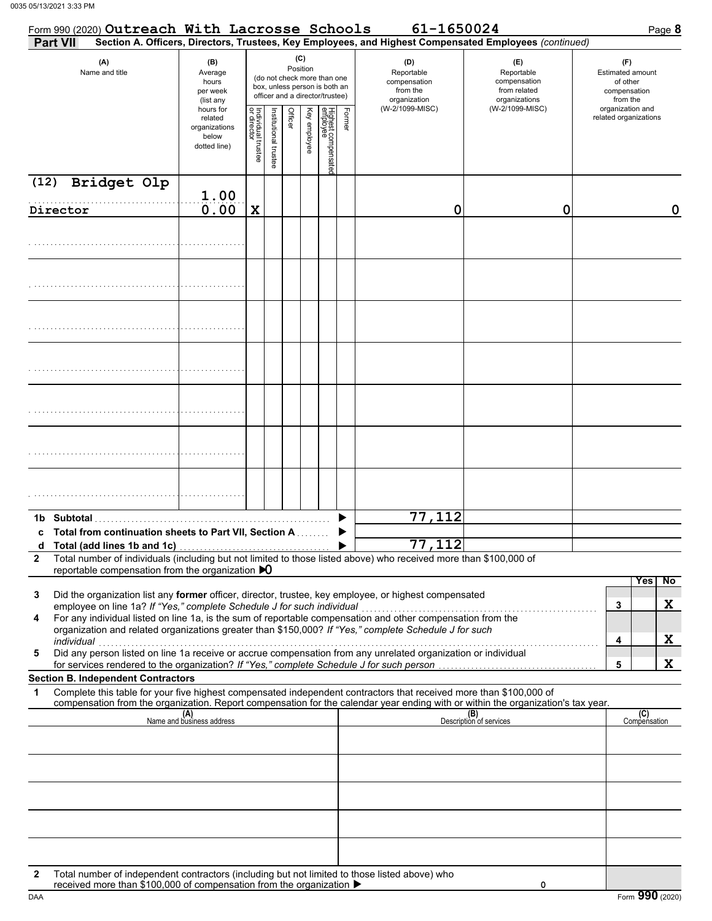|              | Form 990 (2020) Outreach With Lacrosse Schools                                                                                                                                                                                     |                                                                |                                   |                      |         |                 |                                                                                                 |        | 61-1650024                                                    |                                                                                                        | Page 8                                                                 |
|--------------|------------------------------------------------------------------------------------------------------------------------------------------------------------------------------------------------------------------------------------|----------------------------------------------------------------|-----------------------------------|----------------------|---------|-----------------|-------------------------------------------------------------------------------------------------|--------|---------------------------------------------------------------|--------------------------------------------------------------------------------------------------------|------------------------------------------------------------------------|
|              | Part VII                                                                                                                                                                                                                           |                                                                |                                   |                      |         |                 |                                                                                                 |        |                                                               | Section A. Officers, Directors, Trustees, Key Employees, and Highest Compensated Employees (continued) |                                                                        |
|              | (A)<br>Name and title                                                                                                                                                                                                              | (B)<br>Average<br>hours<br>per week<br>(list any               |                                   |                      |         | (C)<br>Position | (do not check more than one<br>box, unless person is both an<br>officer and a director/trustee) |        | (D)<br>Reportable<br>compensation<br>from the<br>organization | (E)<br>Reportable<br>compensation<br>from related<br>organizations                                     | (F)<br><b>Estimated amount</b><br>of other<br>compensation<br>from the |
|              |                                                                                                                                                                                                                                    | hours for<br>related<br>organizations<br>below<br>dotted line) | Individual trustee<br>or director | nstitutional trustee | Officer | Key employee    | Highest compensate<br>employee                                                                  | Former | (W-2/1099-MISC)                                               | (W-2/1099-MISC)                                                                                        | organization and<br>related organizations                              |
| (12)         | Bridget Olp                                                                                                                                                                                                                        |                                                                |                                   |                      |         |                 |                                                                                                 |        |                                                               |                                                                                                        |                                                                        |
|              | Director                                                                                                                                                                                                                           | 1.00<br>0.00                                                   | $\mathbf X$                       |                      |         |                 |                                                                                                 |        | 0                                                             | 0                                                                                                      | $\mathbf 0$                                                            |
|              |                                                                                                                                                                                                                                    |                                                                |                                   |                      |         |                 |                                                                                                 |        |                                                               |                                                                                                        |                                                                        |
|              |                                                                                                                                                                                                                                    |                                                                |                                   |                      |         |                 |                                                                                                 |        |                                                               |                                                                                                        |                                                                        |
|              |                                                                                                                                                                                                                                    |                                                                |                                   |                      |         |                 |                                                                                                 |        |                                                               |                                                                                                        |                                                                        |
|              |                                                                                                                                                                                                                                    |                                                                |                                   |                      |         |                 |                                                                                                 |        |                                                               |                                                                                                        |                                                                        |
|              |                                                                                                                                                                                                                                    |                                                                |                                   |                      |         |                 |                                                                                                 |        |                                                               |                                                                                                        |                                                                        |
|              |                                                                                                                                                                                                                                    |                                                                |                                   |                      |         |                 |                                                                                                 |        |                                                               |                                                                                                        |                                                                        |
|              |                                                                                                                                                                                                                                    |                                                                |                                   |                      |         |                 |                                                                                                 |        |                                                               |                                                                                                        |                                                                        |
|              |                                                                                                                                                                                                                                    |                                                                |                                   |                      |         |                 |                                                                                                 |        |                                                               |                                                                                                        |                                                                        |
|              |                                                                                                                                                                                                                                    |                                                                |                                   |                      |         |                 |                                                                                                 |        |                                                               |                                                                                                        |                                                                        |
|              | 1b Subtotal                                                                                                                                                                                                                        |                                                                |                                   |                      |         |                 |                                                                                                 |        | 77,112                                                        |                                                                                                        |                                                                        |
|              | Total from continuation sheets to Part VII, Section A                                                                                                                                                                              |                                                                |                                   |                      |         |                 |                                                                                                 |        | 77,112                                                        |                                                                                                        |                                                                        |
| $\mathbf{2}$ | Total number of individuals (including but not limited to those listed above) who received more than \$100,000 of<br>reportable compensation from the organization $\bigtriangledown$                                              |                                                                |                                   |                      |         |                 |                                                                                                 |        |                                                               |                                                                                                        |                                                                        |
| 3            | Did the organization list any former officer, director, trustee, key employee, or highest compensated<br>employee on line 1a? If "Yes," complete Schedule J for such individual                                                    |                                                                |                                   |                      |         |                 |                                                                                                 |        |                                                               |                                                                                                        | No<br>Yes<br>Χ<br>3                                                    |
| 4            | For any individual listed on line 1a, is the sum of reportable compensation and other compensation from the<br>organization and related organizations greater than \$150,000? If "Yes," complete Schedule J for such<br>individual |                                                                |                                   |                      |         |                 |                                                                                                 |        |                                                               |                                                                                                        | X<br>4                                                                 |
| 5            | for services rendered to the organization? If "Yes," complete Schedule J for such person                                                                                                                                           |                                                                |                                   |                      |         |                 |                                                                                                 |        |                                                               |                                                                                                        | X<br>5                                                                 |
| 1            | <b>Section B. Independent Contractors</b><br>Complete this table for your five highest compensated independent contractors that received more than \$100,000 of                                                                    |                                                                |                                   |                      |         |                 |                                                                                                 |        |                                                               |                                                                                                        |                                                                        |
|              | compensation from the organization. Report compensation for the calendar year ending with or within the organization's tax year.                                                                                                   | (A)<br>Name and business address                               |                                   |                      |         |                 |                                                                                                 |        |                                                               | (B)<br>Description of services                                                                         | (C)<br>Compensation                                                    |
|              |                                                                                                                                                                                                                                    |                                                                |                                   |                      |         |                 |                                                                                                 |        |                                                               |                                                                                                        |                                                                        |
|              |                                                                                                                                                                                                                                    |                                                                |                                   |                      |         |                 |                                                                                                 |        |                                                               |                                                                                                        |                                                                        |
|              |                                                                                                                                                                                                                                    |                                                                |                                   |                      |         |                 |                                                                                                 |        |                                                               |                                                                                                        |                                                                        |
|              |                                                                                                                                                                                                                                    |                                                                |                                   |                      |         |                 |                                                                                                 |        |                                                               |                                                                                                        |                                                                        |
| 2            | Total number of independent contractors (including but not limited to those listed above) who<br>received more than \$100,000 of compensation from the organization ▶                                                              |                                                                |                                   |                      |         |                 |                                                                                                 |        |                                                               |                                                                                                        |                                                                        |
| DAA          |                                                                                                                                                                                                                                    |                                                                |                                   |                      |         |                 |                                                                                                 |        |                                                               | 0                                                                                                      | Form 990 (2020)                                                        |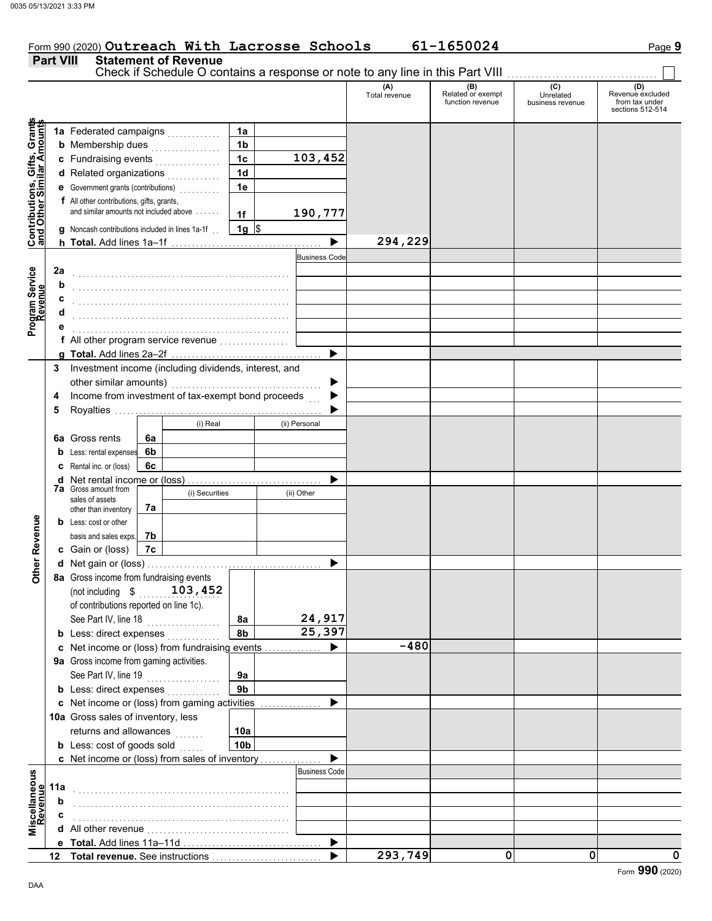### Form 990 (2020) Page **9 Outreach With Lacrosse Schools 61-1650024 Part VIII Statement of Revenue**

|                                                                  |     |                                                       |    |                |                 | Check if Schedule O contains a response or note to any line in this Part VIII |                      |                                              |                                      |                                                               |
|------------------------------------------------------------------|-----|-------------------------------------------------------|----|----------------|-----------------|-------------------------------------------------------------------------------|----------------------|----------------------------------------------|--------------------------------------|---------------------------------------------------------------|
|                                                                  |     |                                                       |    |                |                 |                                                                               | (A)<br>Total revenue | (B)<br>Related or exempt<br>function revenue | (C)<br>Unrelated<br>business revenue | (D)<br>Revenue excluded<br>from tax under<br>sections 512-514 |
| <b>Contributions, Gifts, Grants</b><br>and Other Similar Amounts |     | 1a Federated campaigns                                |    |                | 1a              |                                                                               |                      |                                              |                                      |                                                               |
|                                                                  |     | <b>b</b> Membership dues <i></i>                      |    |                | 1 <sub>b</sub>  |                                                                               |                      |                                              |                                      |                                                               |
|                                                                  |     | c Fundraising events                                  |    |                | 1 <sub>c</sub>  | 103,452                                                                       |                      |                                              |                                      |                                                               |
|                                                                  |     | d Related organizations                               |    |                | 1 <sub>d</sub>  |                                                                               |                      |                                              |                                      |                                                               |
|                                                                  |     | e Government grants (contributions)<br>               |    |                | 1e              |                                                                               |                      |                                              |                                      |                                                               |
|                                                                  |     | f All other contributions, gifts, grants,             |    |                |                 |                                                                               |                      |                                              |                                      |                                                               |
|                                                                  |     | and similar amounts not included above                |    |                | 1f              | 190,777                                                                       |                      |                                              |                                      |                                                               |
|                                                                  |     |                                                       |    |                | $1g$ \$         |                                                                               |                      |                                              |                                      |                                                               |
|                                                                  |     | g Noncash contributions included in lines 1a-1f.      |    |                |                 |                                                                               | 294,229              |                                              |                                      |                                                               |
|                                                                  |     |                                                       |    |                |                 |                                                                               |                      |                                              |                                      |                                                               |
|                                                                  |     |                                                       |    |                |                 | <b>Business Code</b>                                                          |                      |                                              |                                      |                                                               |
|                                                                  | 2a  |                                                       |    |                |                 |                                                                               |                      |                                              |                                      |                                                               |
| Program Service<br>Revenue                                       | b   |                                                       |    |                |                 |                                                                               |                      |                                              |                                      |                                                               |
|                                                                  | c   |                                                       |    |                |                 |                                                                               |                      |                                              |                                      |                                                               |
|                                                                  | d   |                                                       |    |                |                 |                                                                               |                      |                                              |                                      |                                                               |
|                                                                  |     |                                                       |    |                |                 |                                                                               |                      |                                              |                                      |                                                               |
|                                                                  |     | f All other program service revenue                   |    |                |                 |                                                                               |                      |                                              |                                      |                                                               |
|                                                                  |     |                                                       |    |                |                 |                                                                               |                      |                                              |                                      |                                                               |
|                                                                  | 3   | Investment income (including dividends, interest, and |    |                |                 |                                                                               |                      |                                              |                                      |                                                               |
|                                                                  |     | other similar amounts)                                |    |                |                 |                                                                               |                      |                                              |                                      |                                                               |
|                                                                  | 4   | Income from investment of tax-exempt bond proceeds    |    |                |                 |                                                                               |                      |                                              |                                      |                                                               |
|                                                                  | 5   |                                                       |    |                |                 |                                                                               |                      |                                              |                                      |                                                               |
|                                                                  |     |                                                       |    | (i) Real       |                 | (ii) Personal                                                                 |                      |                                              |                                      |                                                               |
|                                                                  |     | <b>6a</b> Gross rents                                 | 6a |                |                 |                                                                               |                      |                                              |                                      |                                                               |
|                                                                  |     | Less: rental expenses                                 | 6b |                |                 |                                                                               |                      |                                              |                                      |                                                               |
|                                                                  |     | C Rental inc. or (loss)                               | 6c |                |                 |                                                                               |                      |                                              |                                      |                                                               |
|                                                                  |     | <b>d</b> Net rental income or (loss)                  |    |                |                 |                                                                               |                      |                                              |                                      |                                                               |
|                                                                  |     | <b>7a</b> Gross amount from<br>sales of assets        |    | (i) Securities |                 | (ii) Other                                                                    |                      |                                              |                                      |                                                               |
|                                                                  |     | other than inventory                                  | 7а |                |                 |                                                                               |                      |                                              |                                      |                                                               |
|                                                                  | b   | Less: cost or other                                   |    |                |                 |                                                                               |                      |                                              |                                      |                                                               |
|                                                                  |     | basis and sales exps.                                 | 7b |                |                 |                                                                               |                      |                                              |                                      |                                                               |
|                                                                  |     | c Gain or (loss)                                      | 7c |                |                 |                                                                               |                      |                                              |                                      |                                                               |
| <b>Other Revenue</b>                                             |     | d Net gain or (loss)                                  |    |                |                 |                                                                               |                      |                                              |                                      |                                                               |
|                                                                  |     | 8a Gross income from fundraising events               |    |                |                 |                                                                               |                      |                                              |                                      |                                                               |
|                                                                  |     | (not including $$$ $103,452$                          |    |                |                 |                                                                               |                      |                                              |                                      |                                                               |
|                                                                  |     | of contributions reported on line 1c).                |    |                |                 |                                                                               |                      |                                              |                                      |                                                               |
|                                                                  |     | See Part IV, line 18                                  |    | .              | 8а              | 24,917                                                                        |                      |                                              |                                      |                                                               |
|                                                                  |     | <b>b</b> Less: direct expenses <i>minimum</i>         |    |                | 8b              | 25,397                                                                        |                      |                                              |                                      |                                                               |
|                                                                  |     | c Net income or (loss) from fundraising events        |    |                |                 |                                                                               | $-480$               |                                              |                                      |                                                               |
|                                                                  |     | 9a Gross income from gaming activities.               |    |                |                 |                                                                               |                      |                                              |                                      |                                                               |
|                                                                  |     | See Part IV, line 19                                  |    |                | 9а              |                                                                               |                      |                                              |                                      |                                                               |
|                                                                  |     | <b>b</b> Less: direct expenses                        |    |                | 9 <sub>b</sub>  |                                                                               |                      |                                              |                                      |                                                               |
|                                                                  |     | c Net income or (loss) from gaming activities         |    |                |                 |                                                                               |                      |                                              |                                      |                                                               |
|                                                                  |     | 10a Gross sales of inventory, less                    |    |                |                 |                                                                               |                      |                                              |                                      |                                                               |
|                                                                  |     | returns and allowances                                |    | .              | 10a             |                                                                               |                      |                                              |                                      |                                                               |
|                                                                  |     | <b>b</b> Less: cost of goods sold                     |    |                | 10 <sub>b</sub> |                                                                               |                      |                                              |                                      |                                                               |
|                                                                  |     | c Net income or (loss) from sales of inventory        |    |                |                 |                                                                               |                      |                                              |                                      |                                                               |
|                                                                  |     |                                                       |    |                |                 | <b>Business Code</b>                                                          |                      |                                              |                                      |                                                               |
|                                                                  | 11a |                                                       |    |                |                 |                                                                               |                      |                                              |                                      |                                                               |
|                                                                  | b   |                                                       |    |                |                 |                                                                               |                      |                                              |                                      |                                                               |
|                                                                  |     |                                                       |    |                |                 |                                                                               |                      |                                              |                                      |                                                               |
| Miscellaneous<br>Revenue                                         |     |                                                       |    |                |                 |                                                                               |                      |                                              |                                      |                                                               |
|                                                                  |     |                                                       |    |                |                 | ▶                                                                             |                      |                                              |                                      |                                                               |
|                                                                  |     |                                                       |    |                |                 |                                                                               | 293,749              | 0                                            | 0                                    | 0                                                             |
|                                                                  |     |                                                       |    |                |                 |                                                                               |                      |                                              |                                      |                                                               |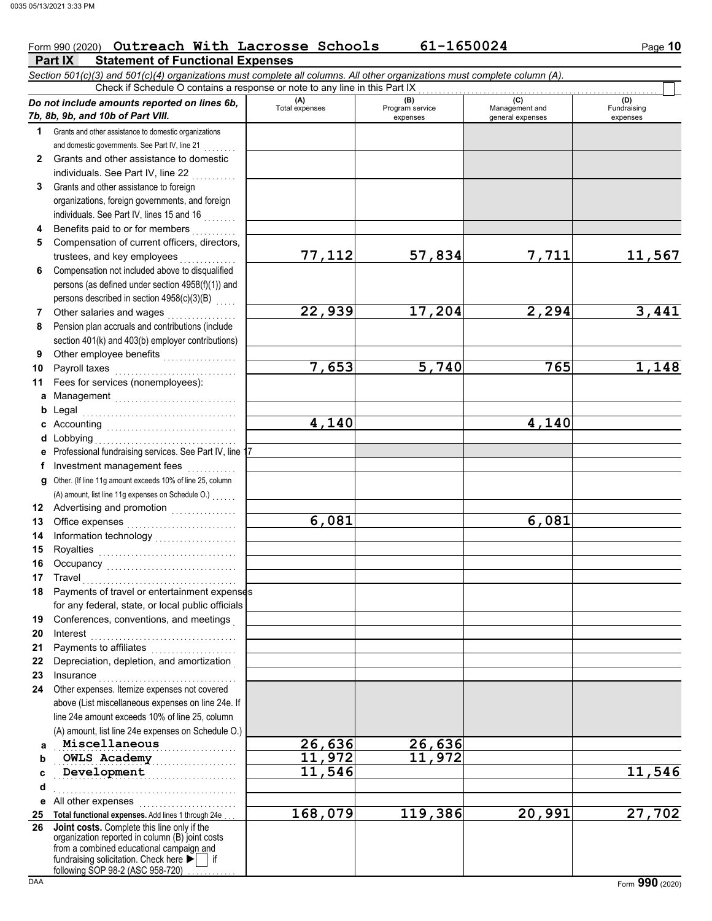### Form 990 (2020) Page **10 Outreach With Lacrosse Schools 61-1650024**

|              | Part IX<br><b>Statement of Functional Expenses</b>                                                                                         |                       |                        |                       |                    |
|--------------|--------------------------------------------------------------------------------------------------------------------------------------------|-----------------------|------------------------|-----------------------|--------------------|
|              | Section 501(c)(3) and 501(c)(4) organizations must complete all columns. All other organizations must complete column (A).                 |                       |                        |                       |                    |
|              | Check if Schedule O contains a response or note to any line in this Part IX                                                                |                       |                        |                       |                    |
|              | Do not include amounts reported on lines 6b,                                                                                               | (A)<br>Total expenses | (B)<br>Program service | (C)<br>Management and | (D)<br>Fundraising |
|              | 7b, 8b, 9b, and 10b of Part VIII.                                                                                                          |                       | expenses               | general expenses      | expenses           |
| 1.           | Grants and other assistance to domestic organizations                                                                                      |                       |                        |                       |                    |
|              | and domestic governments. See Part IV, line 21                                                                                             |                       |                        |                       |                    |
| $\mathbf{2}$ | Grants and other assistance to domestic                                                                                                    |                       |                        |                       |                    |
|              | individuals. See Part IV, line 22                                                                                                          |                       |                        |                       |                    |
| 3            | Grants and other assistance to foreign                                                                                                     |                       |                        |                       |                    |
|              | organizations, foreign governments, and foreign                                                                                            |                       |                        |                       |                    |
|              | individuals. See Part IV, lines 15 and 16                                                                                                  |                       |                        |                       |                    |
| 4            | Benefits paid to or for members                                                                                                            |                       |                        |                       |                    |
| 5            | Compensation of current officers, directors,                                                                                               |                       |                        |                       |                    |
|              | trustees, and key employees                                                                                                                | 77,112                | 57,834                 | 7,711                 | 11,567             |
| 6            | Compensation not included above to disqualified                                                                                            |                       |                        |                       |                    |
|              | persons (as defined under section 4958(f)(1)) and                                                                                          |                       |                        |                       |                    |
|              | persons described in section 4958(c)(3)(B)                                                                                                 |                       |                        |                       | 3,441              |
| 7            | Other salaries and wages                                                                                                                   | 22,939                | 17,204                 | 2,294                 |                    |
| 8            | Pension plan accruals and contributions (include                                                                                           |                       |                        |                       |                    |
|              | section 401(k) and 403(b) employer contributions)                                                                                          |                       |                        |                       |                    |
| 9            | Other employee benefits                                                                                                                    |                       |                        |                       |                    |
| 10           | Payroll taxes                                                                                                                              | 7,653                 | 5,740                  | 765                   | 1,148              |
| 11           | Fees for services (nonemployees):                                                                                                          |                       |                        |                       |                    |
|              | a Management                                                                                                                               |                       |                        |                       |                    |
| b            | Legal                                                                                                                                      |                       |                        |                       |                    |
| C            |                                                                                                                                            | 4,140                 |                        | 4,140                 |                    |
|              | <b>d</b> Lobbying                                                                                                                          |                       |                        |                       |                    |
|              | e Professional fundraising services. See Part IV, line 17                                                                                  |                       |                        |                       |                    |
| f            | Investment management fees                                                                                                                 |                       |                        |                       |                    |
| g            | Other. (If line 11g amount exceeds 10% of line 25, column                                                                                  |                       |                        |                       |                    |
|              | (A) amount, list line 11g expenses on Schedule O.)                                                                                         |                       |                        |                       |                    |
| 12           | Advertising and promotion                                                                                                                  |                       |                        |                       |                    |
| 13           |                                                                                                                                            | 6,081                 |                        | 6,081                 |                    |
| 14           |                                                                                                                                            |                       |                        |                       |                    |
| 15           |                                                                                                                                            |                       |                        |                       |                    |
| 16           |                                                                                                                                            |                       |                        |                       |                    |
|              | 17 Travel                                                                                                                                  |                       |                        |                       |                    |
| 18           | Payments of travel or entertainment expenses                                                                                               |                       |                        |                       |                    |
|              | for any federal, state, or local public officials                                                                                          |                       |                        |                       |                    |
| 19           | Conferences, conventions, and meetings                                                                                                     |                       |                        |                       |                    |
| 20           | Interest                                                                                                                                   |                       |                        |                       |                    |
| 21           | Payments to affiliates                                                                                                                     |                       |                        |                       |                    |
| 22           | Depreciation, depletion, and amortization                                                                                                  |                       |                        |                       |                    |
| 23           | Insurance                                                                                                                                  |                       |                        |                       |                    |
| 24           | Other expenses. Itemize expenses not covered                                                                                               |                       |                        |                       |                    |
|              | above (List miscellaneous expenses on line 24e. If                                                                                         |                       |                        |                       |                    |
|              | line 24e amount exceeds 10% of line 25, column                                                                                             |                       |                        |                       |                    |
|              | (A) amount, list line 24e expenses on Schedule O.)                                                                                         |                       |                        |                       |                    |
| a            | Miscellaneous                                                                                                                              | 26,636                | 26,636                 |                       |                    |
| b            | <b>OWLS Academy</b>                                                                                                                        | 11,972                | 11,972                 |                       |                    |
| c            | Development                                                                                                                                | 11,546                |                        |                       | 11,546             |
| d            |                                                                                                                                            |                       |                        |                       |                    |
| е            | All other expenses                                                                                                                         |                       |                        |                       |                    |
| 25           | Total functional expenses. Add lines 1 through 24e                                                                                         | 168,079               | 119,386                | 20,991                | 27,702             |
| 26           | Joint costs. Complete this line only if the<br>organization reported in column (B) joint costs<br>from a combined educational campaign and |                       |                        |                       |                    |
|              | fundraising solicitation. Check here >     if<br>following SOP 98-2 (ASC 958-720)                                                          |                       |                        |                       |                    |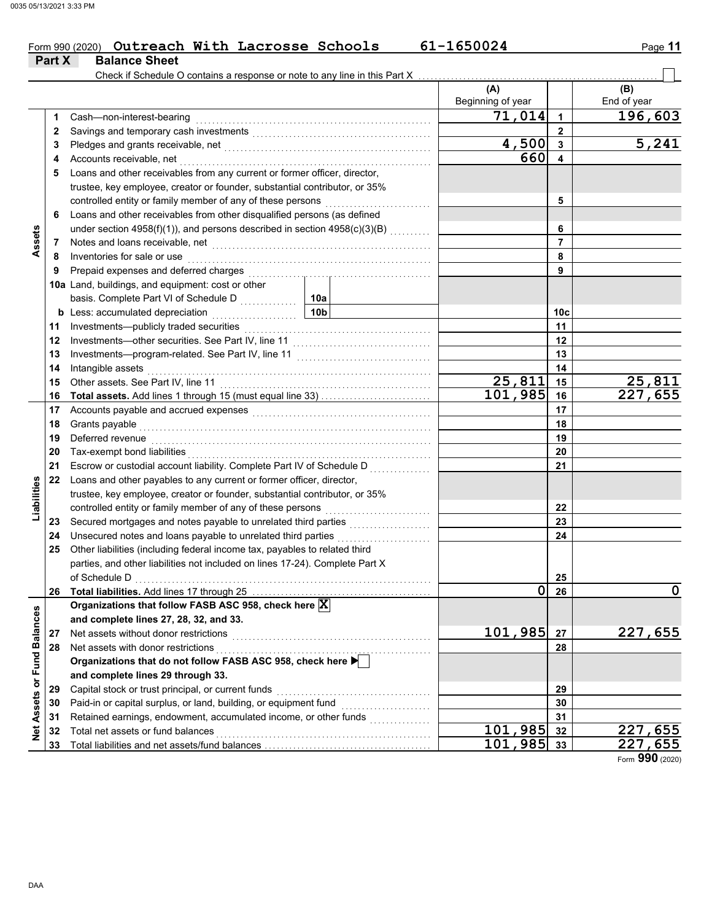**14** Intangible assets

**16 17 18**

**23**

**Liabilities**

Liabilities

**26**

**27 28**

**Net Assets or Fund Balances**

Net Assets or Fund Balances

|        |        | Outreach With Lacrosse Schools<br>Form 990 (2020)                                                  |                 |    | 61-1650024               |                 | Page 11            |
|--------|--------|----------------------------------------------------------------------------------------------------|-----------------|----|--------------------------|-----------------|--------------------|
|        | Part X | <b>Balance Sheet</b><br>Check if Schedule O contains a response or note to any line in this Part X |                 |    |                          |                 |                    |
|        |        |                                                                                                    |                 |    | (A)<br>Beginning of year |                 | (B)<br>End of year |
|        | 1      | Cash-non-interest-bearing                                                                          |                 |    | 71,014                   |                 | 196,603            |
|        |        |                                                                                                    |                 |    |                          | 2               |                    |
|        | 3      |                                                                                                    |                 |    | 4,500                    | 3               | 5,241              |
|        | 4      | Accounts receivable, net                                                                           |                 |    | 660                      | 4               |                    |
|        | 5      | Loans and other receivables from any current or former officer, director,                          |                 |    |                          |                 |                    |
|        |        | trustee, key employee, creator or founder, substantial contributor, or 35%                         |                 |    |                          |                 |                    |
|        |        | controlled entity or family member of any of these persons                                         |                 | 5  |                          |                 |                    |
|        | 6      | Loans and other receivables from other disqualified persons (as defined                            |                 |    |                          |                 |                    |
|        |        | under section 4958(f)(1)), and persons described in section 4958(c)(3)(B)                          |                 |    |                          | 6               |                    |
| Assets |        |                                                                                                    |                 |    |                          |                 |                    |
|        | 8      | Inventories for sale or use                                                                        |                 |    |                          | 8               |                    |
|        |        | Prepaid expenses and deferred charges                                                              |                 |    |                          | 9               |                    |
|        |        | <b>10a</b> Land, buildings, and equipment: cost or other                                           |                 |    |                          |                 |                    |
|        |        | basis. Complete Part VI of Schedule D<br>                                                          | 10a             |    |                          |                 |                    |
|        |        | Less: accumulated depreciation<br><u> 1966 - Johann Stoff, Amerikaansk kanton (</u>                | 10 <sub>b</sub> |    |                          | 10 <sub>c</sub> |                    |
|        | 11     | Investments-publicly traded securities                                                             |                 |    | 11                       |                 |                    |
|        | 12     | Investments-other securities. See Part IV, line 11                                                 |                 | 12 |                          |                 |                    |

**13** Investments—program-related. See Part IV, line 11 . . . . . . . . . . . . . . . . . . . . . . . . . . . . . . . . .

**15** Other assets. See Part IV, line 11 . . . . . . . . . . . . . . . . . . . . . . . . . . . . . . . . . . . . . . . . . . . . . . . . . . . .

**Total assets.** Add lines 1 through 15 (must equal line 33) . . . . . . . . . . . . . . . . . . . . . . . . . . . Accounts payable and accrued expenses . . . . . . . . . . . . . . . . . . . . . . . . . . . . . . . . . . . . . . . . . . . .

Intangible assets . . . . . . . . . . . . . . . . . . . . . . . . . . . . . . . . . . . . . . . . . . . . . . . . . . . . . . . . . . . . . . . . . . . . . .

Grants payable . . . . . . . . . . . . . . . . . . . . . . . . . . . . . . . . . . . . . . . . . . . . . . . . . . . . . . . . . . . . . . . . . . . . . . . .

**19** Deferred revenue . . . . . . . . . . . . . . . . . . . . . . . . . . . . . . . . . . . . . . . . . . . . . . . . . . . . . . . . . . . . . . . . . . . . . **20** Tax-exempt bond liabilities . . . . . . . . . . . . . . . . . . . . . . . . . . . . . . . . . . . . . . . . . . . . . . . . . . . . . . . . . . . . **21** Escrow or custodial account liability. Complete Part IV of Schedule D<sub>.</sub> . . . . . . . . . . . .

**24** Unsecured notes and loans payable to unrelated third parties  $\begin{array}{ccc} \dots & \dots & \dots & \dots \end{array}$ 

Net assets without donor restrictions . . . . . . . . . . . . . . . . . . . . . . . . . . . . . . . . . . . . . . . . . . . . . . . . .

Capital stock or trust principal, or current funds . . . . . . . . . . . . . . . . . . . . . . . . . . . . . . . . . . . . . . Paid-in or capital surplus, or land, building, or equipment fund ...................... Retained earnings, endowment, accumulated income, or other funds ............... Total net assets or fund balances . . . . . . . . . . . . . . . . . . . . . . . . . . . . . . . . . . . . . . . . . . . . . . . . . . . . .

Organizations that do not follow FASB ASC 958, check here  $\blacktriangleright$ 

controlled entity or family member of any of these persons ........................... Secured mortgages and notes payable to unrelated third parties ...................

of Schedule D . . . . . . . . . . . . . . . . . . . . . . . . . . . . . . . . . . . . . . . . . . . . . . . . . . . . . . . . . . . . . . . . . . . . . . . . .

trustee, key employee, creator or founder, substantial contributor, or 35%

parties, and other liabilities not included on lines 17-24). Complete Part X

**22** Loans and other payables to any current or former officer, director,

**25** Other liabilities (including federal income tax, payables to related third

**Organizations that follow FASB ASC 958, check here** X **X**

**Total liabilities.** Add lines 17 through 25

**and complete lines 27, 28, 32, and 33.**

Net assets with donor restrictions

**and complete lines 29 through 33.**

Total liabilities and net assets/fund balances ...

Form **990** (2020)

**22**

**24 23**

**29**

**101,985** 

**28 27**

**101,985 227,655**

**101,985 227,655**

**26 25**

**0 0**

**101,985 227,655**

**25,811 25,811**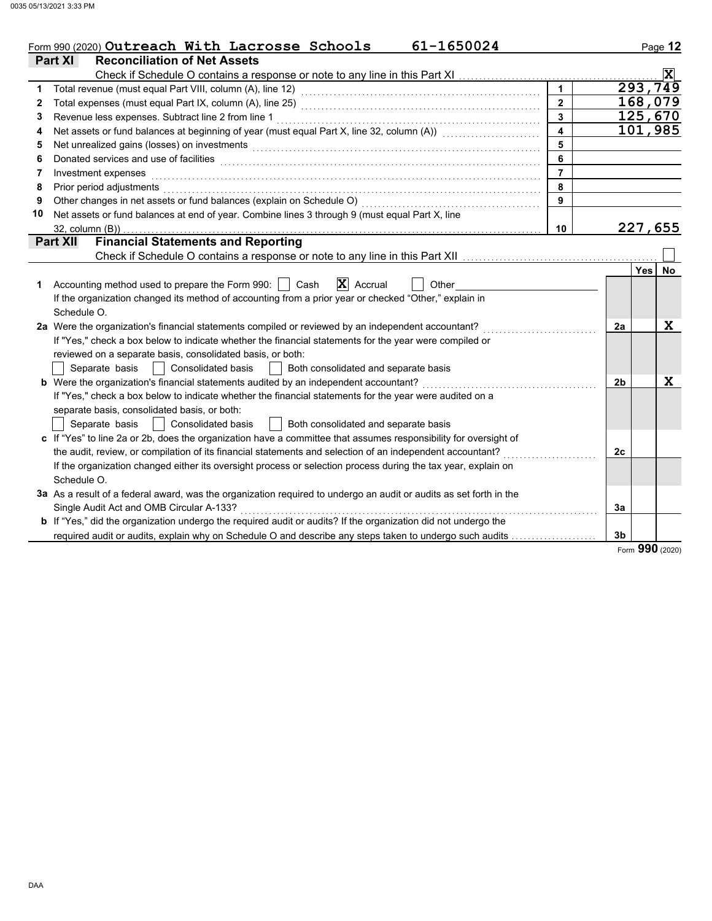|    |                                                                                                                                                                                                                                |                |                | Page 12        |
|----|--------------------------------------------------------------------------------------------------------------------------------------------------------------------------------------------------------------------------------|----------------|----------------|----------------|
|    | Part XI<br><b>Reconciliation of Net Assets</b>                                                                                                                                                                                 |                |                |                |
|    |                                                                                                                                                                                                                                |                |                | $ \mathbf{X} $ |
| 1  |                                                                                                                                                                                                                                | $\mathbf{1}$   |                | 293,749        |
| 2  |                                                                                                                                                                                                                                | $\overline{2}$ |                | 168,079        |
| 3  | Revenue less expenses. Subtract line 2 from line 1                                                                                                                                                                             |                |                | 125,670        |
| 4  | Net assets or fund balances at beginning of year (must equal Part X, line 32, column (A)) [[[[[[[[[[[[[[[[[[[                                                                                                                  |                |                | 101,985        |
| 5  | Net unrealized gains (losses) on investments [11] with the content of the content of the content of the content of the content of the content of the content of the content of the content of the content of the content of th | 5              |                |                |
| 6  | Donated services and use of facilities <b>constructs</b> and the construction of the service of facilities <b>constructs</b>                                                                                                   | 6              |                |                |
| 7  | Investment expenses                                                                                                                                                                                                            | $\overline{7}$ |                |                |
| 8  | Prior period adjustments                                                                                                                                                                                                       | 8              |                |                |
| 9  | Other changes in net assets or fund balances (explain on Schedule O)                                                                                                                                                           | 9              |                |                |
| 10 | Net assets or fund balances at end of year. Combine lines 3 through 9 (must equal Part X, line                                                                                                                                 |                |                |                |
|    | $32$ , column $(B)$ )                                                                                                                                                                                                          | 10             |                | 227,655        |
|    | <b>Financial Statements and Reporting</b><br><b>Part XII</b>                                                                                                                                                                   |                |                |                |
|    |                                                                                                                                                                                                                                |                |                |                |
|    |                                                                                                                                                                                                                                |                |                | Yes I<br>No.   |
| 1  | $ \mathbf{X} $ Accrual<br>Accounting method used to prepare the Form 990:     Cash<br>Other                                                                                                                                    |                |                |                |
|    | If the organization changed its method of accounting from a prior year or checked "Other," explain in                                                                                                                          |                |                |                |
|    | Schedule O.                                                                                                                                                                                                                    |                |                |                |
|    | 2a Were the organization's financial statements compiled or reviewed by an independent accountant?                                                                                                                             |                | 2a             | x              |
|    | If "Yes," check a box below to indicate whether the financial statements for the year were compiled or                                                                                                                         |                |                |                |
|    | reviewed on a separate basis, consolidated basis, or both:                                                                                                                                                                     |                |                |                |
|    | Separate basis    <br>Consolidated basis<br>Both consolidated and separate basis<br>$\mathbf{1}$                                                                                                                               |                |                |                |
|    | b Were the organization's financial statements audited by an independent accountant?                                                                                                                                           |                | 2 <sub>b</sub> | X              |
|    | If "Yes," check a box below to indicate whether the financial statements for the year were audited on a                                                                                                                        |                |                |                |
|    | separate basis, consolidated basis, or both:                                                                                                                                                                                   |                |                |                |
|    | Separate basis<br>$\Box$<br>Consolidated basis<br>Both consolidated and separate basis                                                                                                                                         |                |                |                |
|    | c If "Yes" to line 2a or 2b, does the organization have a committee that assumes responsibility for oversight of                                                                                                               |                |                |                |
|    | the audit, review, or compilation of its financial statements and selection of an independent accountant?                                                                                                                      |                | 2c             |                |
|    | If the organization changed either its oversight process or selection process during the tax year, explain on                                                                                                                  |                |                |                |
|    | Schedule O.                                                                                                                                                                                                                    |                |                |                |
|    | 3a As a result of a federal award, was the organization required to undergo an audit or audits as set forth in the                                                                                                             |                |                |                |
|    | Single Audit Act and OMB Circular A-133?                                                                                                                                                                                       |                | 3a             |                |
|    | <b>b</b> If "Yes," did the organization undergo the required audit or audits? If the organization did not undergo the                                                                                                          |                |                |                |
|    | required audit or audits, explain why on Schedule O and describe any steps taken to undergo such audits                                                                                                                        |                | 3 <sub>b</sub> |                |

Form **990** (2020)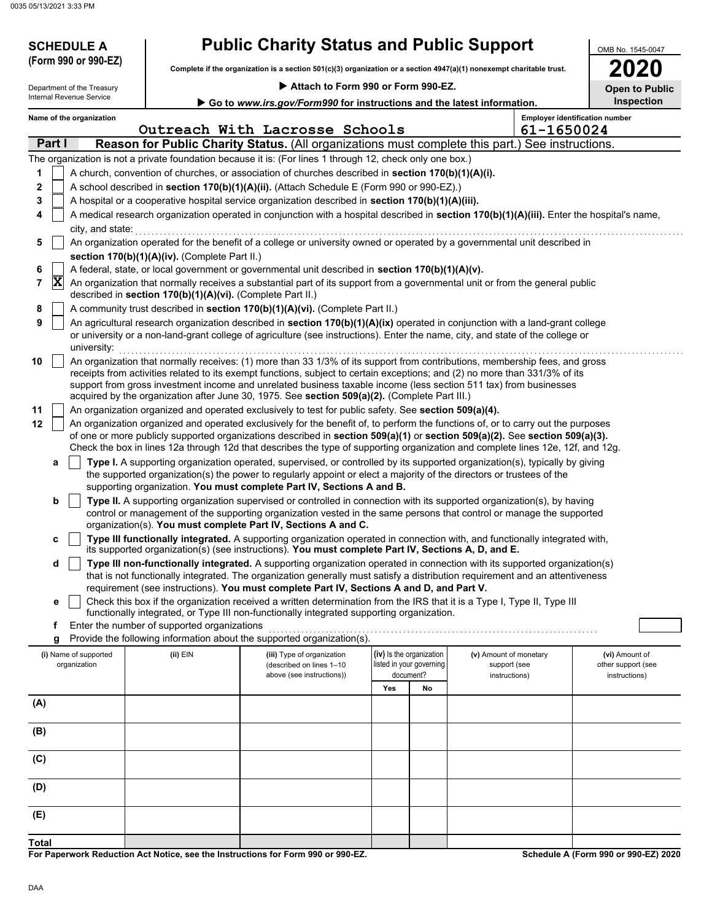| <b>Public Charity Status and Public Support</b> |  |
|-------------------------------------------------|--|
|-------------------------------------------------|--|

**Complete if the organization is a section 501(c)(3) organization or a section 4947(a)(1) nonexempt charitable trust. (Form 990 or 990-EZ)**

| Department of the Treasury |
|----------------------------|
| Internal Devenue Censiae   |

**SCHEDULE A** 

Attach to Form 990 or Form 990-EZ.

| B<br>ŝτ | to | $\sim$<br>a. |
|---------|----|--------------|

OMB No. 1545-0047

|     |        | Internal Revenue Service |                                                            | $\triangleright$ Go to www.irs.gov/Form990 for instructions and the latest information.                                                                                                                                                                                                                                                                                                                                                                                          |     |                          |                        | Inspection                                          |  |
|-----|--------|--------------------------|------------------------------------------------------------|----------------------------------------------------------------------------------------------------------------------------------------------------------------------------------------------------------------------------------------------------------------------------------------------------------------------------------------------------------------------------------------------------------------------------------------------------------------------------------|-----|--------------------------|------------------------|-----------------------------------------------------|--|
|     |        | Name of the organization |                                                            | Outreach With Lacrosse Schools                                                                                                                                                                                                                                                                                                                                                                                                                                                   |     |                          |                        | <b>Employer identification number</b><br>61-1650024 |  |
|     | Part I |                          |                                                            | <b>Reason for Public Charity Status.</b> (All organizations must complete this part.) See instructions.                                                                                                                                                                                                                                                                                                                                                                          |     |                          |                        |                                                     |  |
|     |        |                          |                                                            | The organization is not a private foundation because it is: (For lines 1 through 12, check only one box.)                                                                                                                                                                                                                                                                                                                                                                        |     |                          |                        |                                                     |  |
| 1   |        |                          |                                                            | A church, convention of churches, or association of churches described in section 170(b)(1)(A)(i).                                                                                                                                                                                                                                                                                                                                                                               |     |                          |                        |                                                     |  |
| 2   |        |                          |                                                            | A school described in section 170(b)(1)(A)(ii). (Attach Schedule E (Form 990 or 990-EZ).)                                                                                                                                                                                                                                                                                                                                                                                        |     |                          |                        |                                                     |  |
| 3   |        |                          |                                                            | A hospital or a cooperative hospital service organization described in section 170(b)(1)(A)(iii).                                                                                                                                                                                                                                                                                                                                                                                |     |                          |                        |                                                     |  |
| 4   |        |                          |                                                            | A medical research organization operated in conjunction with a hospital described in section 170(b)(1)(A)(iii). Enter the hospital's name,                                                                                                                                                                                                                                                                                                                                       |     |                          |                        |                                                     |  |
|     |        | city, and state:         |                                                            |                                                                                                                                                                                                                                                                                                                                                                                                                                                                                  |     |                          |                        |                                                     |  |
| 5   |        |                          |                                                            | An organization operated for the benefit of a college or university owned or operated by a governmental unit described in                                                                                                                                                                                                                                                                                                                                                        |     |                          |                        |                                                     |  |
|     |        |                          | section 170(b)(1)(A)(iv). (Complete Part II.)              |                                                                                                                                                                                                                                                                                                                                                                                                                                                                                  |     |                          |                        |                                                     |  |
| 6   |        |                          |                                                            | A federal, state, or local government or governmental unit described in section 170(b)(1)(A)(v).                                                                                                                                                                                                                                                                                                                                                                                 |     |                          |                        |                                                     |  |
| 7   | X      |                          | described in section 170(b)(1)(A)(vi). (Complete Part II.) | An organization that normally receives a substantial part of its support from a governmental unit or from the general public                                                                                                                                                                                                                                                                                                                                                     |     |                          |                        |                                                     |  |
| 8   |        |                          |                                                            | A community trust described in section 170(b)(1)(A)(vi). (Complete Part II.)                                                                                                                                                                                                                                                                                                                                                                                                     |     |                          |                        |                                                     |  |
| 9   |        | university:              |                                                            | An agricultural research organization described in section 170(b)(1)(A)(ix) operated in conjunction with a land-grant college<br>or university or a non-land-grant college of agriculture (see instructions). Enter the name, city, and state of the college or                                                                                                                                                                                                                  |     |                          |                        |                                                     |  |
| 10  |        |                          |                                                            | An organization that normally receives: (1) more than 33 1/3% of its support from contributions, membership fees, and gross<br>receipts from activities related to its exempt functions, subject to certain exceptions; and (2) no more than 331/3% of its<br>support from gross investment income and unrelated business taxable income (less section 511 tax) from businesses<br>acquired by the organization after June 30, 1975. See section 509(a)(2). (Complete Part III.) |     |                          |                        |                                                     |  |
| 11  |        |                          |                                                            | An organization organized and operated exclusively to test for public safety. See section 509(a)(4).                                                                                                                                                                                                                                                                                                                                                                             |     |                          |                        |                                                     |  |
| 12  |        |                          |                                                            | An organization organized and operated exclusively for the benefit of, to perform the functions of, or to carry out the purposes                                                                                                                                                                                                                                                                                                                                                 |     |                          |                        |                                                     |  |
|     |        |                          |                                                            | of one or more publicly supported organizations described in section 509(a)(1) or section 509(a)(2). See section 509(a)(3).                                                                                                                                                                                                                                                                                                                                                      |     |                          |                        |                                                     |  |
|     |        |                          |                                                            | Check the box in lines 12a through 12d that describes the type of supporting organization and complete lines 12e, 12f, and 12g.                                                                                                                                                                                                                                                                                                                                                  |     |                          |                        |                                                     |  |
|     | а      |                          |                                                            | Type I. A supporting organization operated, supervised, or controlled by its supported organization(s), typically by giving                                                                                                                                                                                                                                                                                                                                                      |     |                          |                        |                                                     |  |
|     |        |                          |                                                            | the supported organization(s) the power to regularly appoint or elect a majority of the directors or trustees of the<br>supporting organization. You must complete Part IV, Sections A and B.                                                                                                                                                                                                                                                                                    |     |                          |                        |                                                     |  |
|     | b      |                          |                                                            | Type II. A supporting organization supervised or controlled in connection with its supported organization(s), by having                                                                                                                                                                                                                                                                                                                                                          |     |                          |                        |                                                     |  |
|     |        |                          |                                                            | control or management of the supporting organization vested in the same persons that control or manage the supported<br>organization(s). You must complete Part IV, Sections A and C.                                                                                                                                                                                                                                                                                            |     |                          |                        |                                                     |  |
|     | c      |                          |                                                            | Type III functionally integrated. A supporting organization operated in connection with, and functionally integrated with,<br>its supported organization(s) (see instructions). You must complete Part IV, Sections A, D, and E.                                                                                                                                                                                                                                                 |     |                          |                        |                                                     |  |
|     | d      |                          |                                                            | Type III non-functionally integrated. A supporting organization operated in connection with its supported organization(s)                                                                                                                                                                                                                                                                                                                                                        |     |                          |                        |                                                     |  |
|     |        |                          |                                                            | that is not functionally integrated. The organization generally must satisfy a distribution requirement and an attentiveness                                                                                                                                                                                                                                                                                                                                                     |     |                          |                        |                                                     |  |
|     |        |                          |                                                            | requirement (see instructions). You must complete Part IV, Sections A and D, and Part V.                                                                                                                                                                                                                                                                                                                                                                                         |     |                          |                        |                                                     |  |
|     | е      |                          |                                                            | Check this box if the organization received a written determination from the IRS that it is a Type I, Type II, Type III<br>functionally integrated, or Type III non-functionally integrated supporting organization.                                                                                                                                                                                                                                                             |     |                          |                        |                                                     |  |
|     | f      |                          | Enter the number of supported organizations                |                                                                                                                                                                                                                                                                                                                                                                                                                                                                                  |     |                          |                        |                                                     |  |
|     | g      |                          |                                                            | Provide the following information about the supported organization(s).                                                                                                                                                                                                                                                                                                                                                                                                           |     |                          |                        |                                                     |  |
|     |        | (i) Name of supported    | (ii) EIN                                                   | (iii) Type of organization                                                                                                                                                                                                                                                                                                                                                                                                                                                       |     | (iv) Is the organization | (v) Amount of monetary | (vi) Amount of                                      |  |
|     |        | organization             |                                                            | (described on lines 1-10                                                                                                                                                                                                                                                                                                                                                                                                                                                         |     | listed in your governing | support (see           | other support (see                                  |  |
|     |        |                          |                                                            | above (see instructions))                                                                                                                                                                                                                                                                                                                                                                                                                                                        |     | document?                | instructions)          | instructions)                                       |  |
|     |        |                          |                                                            |                                                                                                                                                                                                                                                                                                                                                                                                                                                                                  | Yes | No                       |                        |                                                     |  |
| (A) |        |                          |                                                            |                                                                                                                                                                                                                                                                                                                                                                                                                                                                                  |     |                          |                        |                                                     |  |
|     |        |                          |                                                            |                                                                                                                                                                                                                                                                                                                                                                                                                                                                                  |     |                          |                        |                                                     |  |
| (B) |        |                          |                                                            |                                                                                                                                                                                                                                                                                                                                                                                                                                                                                  |     |                          |                        |                                                     |  |
| (C) |        |                          |                                                            |                                                                                                                                                                                                                                                                                                                                                                                                                                                                                  |     |                          |                        |                                                     |  |
|     |        |                          |                                                            |                                                                                                                                                                                                                                                                                                                                                                                                                                                                                  |     |                          |                        |                                                     |  |
| (D) |        |                          |                                                            |                                                                                                                                                                                                                                                                                                                                                                                                                                                                                  |     |                          |                        |                                                     |  |
| (E) |        |                          |                                                            |                                                                                                                                                                                                                                                                                                                                                                                                                                                                                  |     |                          |                        |                                                     |  |

**For Paperwork Reduction Act Notice, see the Instructions for Form 990 or 990-EZ.**

**Schedule A (Form 990 or 990-EZ) 2020**

**Total**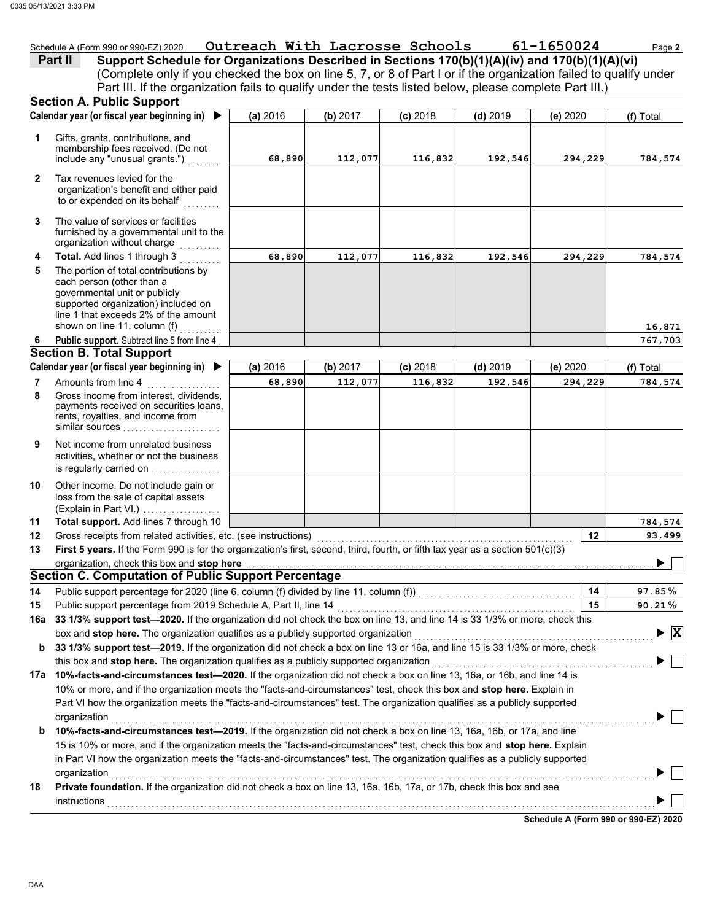| Schedule A (Form 990 or 990-EZ) 2020 |  | Outreach With Lacrosse Schools | 61-1650024 | Page 2 |
|--------------------------------------|--|--------------------------------|------------|--------|
|                                      |  |                                |            |        |

(Complete only if you checked the box on line 5, 7, or 8 of Part I or if the organization failed to qualify under **Part II Support Schedule for Organizations Described in Sections 170(b)(1)(A)(iv) and 170(b)(1)(A)(vi)** Part III. If the organization fails to qualify under the tests listed below, please complete Part III.)

|              | <b>Section A. Public Support</b>                                                                                                                                                                                                                                                                                                                                                                    |          |          |            |            |                                      |                                                 |  |  |  |
|--------------|-----------------------------------------------------------------------------------------------------------------------------------------------------------------------------------------------------------------------------------------------------------------------------------------------------------------------------------------------------------------------------------------------------|----------|----------|------------|------------|--------------------------------------|-------------------------------------------------|--|--|--|
|              | Calendar year (or fiscal year beginning in)<br>▶                                                                                                                                                                                                                                                                                                                                                    | (a) 2016 | (b) 2017 | $(c)$ 2018 | $(d)$ 2019 | (e) 2020                             | (f) Total                                       |  |  |  |
| 1            | Gifts, grants, contributions, and<br>membership fees received. (Do not<br>include any "unusual grants.")                                                                                                                                                                                                                                                                                            | 68,890   | 112,077  | 116,832    | 192,546    | 294,229                              | 784,574                                         |  |  |  |
| $\mathbf{2}$ | Tax revenues levied for the<br>organization's benefit and either paid<br>to or expended on its behalf                                                                                                                                                                                                                                                                                               |          |          |            |            |                                      |                                                 |  |  |  |
| 3            | The value of services or facilities<br>furnished by a governmental unit to the<br>organization without charge                                                                                                                                                                                                                                                                                       |          |          |            |            |                                      |                                                 |  |  |  |
| 4            | Total. Add lines 1 through 3                                                                                                                                                                                                                                                                                                                                                                        | 68,890   | 112,077  | 116,832    | 192,546    | 294,229                              | 784,574                                         |  |  |  |
| 5            | The portion of total contributions by<br>each person (other than a<br>governmental unit or publicly<br>supported organization) included on<br>line 1 that exceeds 2% of the amount                                                                                                                                                                                                                  |          |          |            |            |                                      |                                                 |  |  |  |
|              | shown on line 11, column (f)                                                                                                                                                                                                                                                                                                                                                                        |          |          |            |            |                                      | 16,871                                          |  |  |  |
| 6            | Public support. Subtract line 5 from line 4<br><b>Section B. Total Support</b>                                                                                                                                                                                                                                                                                                                      |          |          |            |            |                                      | 767,703                                         |  |  |  |
|              | Calendar year (or fiscal year beginning in) ▶                                                                                                                                                                                                                                                                                                                                                       | (a) 2016 | (b) 2017 | $(c)$ 2018 | $(d)$ 2019 | (e) 2020                             | (f) Total                                       |  |  |  |
|              | Amounts from line 4                                                                                                                                                                                                                                                                                                                                                                                 |          |          | 116,832    |            | 294,229                              |                                                 |  |  |  |
| 7<br>8       | Gross income from interest, dividends,<br>payments received on securities loans,<br>rents, royalties, and income from<br>similar sources                                                                                                                                                                                                                                                            | 68,890   | 112,077  |            | 192,546    |                                      | 784,574                                         |  |  |  |
| 9            | Net income from unrelated business<br>activities, whether or not the business<br>is regularly carried on                                                                                                                                                                                                                                                                                            |          |          |            |            |                                      |                                                 |  |  |  |
| 10<br>11     | Other income. Do not include gain or<br>loss from the sale of capital assets<br>(Explain in Part VI.)<br>Total support. Add lines 7 through 10                                                                                                                                                                                                                                                      |          |          |            |            |                                      | 784,574                                         |  |  |  |
| 12           | Gross receipts from related activities, etc. (see instructions)                                                                                                                                                                                                                                                                                                                                     |          |          |            |            | 12                                   | 93,499                                          |  |  |  |
| 13           | First 5 years. If the Form 990 is for the organization's first, second, third, fourth, or fifth tax year as a section 501(c)(3)                                                                                                                                                                                                                                                                     |          |          |            |            |                                      |                                                 |  |  |  |
|              | organization, check this box and stop here                                                                                                                                                                                                                                                                                                                                                          |          |          |            |            |                                      |                                                 |  |  |  |
|              | <b>Section C. Computation of Public Support Percentage</b>                                                                                                                                                                                                                                                                                                                                          |          |          |            |            |                                      |                                                 |  |  |  |
| 14           |                                                                                                                                                                                                                                                                                                                                                                                                     |          |          |            |            | 14                                   | $97.85\%$                                       |  |  |  |
| 15           | Public support percentage from 2019 Schedule A, Part II, line 14                                                                                                                                                                                                                                                                                                                                    |          |          |            |            | 15                                   | 90.21%                                          |  |  |  |
|              | 16a 33 1/3% support test-2020. If the organization did not check the box on line 13, and line 14 is 33 1/3% or more, check this                                                                                                                                                                                                                                                                     |          |          |            |            |                                      |                                                 |  |  |  |
|              | box and stop here. The organization qualifies as a publicly supported organization                                                                                                                                                                                                                                                                                                                  |          |          |            |            |                                      | $\blacktriangleright$ $ \overline{\mathrm{X}} $ |  |  |  |
| b            | 33 1/3% support test-2019. If the organization did not check a box on line 13 or 16a, and line 15 is 33 1/3% or more, check                                                                                                                                                                                                                                                                         |          |          |            |            |                                      |                                                 |  |  |  |
|              | this box and stop here. The organization qualifies as a publicly supported organization                                                                                                                                                                                                                                                                                                             |          |          |            |            |                                      |                                                 |  |  |  |
| 17а          | 10%-facts-and-circumstances test-2020. If the organization did not check a box on line 13, 16a, or 16b, and line 14 is                                                                                                                                                                                                                                                                              |          |          |            |            |                                      |                                                 |  |  |  |
|              | 10% or more, and if the organization meets the "facts-and-circumstances" test, check this box and stop here. Explain in<br>Part VI how the organization meets the "facts-and-circumstances" test. The organization qualifies as a publicly supported<br>organization                                                                                                                                |          |          |            |            |                                      |                                                 |  |  |  |
| b            | 10%-facts-and-circumstances test-2019. If the organization did not check a box on line 13, 16a, 16b, or 17a, and line<br>15 is 10% or more, and if the organization meets the "facts-and-circumstances" test, check this box and stop here. Explain<br>in Part VI how the organization meets the "facts-and-circumstances" test. The organization qualifies as a publicly supported<br>organization |          |          |            |            |                                      |                                                 |  |  |  |
| 18           | Private foundation. If the organization did not check a box on line 13, 16a, 16b, 17a, or 17b, check this box and see<br>instructions                                                                                                                                                                                                                                                               |          |          |            |            |                                      |                                                 |  |  |  |
|              |                                                                                                                                                                                                                                                                                                                                                                                                     |          |          |            |            | Schedule A (Form 990 or 990-EZ) 2020 |                                                 |  |  |  |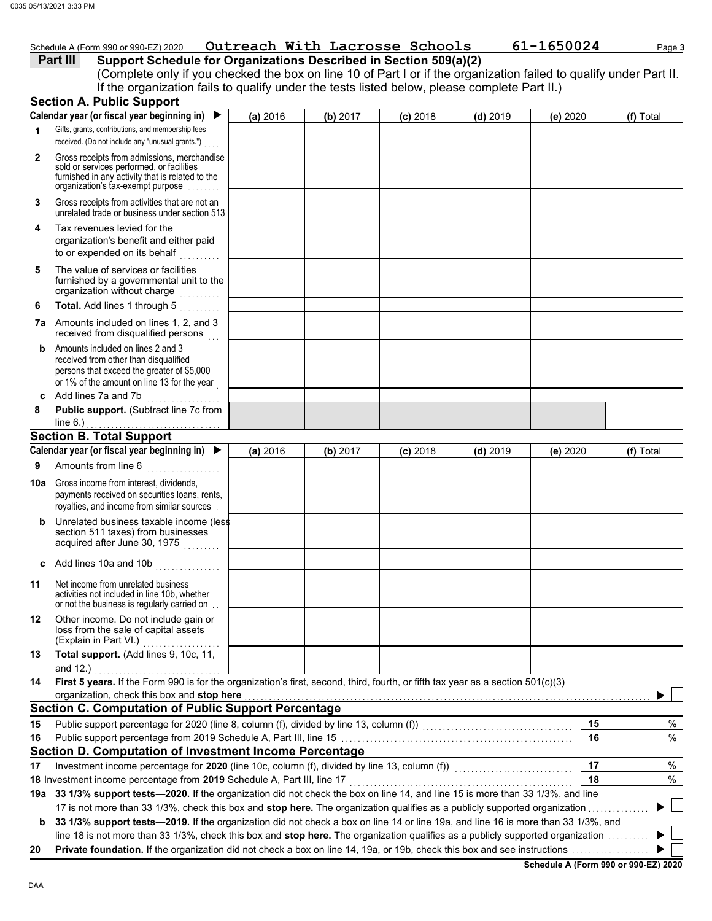|              | Schedule A (Form 990 or 990-EZ) 2020                                                                                                                                               |          |          | Outreach With Lacrosse Schools |            | 61-1650024 | Page 3    |
|--------------|------------------------------------------------------------------------------------------------------------------------------------------------------------------------------------|----------|----------|--------------------------------|------------|------------|-----------|
|              | Support Schedule for Organizations Described in Section 509(a)(2)<br>Part III                                                                                                      |          |          |                                |            |            |           |
|              | (Complete only if you checked the box on line 10 of Part I or if the organization failed to qualify under Part II.                                                                 |          |          |                                |            |            |           |
|              | If the organization fails to qualify under the tests listed below, please complete Part II.)                                                                                       |          |          |                                |            |            |           |
|              | <b>Section A. Public Support</b>                                                                                                                                                   |          |          |                                |            |            |           |
|              | Calendar year (or fiscal year beginning in) $\blacktriangleright$                                                                                                                  | (a) 2016 | (b) 2017 | $(c)$ 2018                     | $(d)$ 2019 | (e) 2020   | (f) Total |
| 1            | Gifts, grants, contributions, and membership fees<br>received. (Do not include any "unusual grants.")                                                                              |          |          |                                |            |            |           |
| $\mathbf{2}$ | Gross receipts from admissions, merchandise<br>sold or services performed, or facilities<br>furnished in any activity that is related to the<br>organization's tax-exempt purpose  |          |          |                                |            |            |           |
| 3            | Gross receipts from activities that are not an<br>unrelated trade or business under section 513                                                                                    |          |          |                                |            |            |           |
| 4            | Tax revenues levied for the<br>organization's benefit and either paid<br>to or expended on its behalf<br>aaaaaaaa                                                                  |          |          |                                |            |            |           |
| 5            | The value of services or facilities<br>furnished by a governmental unit to the<br>organization without charge<br>.                                                                 |          |          |                                |            |            |           |
| 6            | Total. Add lines 1 through 5                                                                                                                                                       |          |          |                                |            |            |           |
|              | 7a Amounts included on lines 1, 2, and 3<br>received from disqualified persons                                                                                                     |          |          |                                |            |            |           |
| b            | Amounts included on lines 2 and 3<br>received from other than disqualified<br>persons that exceed the greater of \$5,000<br>or 1% of the amount on line 13 for the year            |          |          |                                |            |            |           |
| C            | Add lines 7a and 7b                                                                                                                                                                |          |          |                                |            |            |           |
| 8            | Public support. (Subtract line 7c from                                                                                                                                             |          |          |                                |            |            |           |
|              | line 6.) $\ldots$                                                                                                                                                                  |          |          |                                |            |            |           |
|              | <b>Section B. Total Support</b><br>Calendar year (or fiscal year beginning in)                                                                                                     |          |          |                                |            |            | (f) Total |
| 9            | Amounts from line 6                                                                                                                                                                | (a) 2016 | (b) 2017 | $(c)$ 2018                     | $(d)$ 2019 | (e) 2020   |           |
|              | <u> 1966 - Johann Stoff, Amerikaansk kon</u>                                                                                                                                       |          |          |                                |            |            |           |
| 10a          | Gross income from interest, dividends,<br>payments received on securities loans, rents,<br>royalties, and income from similar sources                                              |          |          |                                |            |            |           |
| b            | Unrelated business taxable income (less<br>section 511 taxes) from businesses<br>acquired after June 30, 1975<br>.                                                                 |          |          |                                |            |            |           |
|              | Add lines 10a and 10b                                                                                                                                                              |          |          |                                |            |            |           |
| 11           | Net income from unrelated business<br>activities not included in line 10b, whether<br>or not the business is regularly carried on                                                  |          |          |                                |            |            |           |
| 12           | Other income. Do not include gain or<br>loss from the sale of capital assets<br>(Explain in Part VI.)                                                                              |          |          |                                |            |            |           |
| 13           | Total support. (Add lines 9, 10c, 11,<br>and 12.)                                                                                                                                  |          |          |                                |            |            |           |
| 14           | .<br>First 5 years. If the Form 990 is for the organization's first, second, third, fourth, or fifth tax year as a section 501(c)(3)<br>organization, check this box and stop here |          |          |                                |            |            |           |
|              | <b>Section C. Computation of Public Support Percentage</b>                                                                                                                         |          |          |                                |            |            |           |
| 15           |                                                                                                                                                                                    |          |          |                                |            | 15         | %         |
| 16           |                                                                                                                                                                                    |          |          |                                |            | 16         | %         |
|              | Section D. Computation of Investment Income Percentage                                                                                                                             |          |          |                                |            |            |           |
| 17           | Investment income percentage for 2020 (line 10c, column (f), divided by line 13, column (f)) [[[[[[[[[[[[[[[[                                                                      |          |          |                                |            | 17         | %         |
|              | 18 Investment income percentage from 2019 Schedule A, Part III, line 17                                                                                                            |          |          |                                |            | 18         | %         |
|              | 19a 33 1/3% support tests-2020. If the organization did not check the box on line 14, and line 15 is more than 33 1/3%, and line                                                   |          |          |                                |            |            |           |
|              | 17 is not more than 33 1/3%, check this box and stop here. The organization qualifies as a publicly supported organization                                                         |          |          |                                |            |            |           |
| b            | 33 1/3% support tests-2019. If the organization did not check a box on line 14 or line 19a, and line 16 is more than 33 1/3%, and                                                  |          |          |                                |            |            |           |
|              | line 18 is not more than 33 1/3%, check this box and stop here. The organization qualifies as a publicly supported organization                                                    |          |          |                                |            |            |           |

**20 Private foundation.** If the organization did not check a box on line 14, 19a, or 19b, check this box and see instructions ………………

**Schedule A (Form 990 or 990-EZ) 2020**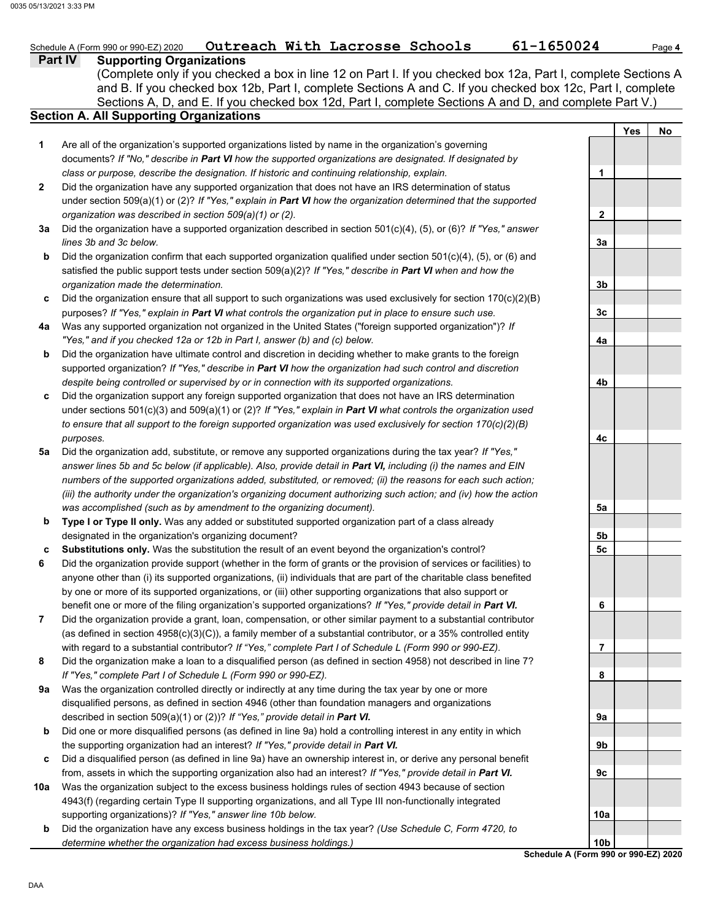#### **Part IV Supporting Organizations** Sections A, D, and E. If you checked box 12d, Part I, complete Sections A and D, and complete Part V.) Schedule A (Form 990 or 990-EZ) 2020 **Outreach With Lacrosse Schools 61-1650024** Page 4 **Section A. All Supporting Organizations** (Complete only if you checked a box in line 12 on Part I. If you checked box 12a, Part I, complete Sections A and B. If you checked box 12b, Part I, complete Sections A and C. If you checked box 12c, Part I, complete Are all of the organization's supported organizations listed by name in the organization's governing documents? *If "No," describe in Part VI how the supported organizations are designated. If designated by class or purpose, describe the designation. If historic and continuing relationship, explain.* Did the organization have any supported organization that does not have an IRS determination of status under section 509(a)(1) or (2)? *If "Yes," explain in Part VI how the organization determined that the supported organization was described in section 509(a)(1) or (2).* **1 2 3a** Did the organization have a supported organization described in section 501(c)(4), (5), or (6)? *If "Yes," answer* **b c** Did the organization ensure that all support to such organizations was used exclusively for section 170(c)(2)(B) **4a** Was any supported organization not organized in the United States ("foreign supported organization")? *If* **b c** Did the organization support any foreign supported organization that does not have an IRS determination **5a** Did the organization add, substitute, or remove any supported organizations during the tax year? *If "Yes,"* **b c 6 7 8** *lines 3b and 3c below.* Did the organization confirm that each supported organization qualified under section  $501(c)(4)$ , (5), or (6) and satisfied the public support tests under section 509(a)(2)? *If "Yes," describe in Part VI when and how the organization made the determination.* purposes? *If "Yes," explain in Part VI what controls the organization put in place to ensure such use. "Yes," and if you checked 12a or 12b in Part I, answer (b) and (c) below.* Did the organization have ultimate control and discretion in deciding whether to make grants to the foreign supported organization? *If "Yes," describe in Part VI how the organization had such control and discretion despite being controlled or supervised by or in connection with its supported organizations.* under sections 501(c)(3) and 509(a)(1) or (2)? *If "Yes," explain in Part VI what controls the organization used to ensure that all support to the foreign supported organization was used exclusively for section 170(c)(2)(B) purposes. answer lines 5b and 5c below (if applicable). Also, provide detail in Part VI, including (i) the names and EIN numbers of the supported organizations added, substituted, or removed; (ii) the reasons for each such action; (iii) the authority under the organization's organizing document authorizing such action; and (iv) how the action was accomplished (such as by amendment to the organizing document).* **Type I or Type II only.** Was any added or substituted supported organization part of a class already designated in the organization's organizing document? **Substitutions only.** Was the substitution the result of an event beyond the organization's control? Did the organization provide support (whether in the form of grants or the provision of services or facilities) to anyone other than (i) its supported organizations, (ii) individuals that are part of the charitable class benefited by one or more of its supported organizations, or (iii) other supporting organizations that also support or benefit one or more of the filing organization's supported organizations? *If "Yes," provide detail in Part VI.* Did the organization provide a grant, loan, compensation, or other similar payment to a substantial contributor (as defined in section 4958(c)(3)(C)), a family member of a substantial contributor, or a 35% controlled entity with regard to a substantial contributor? *If "Yes," complete Part I of Schedule L (Form 990 or 990-EZ).* Did the organization make a loan to a disqualified person (as defined in section 4958) not described in line 7? *If "Yes," complete Part I of Schedule L (Form 990 or 990-EZ).* **Yes No 1 2 3a 3b 3c 4a 4b 4c 5a 5b 5c 6 7 8** 0035 05/13/2021 3:33 PM

- **9a** Was the organization controlled directly or indirectly at any time during the tax year by one or more disqualified persons, as defined in section 4946 (other than foundation managers and organizations described in section 509(a)(1) or (2))? *If "Yes," provide detail in Part VI.*
- **b** Did one or more disqualified persons (as defined in line 9a) hold a controlling interest in any entity in which the supporting organization had an interest? *If "Yes," provide detail in Part VI.*
- **c** Did a disqualified person (as defined in line 9a) have an ownership interest in, or derive any personal benefit from, assets in which the supporting organization also had an interest? *If "Yes," provide detail in Part VI.*
- **10a** Was the organization subject to the excess business holdings rules of section 4943 because of section 4943(f) (regarding certain Type II supporting organizations, and all Type III non-functionally integrated supporting organizations)? *If "Yes," answer line 10b below.*
- **b** Did the organization have any excess business holdings in the tax year? *(Use Schedule C, Form 4720, to determine whether the organization had excess business holdings.)*

**Schedule A (Form 990 or 990-EZ) 2020 10b**

**9a**

**9b**

**9c**

**10a**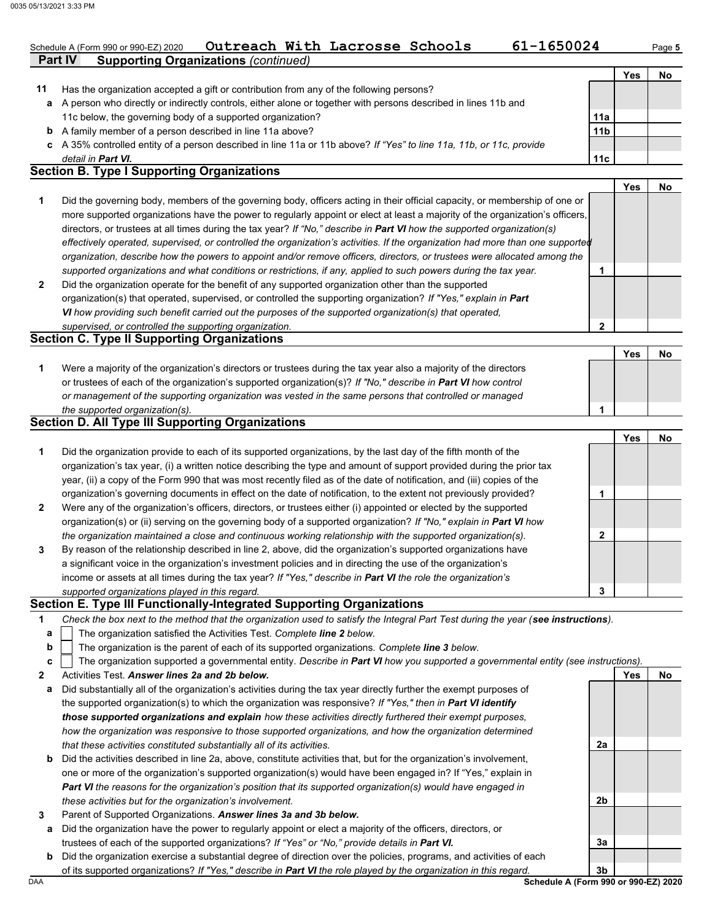|         | Schedule A (Form 990 or 990-EZ) 2020        | Outreach With Lacrosse Schools |  | 61-1650024 | Paqe 5 |
|---------|---------------------------------------------|--------------------------------|--|------------|--------|
| Part IV | <b>Supporting Organizations (continued)</b> |                                |  |            |        |

|    |                                                                                                                      |                 | Yes |  |
|----|----------------------------------------------------------------------------------------------------------------------|-----------------|-----|--|
| 11 | Has the organization accepted a gift or contribution from any of the following persons?                              |                 |     |  |
| a  | A person who directly or indirectly controls, either alone or together with persons described in lines 11b and       |                 |     |  |
|    | 11c below, the governing body of a supported organization?                                                           | 11a             |     |  |
|    | <b>b</b> A family member of a person described in line 11a above?                                                    | 11 <sub>b</sub> |     |  |
|    | c A 35% controlled entity of a person described in line 11a or 11b above? If "Yes" to line 11a, 11b, or 11c, provide |                 |     |  |
|    | detail in <b>Part VI.</b>                                                                                            | 11c             |     |  |
|    | 0. <del>.</del> 0. 0.                                                                                                |                 |     |  |

#### **Section B. Type I Supporting Organizations**

|                |                                                                                                                                | Yes | No |
|----------------|--------------------------------------------------------------------------------------------------------------------------------|-----|----|
|                | Did the governing body, members of the governing body, officers acting in their official capacity, or membership of one or     |     |    |
|                | more supported organizations have the power to regularly appoint or elect at least a majority of the organization's officers,  |     |    |
|                | directors, or trustees at all times during the tax year? If "No," describe in Part VI how the supported organization(s)        |     |    |
|                | effectively operated, supervised, or controlled the organization's activities. If the organization had more than one supported |     |    |
|                | organization, describe how the powers to appoint and/or remove officers, directors, or trustees were allocated among the       |     |    |
|                | supported organizations and what conditions or restrictions, if any, applied to such powers during the tax year.               |     |    |
| $\overline{2}$ | Did the organization operate for the benefit of any supported organization other than the supported                            |     |    |
|                | organization(s) that operated, supervised, or controlled the supporting organization? If "Yes," explain in Part                |     |    |
|                | M have nearialize areals hanafit comined antithe premises of the componised experimation (a) that expected                     |     |    |

*VI how providing such benefit carried out the purposes of the supported organization(s) that operated,* 

#### *supervised, or controlled the supporting organization.* **Section C. Type II Supporting Organizations**

|                                                                                                                  | Yes | No |
|------------------------------------------------------------------------------------------------------------------|-----|----|
| Were a majority of the organization's directors or trustees during the tax year also a majority of the directors |     |    |
| or trustees of each of the organization's supported organization(s)? If "No," describe in Part VI how control    |     |    |
| or management of the supporting organization was vested in the same persons that controlled or managed           |     |    |
| the supported organization(s).                                                                                   |     |    |

### **Section D. All Type III Supporting Organizations**

|                |                                                                                                                        |   | Yes | No |
|----------------|------------------------------------------------------------------------------------------------------------------------|---|-----|----|
| 1              | Did the organization provide to each of its supported organizations, by the last day of the fifth month of the         |   |     |    |
|                | organization's tax year, (i) a written notice describing the type and amount of support provided during the prior tax  |   |     |    |
|                | year, (ii) a copy of the Form 990 that was most recently filed as of the date of notification, and (iii) copies of the |   |     |    |
|                | organization's governing documents in effect on the date of notification, to the extent not previously provided?       |   |     |    |
| $\overline{2}$ | Were any of the organization's officers, directors, or trustees either (i) appointed or elected by the supported       |   |     |    |
|                | organization(s) or (ii) serving on the governing body of a supported organization? If "No," explain in Part VI how     |   |     |    |
|                | the organization maintained a close and continuous working relationship with the supported organization(s).            | 2 |     |    |
| 3              | By reason of the relationship described in line 2, above, did the organization's supported organizations have          |   |     |    |
|                | a significant voice in the organization's investment policies and in directing the use of the organization's           |   |     |    |
|                | income or assets at all times during the tax year? If "Yes," describe in Part VI the role the organization's           |   |     |    |
|                | supported organizations played in this regard.                                                                         | ◠ |     |    |

#### **Section E. Type III Functionally-Integrated Supporting Organizations**

|  | Check the box next to the method that the organization used to satisfy the Integral Part Test during the year (see instructions). |
|--|-----------------------------------------------------------------------------------------------------------------------------------|
|--|-----------------------------------------------------------------------------------------------------------------------------------|

- The organization satisfied the Activities Test. *Complete line 2 below.* **a**
- The organization is the parent of each of its supported organizations. *Complete line 3 below.* **b**

|  |  | $c$   The organization supported a governmental entity. Describe in <b>Part VI</b> how you supported a governmental entity (see instructions). |  |
|--|--|------------------------------------------------------------------------------------------------------------------------------------------------|--|
|  |  |                                                                                                                                                |  |

- **2** Activities Test. *Answer lines 2a and 2b below.*
- **a** Did substantially all of the organization's activities during the tax year directly further the exempt purposes of the supported organization(s) to which the organization was responsive? *If "Yes," then in Part VI identify those supported organizations and explain how these activities directly furthered their exempt purposes, how the organization was responsive to those supported organizations, and how the organization determined that these activities constituted substantially all of its activities.*
- **b** Did the activities described in line 2a, above, constitute activities that, but for the organization's involvement, one or more of the organization's supported organization(s) would have been engaged in? If "Yes," explain in *Part VI the reasons for the organization's position that its supported organization(s) would have engaged in these activities but for the organization's involvement.*
- **3** Parent of Supported Organizations. *Answer lines 3a and 3b below.*
	- **a** Did the organization have the power to regularly appoint or elect a majority of the officers, directors, or trustees of each of the supported organizations? *If "Yes" or "No," provide details in Part VI.*
- DAA **Schedule A (Form 990 or 990-EZ) 2020 b** Did the organization exercise a substantial degree of direction over the policies, programs, and activities of each of its supported organizations? *If "Yes," describe in Part VI the role played by the organization in this regard.*

**3b**

**2a**

**2b**

**3a**

**Yes No**

**2**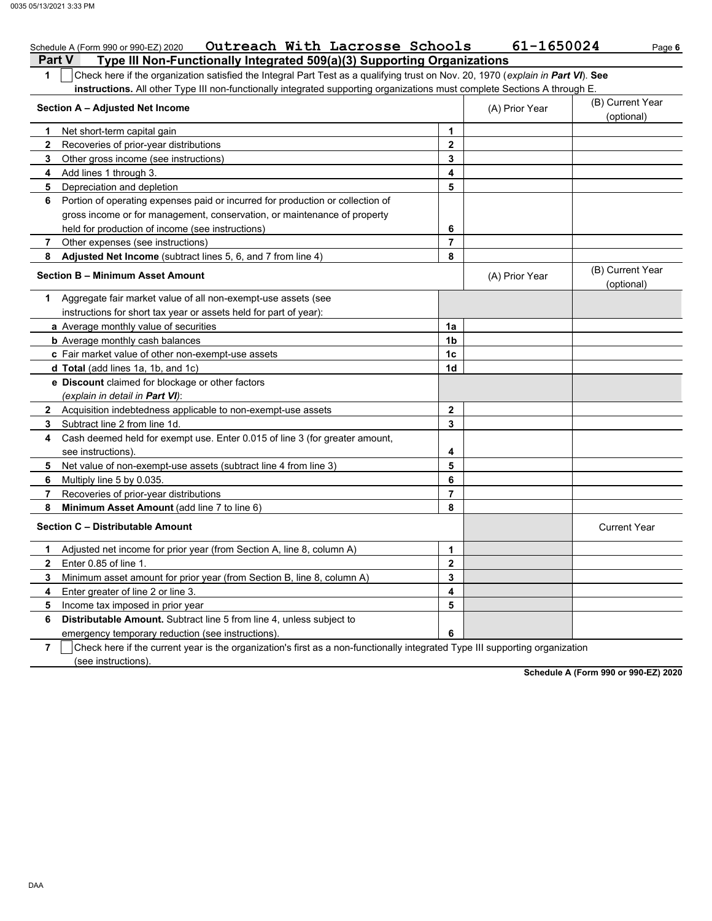|                | Outreach With Lacrosse Schools<br>Schedule A (Form 990 or 990-EZ) 2020                                                           |                         | 61-1650024     | Page 6                         |  |  |  |  |  |
|----------------|----------------------------------------------------------------------------------------------------------------------------------|-------------------------|----------------|--------------------------------|--|--|--|--|--|
|                | <b>Part V</b><br>Type III Non-Functionally Integrated 509(a)(3) Supporting Organizations                                         |                         |                |                                |  |  |  |  |  |
| 1              | Check here if the organization satisfied the Integral Part Test as a qualifying trust on Nov. 20, 1970 (explain in Part VI). See |                         |                |                                |  |  |  |  |  |
|                | instructions. All other Type III non-functionally integrated supporting organizations must complete Sections A through E.        |                         |                |                                |  |  |  |  |  |
|                | Section A - Adjusted Net Income                                                                                                  |                         | (A) Prior Year | (B) Current Year<br>(optional) |  |  |  |  |  |
| 1              | Net short-term capital gain                                                                                                      | 1                       |                |                                |  |  |  |  |  |
| $\mathbf{2}$   | Recoveries of prior-year distributions                                                                                           | $\overline{2}$          |                |                                |  |  |  |  |  |
| 3              | Other gross income (see instructions)                                                                                            | 3                       |                |                                |  |  |  |  |  |
| 4              | Add lines 1 through 3.                                                                                                           | $\overline{\mathbf{4}}$ |                |                                |  |  |  |  |  |
| 5              | Depreciation and depletion                                                                                                       | 5                       |                |                                |  |  |  |  |  |
| 6              | Portion of operating expenses paid or incurred for production or collection of                                                   |                         |                |                                |  |  |  |  |  |
|                | gross income or for management, conservation, or maintenance of property                                                         |                         |                |                                |  |  |  |  |  |
|                | held for production of income (see instructions)                                                                                 | 6                       |                |                                |  |  |  |  |  |
| 7              | Other expenses (see instructions)                                                                                                | $\overline{7}$          |                |                                |  |  |  |  |  |
| 8              | Adjusted Net Income (subtract lines 5, 6, and 7 from line 4)                                                                     | 8                       |                |                                |  |  |  |  |  |
|                | <b>Section B - Minimum Asset Amount</b>                                                                                          |                         | (A) Prior Year | (B) Current Year<br>(optional) |  |  |  |  |  |
| 1.             | Aggregate fair market value of all non-exempt-use assets (see                                                                    |                         |                |                                |  |  |  |  |  |
|                | instructions for short tax year or assets held for part of year):                                                                |                         |                |                                |  |  |  |  |  |
|                | a Average monthly value of securities                                                                                            | 1a                      |                |                                |  |  |  |  |  |
|                | <b>b</b> Average monthly cash balances                                                                                           | 1 <sub>b</sub>          |                |                                |  |  |  |  |  |
|                | c Fair market value of other non-exempt-use assets                                                                               | 1 <sub>c</sub>          |                |                                |  |  |  |  |  |
|                | d Total (add lines 1a, 1b, and 1c)                                                                                               | 1 <sub>d</sub>          |                |                                |  |  |  |  |  |
|                | e Discount claimed for blockage or other factors                                                                                 |                         |                |                                |  |  |  |  |  |
|                | (explain in detail in Part VI):                                                                                                  |                         |                |                                |  |  |  |  |  |
| $\mathbf{2}$   | Acquisition indebtedness applicable to non-exempt-use assets                                                                     | $\overline{2}$          |                |                                |  |  |  |  |  |
| 3              | Subtract line 2 from line 1d.                                                                                                    | 3                       |                |                                |  |  |  |  |  |
| 4              | Cash deemed held for exempt use. Enter 0.015 of line 3 (for greater amount,                                                      |                         |                |                                |  |  |  |  |  |
|                | see instructions).                                                                                                               | 4                       |                |                                |  |  |  |  |  |
| 5              | Net value of non-exempt-use assets (subtract line 4 from line 3)                                                                 | 5                       |                |                                |  |  |  |  |  |
| 6              | Multiply line 5 by 0.035.                                                                                                        | 6                       |                |                                |  |  |  |  |  |
| 7              | Recoveries of prior-year distributions                                                                                           | $\overline{7}$          |                |                                |  |  |  |  |  |
| 8              | Minimum Asset Amount (add line 7 to line 6)                                                                                      | 8                       |                |                                |  |  |  |  |  |
|                | Section C - Distributable Amount                                                                                                 |                         |                | <b>Current Year</b>            |  |  |  |  |  |
| 1.             | Adjusted net income for prior year (from Section A, line 8, column A)                                                            | 1                       |                |                                |  |  |  |  |  |
| $\mathbf{2}$   | Enter 0.85 of line 1.                                                                                                            | $\mathbf 2$             |                |                                |  |  |  |  |  |
| 3              | Minimum asset amount for prior year (from Section B, line 8, column A)                                                           | 3                       |                |                                |  |  |  |  |  |
| 4              | Enter greater of line 2 or line 3.                                                                                               | 4                       |                |                                |  |  |  |  |  |
| 5              | Income tax imposed in prior year                                                                                                 | 5                       |                |                                |  |  |  |  |  |
| 6              | Distributable Amount. Subtract line 5 from line 4, unless subject to                                                             |                         |                |                                |  |  |  |  |  |
|                | emergency temporary reduction (see instructions).                                                                                | 6                       |                |                                |  |  |  |  |  |
| $\overline{7}$ | Check here if the current year is the organization's first as a non-functionally integrated Type III supporting organization     |                         |                |                                |  |  |  |  |  |

 $\Box$  (see instructions).

**Schedule A (Form 990 or 990-EZ) 2020**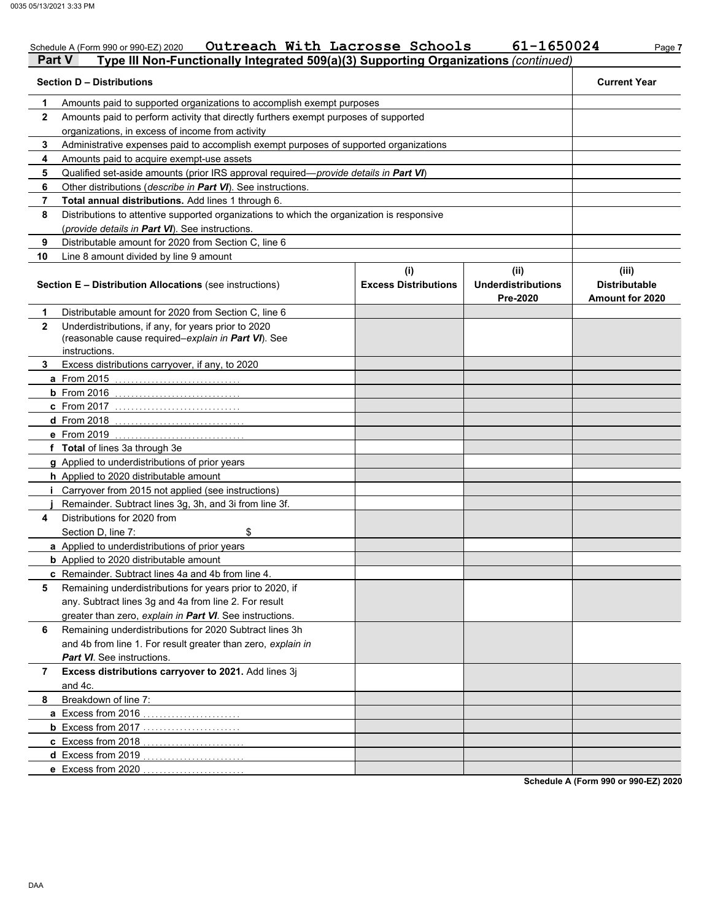| Part V       | Outreach With Lacrosse Schools<br>Schedule A (Form 990 or 990-EZ) 2020<br>Type III Non-Functionally Integrated 509(a)(3) Supporting Organizations (continued) |                                    | 61-1650024                                    | Page 7                                           |
|--------------|---------------------------------------------------------------------------------------------------------------------------------------------------------------|------------------------------------|-----------------------------------------------|--------------------------------------------------|
|              | <b>Section D - Distributions</b>                                                                                                                              |                                    |                                               | <b>Current Year</b>                              |
| 1            | Amounts paid to supported organizations to accomplish exempt purposes                                                                                         |                                    |                                               |                                                  |
| $\mathbf{2}$ | Amounts paid to perform activity that directly furthers exempt purposes of supported                                                                          |                                    |                                               |                                                  |
|              | organizations, in excess of income from activity                                                                                                              |                                    |                                               |                                                  |
| 3            | Administrative expenses paid to accomplish exempt purposes of supported organizations                                                                         |                                    |                                               |                                                  |
| 4            | Amounts paid to acquire exempt-use assets                                                                                                                     |                                    |                                               |                                                  |
| 5            | Qualified set-aside amounts (prior IRS approval required-provide details in Part VI)                                                                          |                                    |                                               |                                                  |
| 6            | Other distributions (describe in Part VI). See instructions.                                                                                                  |                                    |                                               |                                                  |
| 7            | Total annual distributions. Add lines 1 through 6.                                                                                                            |                                    |                                               |                                                  |
| 8            | Distributions to attentive supported organizations to which the organization is responsive                                                                    |                                    |                                               |                                                  |
|              | (provide details in Part VI). See instructions.                                                                                                               |                                    |                                               |                                                  |
| 9            | Distributable amount for 2020 from Section C, line 6                                                                                                          |                                    |                                               |                                                  |
| 10           | Line 8 amount divided by line 9 amount                                                                                                                        |                                    |                                               |                                                  |
|              | <b>Section E - Distribution Allocations (see instructions)</b>                                                                                                | (i)<br><b>Excess Distributions</b> | (ii)<br><b>Underdistributions</b><br>Pre-2020 | (iii)<br><b>Distributable</b><br>Amount for 2020 |
| 1            | Distributable amount for 2020 from Section C, line 6                                                                                                          |                                    |                                               |                                                  |
| $\mathbf{2}$ | Underdistributions, if any, for years prior to 2020                                                                                                           |                                    |                                               |                                                  |
|              | (reasonable cause required-explain in Part VI). See                                                                                                           |                                    |                                               |                                                  |
|              | instructions.                                                                                                                                                 |                                    |                                               |                                                  |
| 3            | Excess distributions carryover, if any, to 2020                                                                                                               |                                    |                                               |                                                  |
|              | a From 2015                                                                                                                                                   |                                    |                                               |                                                  |
|              | $b$ From 2016                                                                                                                                                 |                                    |                                               |                                                  |
|              | c From 2017                                                                                                                                                   |                                    |                                               |                                                  |
|              | $d$ From 2018                                                                                                                                                 |                                    |                                               |                                                  |
|              | e From 2019                                                                                                                                                   |                                    |                                               |                                                  |
|              | f Total of lines 3a through 3e                                                                                                                                |                                    |                                               |                                                  |
|              | g Applied to underdistributions of prior years                                                                                                                |                                    |                                               |                                                  |
|              | h Applied to 2020 distributable amount                                                                                                                        |                                    |                                               |                                                  |
|              | i Carryover from 2015 not applied (see instructions)                                                                                                          |                                    |                                               |                                                  |
|              | Remainder. Subtract lines 3g, 3h, and 3i from line 3f.                                                                                                        |                                    |                                               |                                                  |
| 4            | Distributions for 2020 from                                                                                                                                   |                                    |                                               |                                                  |
|              | Section D. line 7:<br>\$                                                                                                                                      |                                    |                                               |                                                  |
|              | a Applied to underdistributions of prior years                                                                                                                |                                    |                                               |                                                  |
|              | <b>b</b> Applied to 2020 distributable amount                                                                                                                 |                                    |                                               |                                                  |
|              | c Remainder. Subtract lines 4a and 4b from line 4.                                                                                                            |                                    |                                               |                                                  |
| 5            | Remaining underdistributions for years prior to 2020, if                                                                                                      |                                    |                                               |                                                  |
|              | any. Subtract lines 3g and 4a from line 2. For result                                                                                                         |                                    |                                               |                                                  |
|              | greater than zero, explain in Part VI. See instructions.                                                                                                      |                                    |                                               |                                                  |
| 6            | Remaining underdistributions for 2020 Subtract lines 3h                                                                                                       |                                    |                                               |                                                  |
|              | and 4b from line 1. For result greater than zero, explain in                                                                                                  |                                    |                                               |                                                  |
|              | Part VI. See instructions.                                                                                                                                    |                                    |                                               |                                                  |
| 7            | Excess distributions carryover to 2021. Add lines 3j                                                                                                          |                                    |                                               |                                                  |
|              | and 4c.                                                                                                                                                       |                                    |                                               |                                                  |
| 8            | Breakdown of line 7:                                                                                                                                          |                                    |                                               |                                                  |
|              | a Excess from 2016                                                                                                                                            |                                    |                                               |                                                  |
|              | <b>b</b> Excess from 2017                                                                                                                                     |                                    |                                               |                                                  |
|              | c Excess from 2018                                                                                                                                            |                                    |                                               |                                                  |
|              |                                                                                                                                                               |                                    |                                               |                                                  |
|              | d Excess from 2019                                                                                                                                            |                                    |                                               |                                                  |
|              | e Excess from 2020                                                                                                                                            |                                    |                                               |                                                  |

**Schedule A (Form 990 or 990-EZ) 2020**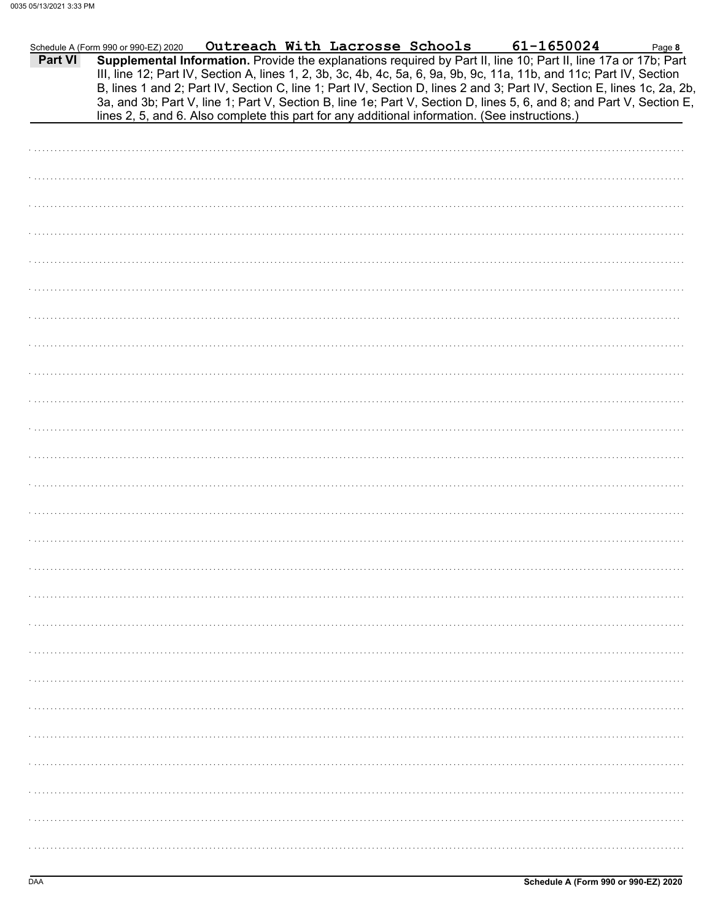|         | Schedule A (Form 990 or 990-EZ) 2020    Qutreach With Lacrosse Schools |                                                                                                |  | 61-1650024                                                                                                                                                                                                                                                                                                                                                                                                                                                                                | Page 8 |
|---------|------------------------------------------------------------------------|------------------------------------------------------------------------------------------------|--|-------------------------------------------------------------------------------------------------------------------------------------------------------------------------------------------------------------------------------------------------------------------------------------------------------------------------------------------------------------------------------------------------------------------------------------------------------------------------------------------|--------|
| Part VI |                                                                        |                                                                                                |  | Supplemental Information. Provide the explanations required by Part II, line 10; Part II, line 17a or 17b; Part<br>III, line 12; Part IV, Section A, lines 1, 2, 3b, 3c, 4b, 4c, 5a, 6, 9a, 9b, 9c, 11a, 11b, and 11c; Part IV, Section<br>B, lines 1 and 2; Part IV, Section C, line 1; Part IV, Section D, lines 2 and 3; Part IV, Section E, lines 1c, 2a, 2b,<br>3a, and 3b; Part V, line 1; Part V, Section B, line 1e; Part V, Section D, lines 5, 6, and 8; and Part V, Section E, |        |
|         |                                                                        | lines 2, 5, and 6. Also complete this part for any additional information. (See instructions.) |  |                                                                                                                                                                                                                                                                                                                                                                                                                                                                                           |        |
|         |                                                                        |                                                                                                |  |                                                                                                                                                                                                                                                                                                                                                                                                                                                                                           |        |
|         |                                                                        |                                                                                                |  |                                                                                                                                                                                                                                                                                                                                                                                                                                                                                           |        |
|         |                                                                        |                                                                                                |  |                                                                                                                                                                                                                                                                                                                                                                                                                                                                                           |        |
|         |                                                                        |                                                                                                |  |                                                                                                                                                                                                                                                                                                                                                                                                                                                                                           |        |
|         |                                                                        |                                                                                                |  |                                                                                                                                                                                                                                                                                                                                                                                                                                                                                           |        |
|         |                                                                        |                                                                                                |  |                                                                                                                                                                                                                                                                                                                                                                                                                                                                                           |        |
|         |                                                                        |                                                                                                |  |                                                                                                                                                                                                                                                                                                                                                                                                                                                                                           |        |
|         |                                                                        |                                                                                                |  |                                                                                                                                                                                                                                                                                                                                                                                                                                                                                           |        |
|         |                                                                        |                                                                                                |  |                                                                                                                                                                                                                                                                                                                                                                                                                                                                                           |        |
|         |                                                                        |                                                                                                |  |                                                                                                                                                                                                                                                                                                                                                                                                                                                                                           |        |
|         |                                                                        |                                                                                                |  |                                                                                                                                                                                                                                                                                                                                                                                                                                                                                           |        |
|         |                                                                        |                                                                                                |  |                                                                                                                                                                                                                                                                                                                                                                                                                                                                                           |        |
|         |                                                                        |                                                                                                |  |                                                                                                                                                                                                                                                                                                                                                                                                                                                                                           |        |
|         |                                                                        |                                                                                                |  |                                                                                                                                                                                                                                                                                                                                                                                                                                                                                           |        |
|         |                                                                        |                                                                                                |  |                                                                                                                                                                                                                                                                                                                                                                                                                                                                                           |        |
|         |                                                                        |                                                                                                |  |                                                                                                                                                                                                                                                                                                                                                                                                                                                                                           |        |
|         |                                                                        |                                                                                                |  |                                                                                                                                                                                                                                                                                                                                                                                                                                                                                           |        |
|         |                                                                        |                                                                                                |  |                                                                                                                                                                                                                                                                                                                                                                                                                                                                                           |        |
|         |                                                                        |                                                                                                |  |                                                                                                                                                                                                                                                                                                                                                                                                                                                                                           |        |
|         |                                                                        |                                                                                                |  |                                                                                                                                                                                                                                                                                                                                                                                                                                                                                           |        |
|         |                                                                        |                                                                                                |  |                                                                                                                                                                                                                                                                                                                                                                                                                                                                                           |        |
|         |                                                                        |                                                                                                |  |                                                                                                                                                                                                                                                                                                                                                                                                                                                                                           |        |
|         |                                                                        |                                                                                                |  |                                                                                                                                                                                                                                                                                                                                                                                                                                                                                           |        |
|         |                                                                        |                                                                                                |  |                                                                                                                                                                                                                                                                                                                                                                                                                                                                                           |        |
|         |                                                                        |                                                                                                |  |                                                                                                                                                                                                                                                                                                                                                                                                                                                                                           |        |
|         |                                                                        |                                                                                                |  |                                                                                                                                                                                                                                                                                                                                                                                                                                                                                           |        |
|         |                                                                        |                                                                                                |  |                                                                                                                                                                                                                                                                                                                                                                                                                                                                                           |        |
|         |                                                                        |                                                                                                |  |                                                                                                                                                                                                                                                                                                                                                                                                                                                                                           |        |
|         |                                                                        |                                                                                                |  |                                                                                                                                                                                                                                                                                                                                                                                                                                                                                           |        |
|         |                                                                        |                                                                                                |  |                                                                                                                                                                                                                                                                                                                                                                                                                                                                                           |        |
|         |                                                                        |                                                                                                |  |                                                                                                                                                                                                                                                                                                                                                                                                                                                                                           |        |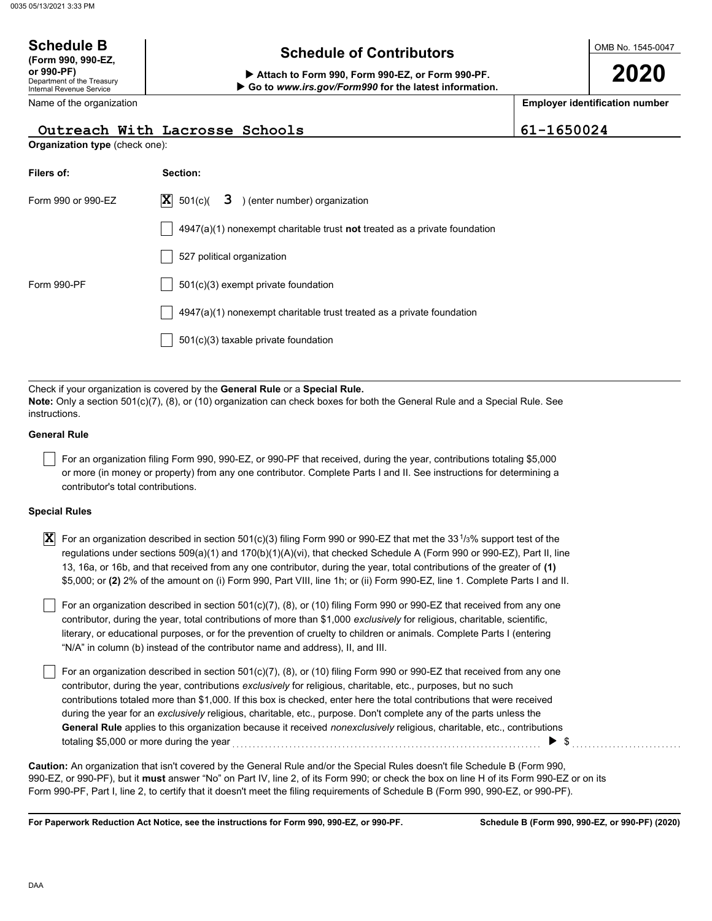Department of the Treasury Internal Revenue Service Name of the organization

**Organization type** (check one):

**(Form 990, 990-EZ,**

## **Schedule of Contributors Schedule B**

**or 990-PF)** X **Attach to Form 990, Form 990-EZ, or Form 990-PF.** ▶ Go to *www.irs.gov/Form990* for the latest information. OMB No. 1545-0047

**2020**

**Employer identification number**

Outreach With Lacrosse Schools **61-1650024** 

| Filers of:                         | Section:                                                                                                                                                                                                                                                                                                                                                                                                                                                                                                                                                                                                                                                        |  |  |  |  |  |  |
|------------------------------------|-----------------------------------------------------------------------------------------------------------------------------------------------------------------------------------------------------------------------------------------------------------------------------------------------------------------------------------------------------------------------------------------------------------------------------------------------------------------------------------------------------------------------------------------------------------------------------------------------------------------------------------------------------------------|--|--|--|--|--|--|
| Form 990 or 990-EZ                 | 3 ) (enter number) organization<br>ΙXΙ<br>501(c)(                                                                                                                                                                                                                                                                                                                                                                                                                                                                                                                                                                                                               |  |  |  |  |  |  |
|                                    | $4947(a)(1)$ nonexempt charitable trust not treated as a private foundation                                                                                                                                                                                                                                                                                                                                                                                                                                                                                                                                                                                     |  |  |  |  |  |  |
|                                    | 527 political organization                                                                                                                                                                                                                                                                                                                                                                                                                                                                                                                                                                                                                                      |  |  |  |  |  |  |
| Form 990-PF                        | 501(c)(3) exempt private foundation                                                                                                                                                                                                                                                                                                                                                                                                                                                                                                                                                                                                                             |  |  |  |  |  |  |
|                                    | $4947(a)(1)$ nonexempt charitable trust treated as a private foundation                                                                                                                                                                                                                                                                                                                                                                                                                                                                                                                                                                                         |  |  |  |  |  |  |
|                                    | $501(c)(3)$ taxable private foundation                                                                                                                                                                                                                                                                                                                                                                                                                                                                                                                                                                                                                          |  |  |  |  |  |  |
|                                    |                                                                                                                                                                                                                                                                                                                                                                                                                                                                                                                                                                                                                                                                 |  |  |  |  |  |  |
| instructions.                      | Check if your organization is covered by the General Rule or a Special Rule.<br>$\mathsf{Note}\colon$ Only a section 501(c)(7), (8), or (10) organization can check boxes for both the General Rule and a Special Rule. See                                                                                                                                                                                                                                                                                                                                                                                                                                     |  |  |  |  |  |  |
| <b>General Rule</b>                |                                                                                                                                                                                                                                                                                                                                                                                                                                                                                                                                                                                                                                                                 |  |  |  |  |  |  |
| contributor's total contributions. | For an organization filing Form 990, 990-EZ, or 990-PF that received, during the year, contributions totaling \$5,000<br>or more (in money or property) from any one contributor. Complete Parts I and II. See instructions for determining a                                                                                                                                                                                                                                                                                                                                                                                                                   |  |  |  |  |  |  |
| <b>Special Rules</b>               |                                                                                                                                                                                                                                                                                                                                                                                                                                                                                                                                                                                                                                                                 |  |  |  |  |  |  |
| X                                  | For an organization described in section 501(c)(3) filing Form 990 or 990-EZ that met the 33 <sup>1</sup> / <sub>3</sub> % support test of the<br>regulations under sections $509(a)(1)$ and $170(b)(1)(A)(vi)$ , that checked Schedule A (Form 990 or 990-EZ), Part II, line<br>13, 16a, or 16b, and that received from any one contributor, during the year, total contributions of the greater of (1)<br>\$5,000; or (2) 2% of the amount on (i) Form 990, Part VIII, line 1h; or (ii) Form 990-EZ, line 1. Complete Parts I and II.                                                                                                                         |  |  |  |  |  |  |
|                                    | For an organization described in section 501(c)(7), (8), or (10) filing Form 990 or 990-EZ that received from any one<br>contributor, during the year, total contributions of more than \$1,000 exclusively for religious, charitable, scientific,<br>literary, or educational purposes, or for the prevention of cruelty to children or animals. Complete Parts I (entering<br>"N/A" in column (b) instead of the contributor name and address), II, and III.                                                                                                                                                                                                  |  |  |  |  |  |  |
|                                    | For an organization described in section 501(c)(7), (8), or (10) filing Form 990 or 990-EZ that received from any one<br>contributor, during the year, contributions exclusively for religious, charitable, etc., purposes, but no such<br>contributions totaled more than \$1,000. If this box is checked, enter here the total contributions that were received<br>during the year for an exclusively religious, charitable, etc., purpose. Don't complete any of the parts unless the<br>General Rule applies to this organization because it received nonexclusively religious, charitable, etc., contributions<br>totaling \$5,000 or more during the year |  |  |  |  |  |  |
|                                    | Caution: An organization that isn't covered by the General Rule and/or the Special Rules doesn't file Schedule B (Form 990,                                                                                                                                                                                                                                                                                                                                                                                                                                                                                                                                     |  |  |  |  |  |  |

990-EZ, or 990-PF), but it **must** answer "No" on Part IV, line 2, of its Form 990; or check the box on line H of its Form 990-EZ or on its Form 990-PF, Part I, line 2, to certify that it doesn't meet the filing requirements of Schedule B (Form 990, 990-EZ, or 990-PF).

**For Paperwork Reduction Act Notice, see the instructions for Form 990, 990-EZ, or 990-PF.**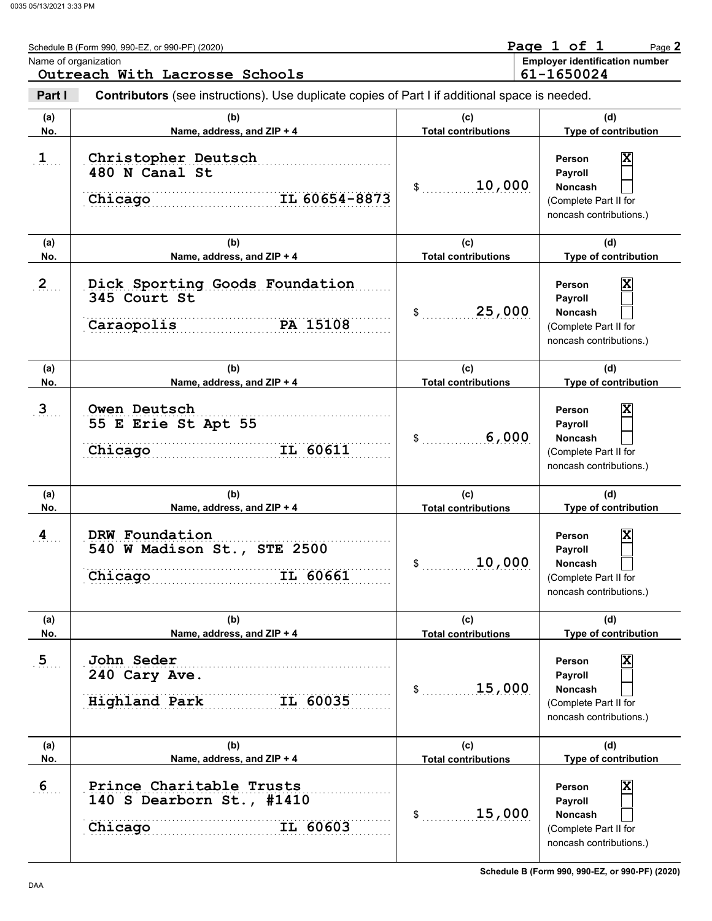| Schedule B (Form 990, 990-EZ, or 990-PF) (2020)<br>Name of organization |                                                                                                    |                                            | Page 1 of 1<br>Page 2<br><b>Employer identification number</b>                                                                             |
|-------------------------------------------------------------------------|----------------------------------------------------------------------------------------------------|--------------------------------------------|--------------------------------------------------------------------------------------------------------------------------------------------|
|                                                                         | Outreach With Lacrosse Schools                                                                     |                                            | 61-1650024                                                                                                                                 |
| Part I                                                                  | Contributors (see instructions). Use duplicate copies of Part I if additional space is needed.     |                                            |                                                                                                                                            |
| (a)<br>No.                                                              | (b)<br>Name, address, and ZIP + 4                                                                  | (c)<br><b>Total contributions</b>          | (d)<br>Type of contribution                                                                                                                |
| 1                                                                       | Christopher Deutsch<br>480 N Canal St<br>IL 60654-8873<br>Chicago                                  | 10,000<br>$\mathsf{S}$                     | $\overline{\mathbf{x}}$<br><b>Person</b><br>Payroll<br><b>Noncash</b><br>(Complete Part II for<br>noncash contributions.)                  |
| (a)<br>No.                                                              | (b)<br>Name, address, and ZIP + 4                                                                  | (c)<br><b>Total contributions</b>          | (d)<br>Type of contribution                                                                                                                |
| 2 <sub>1</sub>                                                          | Dick Sporting Goods Foundation<br>345 Court St<br>Caraopolis<br>PA 15108                           | 25,000<br>$\mathbb{S}$                     | $\overline{\mathbf{x}}$<br>Person<br>Payroll<br><b>Noncash</b><br>(Complete Part II for<br>noncash contributions.)                         |
| (a)<br>No.                                                              | (b)<br>Name, address, and ZIP + 4                                                                  | (c)<br><b>Total contributions</b>          | (d)<br>Type of contribution                                                                                                                |
| $\mathbf{3}$                                                            | Owen Deutsch<br>55 E Erie St Apt 55<br>IL 60611<br>Chicago                                         | 6,000<br>\$                                | $\overline{\mathbf{x}}$<br><b>Person</b><br>Payroll<br><b>Noncash</b><br>(Complete Part II for<br>noncash contributions.)                  |
| (a)                                                                     | (b)                                                                                                | (c)                                        | (d)                                                                                                                                        |
| No.<br>$\overline{4}$                                                   | Name, address, and ZIP + 4<br>DRW Foundation<br>540 W Madison St., STE 2500<br>IL 60661<br>Chicago | <b>Total contributions</b><br>10,000<br>\$ | Type of contribution<br>$\overline{\textbf{x}}$<br><b>Person</b><br>Payroll<br>Noncash<br>(Complete Part II for<br>noncash contributions.) |
| (a)<br>No.                                                              | (b)<br>Name, address, and ZIP + 4                                                                  | (c)<br><b>Total contributions</b>          | (d)<br>Type of contribution                                                                                                                |
| 5 <sub>1</sub>                                                          | John Seder<br>240 Cary Ave.<br>Highland Park<br>IL 60035                                           | 15,000<br>\$                               | X<br>Person<br>Payroll<br>Noncash<br>(Complete Part II for<br>noncash contributions.)                                                      |
| (a)<br>No.                                                              | (b)<br>Name, address, and ZIP + 4                                                                  | (c)<br><b>Total contributions</b>          | (d)<br>Type of contribution                                                                                                                |
| 6                                                                       | Prince Charitable Trusts<br>140 S Dearborn St., #1410<br>IL 60603<br>Chicago                       | 15,000<br>$\frac{1}{2}$                    | X<br>Person<br><b>Payroll</b><br>Noncash<br>(Complete Part II for<br>noncash contributions.)                                               |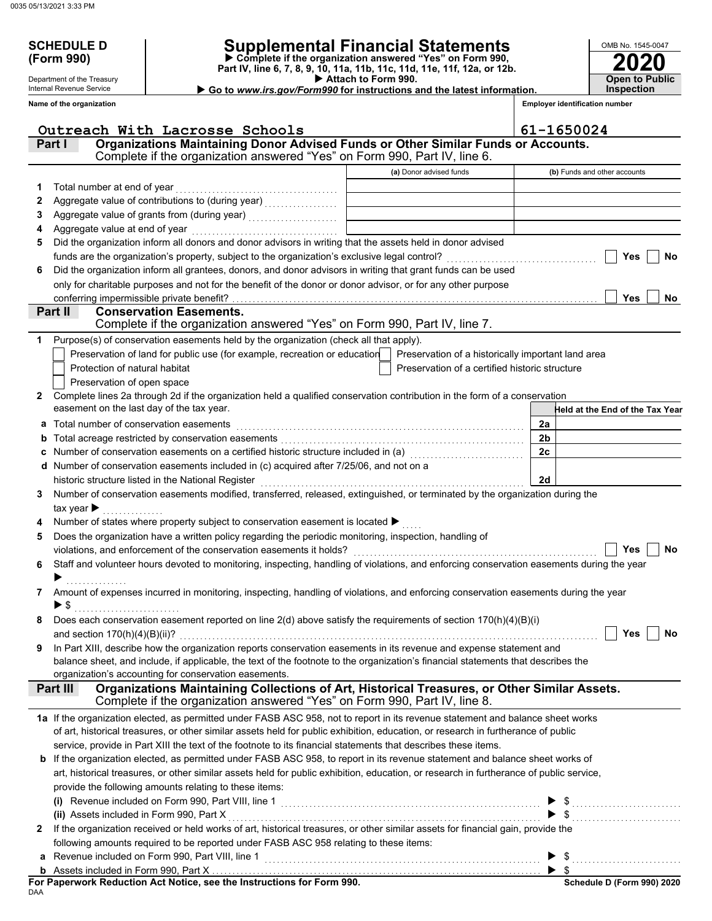Department of the Treasury Internal Revenue Service

### **SCHEDULE D Supplemental Financial Statements**

Attach to Form 990. **(Form 990)** ● **P** Complete if the organization answered "Yes" on Form 990,<br>Part IV, line 6, 7, 8, 9, 10, 11a, 11b, 11c, 11d, 11e, 11f, 12a, or 12b.

▶ Go to www.irs.gov/Form990 for instructions and the latest information.

**Inspection**

**2020**

**Open to Public**

OMB No. 1545-0047

|                | Name of the organization                                                                                                                                                              |                                                | <b>Employer identification number</b> |  |  |
|----------------|---------------------------------------------------------------------------------------------------------------------------------------------------------------------------------------|------------------------------------------------|---------------------------------------|--|--|
|                | Outreach With Lacrosse Schools                                                                                                                                                        |                                                | 61-1650024                            |  |  |
|                | Organizations Maintaining Donor Advised Funds or Other Similar Funds or Accounts.<br>Part I<br>Complete if the organization answered "Yes" on Form 990, Part IV, line 6.              |                                                |                                       |  |  |
|                |                                                                                                                                                                                       | (a) Donor advised funds                        | (b) Funds and other accounts          |  |  |
| 1              | Total number at end of year                                                                                                                                                           |                                                |                                       |  |  |
| 2              | Aggregate value of contributions to (during year)<br>[[[[[[[[[[[[[[[[]]]]]                                                                                                            |                                                |                                       |  |  |
| З              |                                                                                                                                                                                       |                                                |                                       |  |  |
| 4              | Aggregate value at end of year                                                                                                                                                        |                                                |                                       |  |  |
| 5              | Did the organization inform all donors and donor advisors in writing that the assets held in donor advised                                                                            |                                                |                                       |  |  |
|                | funds are the organization's property, subject to the organization's exclusive legal control?                                                                                         |                                                | <b>Yes</b><br><b>No</b>               |  |  |
| 6              | Did the organization inform all grantees, donors, and donor advisors in writing that grant funds can be used                                                                          |                                                |                                       |  |  |
|                | only for charitable purposes and not for the benefit of the donor or donor advisor, or for any other purpose                                                                          |                                                |                                       |  |  |
|                | conferring impermissible private benefit?                                                                                                                                             |                                                | <b>Yes</b><br>No                      |  |  |
|                | Part II<br><b>Conservation Easements.</b>                                                                                                                                             |                                                |                                       |  |  |
|                | Complete if the organization answered "Yes" on Form 990, Part IV, line 7.                                                                                                             |                                                |                                       |  |  |
| 1              | Purpose(s) of conservation easements held by the organization (check all that apply).                                                                                                 |                                                |                                       |  |  |
|                | Preservation of land for public use (for example, recreation or education   Preservation of a historically important land area                                                        |                                                |                                       |  |  |
|                | Protection of natural habitat                                                                                                                                                         | Preservation of a certified historic structure |                                       |  |  |
|                | Preservation of open space                                                                                                                                                            |                                                |                                       |  |  |
| $\mathbf{2}$   | Complete lines 2a through 2d if the organization held a qualified conservation contribution in the form of a conservation                                                             |                                                |                                       |  |  |
|                | easement on the last day of the tax year.                                                                                                                                             |                                                | Held at the End of the Tax Year       |  |  |
| a              | Total number of conservation easements                                                                                                                                                |                                                | 2a                                    |  |  |
| b              | Total acreage restricted by conservation easements                                                                                                                                    |                                                | 2 <sub>b</sub>                        |  |  |
|                |                                                                                                                                                                                       |                                                | 2c                                    |  |  |
| d              | Number of conservation easements included in (c) acquired after 7/25/06, and not on a                                                                                                 |                                                |                                       |  |  |
|                | historic structure listed in the National Register                                                                                                                                    |                                                | 2d                                    |  |  |
| 3              | Number of conservation easements modified, transferred, released, extinguished, or terminated by the organization during the                                                          |                                                |                                       |  |  |
|                | tax year $\blacktriangleright$                                                                                                                                                        |                                                |                                       |  |  |
|                | Number of states where property subject to conservation easement is located ▶                                                                                                         |                                                |                                       |  |  |
| 5              | Does the organization have a written policy regarding the periodic monitoring, inspection, handling of                                                                                |                                                |                                       |  |  |
|                | violations, and enforcement of the conservation easements it holds?                                                                                                                   |                                                | No<br>Yes                             |  |  |
| 6              | Staff and volunteer hours devoted to monitoring, inspecting, handling of violations, and enforcing conservation easements during the year                                             |                                                |                                       |  |  |
|                |                                                                                                                                                                                       |                                                |                                       |  |  |
| 7              | Amount of expenses incurred in monitoring, inspecting, handling of violations, and enforcing conservation easements during the year                                                   |                                                |                                       |  |  |
|                | ▶ \$                                                                                                                                                                                  |                                                |                                       |  |  |
|                | Does each conservation easement reported on line $2(d)$ above satisfy the requirements of section $170(h)(4)(B)(i)$                                                                   |                                                |                                       |  |  |
|                | and section $170(h)(4)(B)(ii)$ ?                                                                                                                                                      |                                                | Yes<br><b>No</b>                      |  |  |
| 9              | In Part XIII, describe how the organization reports conservation easements in its revenue and expense statement and                                                                   |                                                |                                       |  |  |
|                | balance sheet, and include, if applicable, the text of the footnote to the organization's financial statements that describes the                                                     |                                                |                                       |  |  |
|                | organization's accounting for conservation easements.                                                                                                                                 |                                                |                                       |  |  |
|                | Organizations Maintaining Collections of Art, Historical Treasures, or Other Similar Assets.<br>Part III<br>Complete if the organization answered "Yes" on Form 990, Part IV, line 8. |                                                |                                       |  |  |
|                |                                                                                                                                                                                       |                                                |                                       |  |  |
|                | 1a If the organization elected, as permitted under FASB ASC 958, not to report in its revenue statement and balance sheet works                                                       |                                                |                                       |  |  |
|                | of art, historical treasures, or other similar assets held for public exhibition, education, or research in furtherance of public                                                     |                                                |                                       |  |  |
|                | service, provide in Part XIII the text of the footnote to its financial statements that describes these items.                                                                        |                                                |                                       |  |  |
|                | b If the organization elected, as permitted under FASB ASC 958, to report in its revenue statement and balance sheet works of                                                         |                                                |                                       |  |  |
|                | art, historical treasures, or other similar assets held for public exhibition, education, or research in furtherance of public service,                                               |                                                |                                       |  |  |
|                | provide the following amounts relating to these items:                                                                                                                                |                                                |                                       |  |  |
|                |                                                                                                                                                                                       |                                                |                                       |  |  |
|                | (ii) Assets included in Form 990, Part X                                                                                                                                              |                                                |                                       |  |  |
| $\mathbf{2}^-$ | If the organization received or held works of art, historical treasures, or other similar assets for financial gain, provide the                                                      |                                                |                                       |  |  |
|                | following amounts required to be reported under FASB ASC 958 relating to these items:                                                                                                 |                                                |                                       |  |  |
|                | Revenue included on Form 990, Part VIII, line 1                                                                                                                                       |                                                |                                       |  |  |
|                |                                                                                                                                                                                       |                                                |                                       |  |  |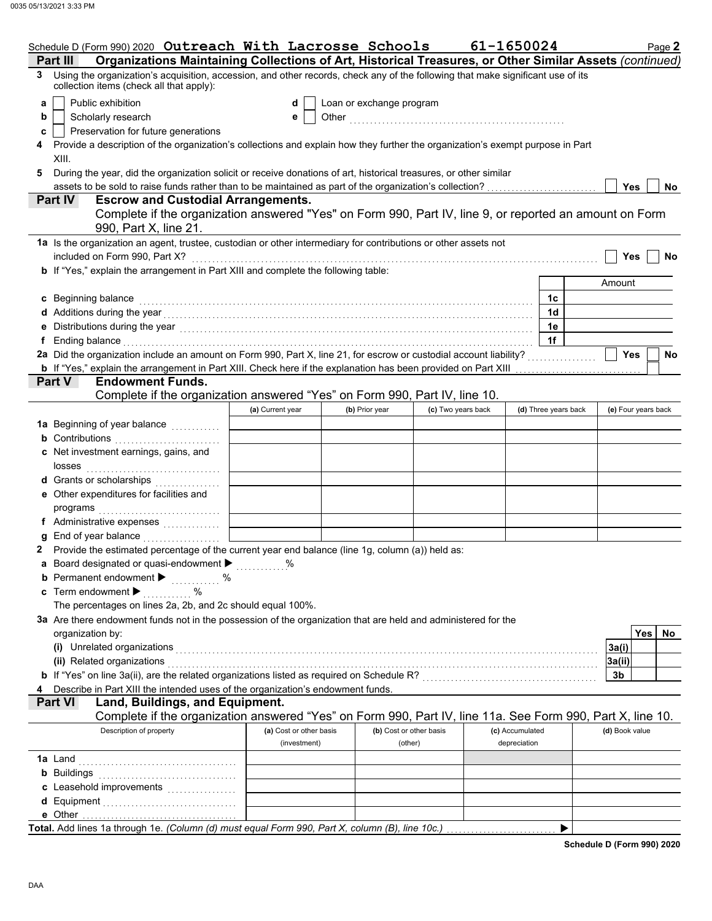|   | Schedule D (Form 990) 2020 Outreach With Lacrosse Schools                                                                                                                                                                                                          |                         |                |                         | 61-1650024      |                      | Page 2              |
|---|--------------------------------------------------------------------------------------------------------------------------------------------------------------------------------------------------------------------------------------------------------------------|-------------------------|----------------|-------------------------|-----------------|----------------------|---------------------|
|   | Organizations Maintaining Collections of Art, Historical Treasures, or Other Similar Assets (continued)<br>Part III                                                                                                                                                |                         |                |                         |                 |                      |                     |
| 3 | Using the organization's acquisition, accession, and other records, check any of the following that make significant use of its<br>collection items (check all that apply):                                                                                        |                         |                |                         |                 |                      |                     |
| a | Public exhibition<br>Loan or exchange program<br>d                                                                                                                                                                                                                 |                         |                |                         |                 |                      |                     |
| b | Scholarly research                                                                                                                                                                                                                                                 | е                       |                |                         |                 |                      |                     |
| c | Preservation for future generations                                                                                                                                                                                                                                |                         |                |                         |                 |                      |                     |
|   | Provide a description of the organization's collections and explain how they further the organization's exempt purpose in Part                                                                                                                                     |                         |                |                         |                 |                      |                     |
|   | XIII.                                                                                                                                                                                                                                                              |                         |                |                         |                 |                      |                     |
| 5 | During the year, did the organization solicit or receive donations of art, historical treasures, or other similar                                                                                                                                                  |                         |                |                         |                 |                      |                     |
|   | assets to be sold to raise funds rather than to be maintained as part of the organization's collection?                                                                                                                                                            |                         |                |                         |                 |                      | Yes<br>No           |
|   | Part IV<br><b>Escrow and Custodial Arrangements.</b>                                                                                                                                                                                                               |                         |                |                         |                 |                      |                     |
|   | Complete if the organization answered "Yes" on Form 990, Part IV, line 9, or reported an amount on Form<br>990, Part X, line 21.                                                                                                                                   |                         |                |                         |                 |                      |                     |
|   | 1a Is the organization an agent, trustee, custodian or other intermediary for contributions or other assets not                                                                                                                                                    |                         |                |                         |                 |                      |                     |
|   | included on Form 990, Part X?                                                                                                                                                                                                                                      |                         |                |                         |                 |                      | Yes<br>No           |
|   | b If "Yes," explain the arrangement in Part XIII and complete the following table:                                                                                                                                                                                 |                         |                |                         |                 |                      |                     |
|   |                                                                                                                                                                                                                                                                    |                         |                |                         |                 |                      | Amount              |
|   | c Beginning balance                                                                                                                                                                                                                                                |                         |                |                         |                 | 1c                   |                     |
|   | d Additions during the year with the contract of the set of the set of the set of the set of the set of the set of the set of the set of the set of the set of the set of the set of the set of the set of the set of the set                                      |                         |                |                         |                 | 1 <sub>d</sub>       |                     |
|   |                                                                                                                                                                                                                                                                    |                         |                |                         |                 | 1e                   |                     |
|   | Ending balance with a continuum and continuum and continuum and continuum and continuum and continuum and continuum and continuum and continuum and continuum and continuum and continuum and continuum and continuum and cont                                     |                         |                |                         |                 | 1f                   |                     |
|   | 2a Did the organization include an amount on Form 990, Part X, line 21, for escrow or custodial account liability?                                                                                                                                                 |                         |                |                         |                 |                      | <b>Yes</b><br>No    |
|   | <b>b</b> If "Yes," explain the arrangement in Part XIII. Check here if the explanation has been provided on Part XIII                                                                                                                                              |                         |                |                         |                 |                      |                     |
|   | <b>Endowment Funds.</b><br>Part V                                                                                                                                                                                                                                  |                         |                |                         |                 |                      |                     |
|   | Complete if the organization answered "Yes" on Form 990, Part IV, line 10.                                                                                                                                                                                         |                         |                |                         |                 |                      |                     |
|   |                                                                                                                                                                                                                                                                    | (a) Current year        | (b) Prior year | (c) Two years back      |                 | (d) Three years back | (e) Four years back |
|   | 1a Beginning of year balance <i>minimizing</i>                                                                                                                                                                                                                     |                         |                |                         |                 |                      |                     |
|   | <b>b</b> Contributions <b>contributions</b>                                                                                                                                                                                                                        |                         |                |                         |                 |                      |                     |
|   | c Net investment earnings, gains, and                                                                                                                                                                                                                              |                         |                |                         |                 |                      |                     |
|   | losses                                                                                                                                                                                                                                                             |                         |                |                         |                 |                      |                     |
|   | d Grants or scholarships                                                                                                                                                                                                                                           |                         |                |                         |                 |                      |                     |
|   | e Other expenditures for facilities and                                                                                                                                                                                                                            |                         |                |                         |                 |                      |                     |
|   | programs                                                                                                                                                                                                                                                           |                         |                |                         |                 |                      |                     |
|   | f Administrative expenses                                                                                                                                                                                                                                          |                         |                |                         |                 |                      |                     |
|   | End of year balance <i>minimization</i>                                                                                                                                                                                                                            |                         |                |                         |                 |                      |                     |
|   | 2 Provide the estimated percentage of the current year end balance (line 1g, column (a)) held as:                                                                                                                                                                  |                         |                |                         |                 |                      |                     |
|   | a Board designated or quasi-endowment $\blacktriangleright$                                                                                                                                                                                                        | $\%$                    |                |                         |                 |                      |                     |
|   | <b>b</b> Permanent endowment $\blacktriangleright$<br>$\%$<br>.                                                                                                                                                                                                    |                         |                |                         |                 |                      |                     |
|   | c Term endowment $\blacktriangleright$<br>$\%$                                                                                                                                                                                                                     |                         |                |                         |                 |                      |                     |
|   | The percentages on lines 2a, 2b, and 2c should equal 100%.<br>3a Are there endowment funds not in the possession of the organization that are held and administered for the                                                                                        |                         |                |                         |                 |                      |                     |
|   | organization by:                                                                                                                                                                                                                                                   |                         |                |                         |                 |                      | <b>Yes</b><br>No    |
|   |                                                                                                                                                                                                                                                                    |                         |                |                         |                 |                      | 3a(i)               |
|   | (i) Unrelated organizations <b>constant of the constant of the constant of the constant of the constant of the constant of the constant of the constant of the constant of the constant of the constant of the constant of the c</b><br>(ii) Related organizations |                         |                |                         |                 |                      | 3a(ii)              |
|   |                                                                                                                                                                                                                                                                    |                         |                |                         |                 |                      | 3b                  |
|   | Describe in Part XIII the intended uses of the organization's endowment funds.                                                                                                                                                                                     |                         |                |                         |                 |                      |                     |
|   | Land, Buildings, and Equipment.<br>Part VI                                                                                                                                                                                                                         |                         |                |                         |                 |                      |                     |
|   | Complete if the organization answered "Yes" on Form 990, Part IV, line 11a. See Form 990, Part X, line 10.                                                                                                                                                         |                         |                |                         |                 |                      |                     |
|   | Description of property                                                                                                                                                                                                                                            | (a) Cost or other basis |                | (b) Cost or other basis | (c) Accumulated |                      | (d) Book value      |
|   |                                                                                                                                                                                                                                                                    | (investment)            |                | (other)                 | depreciation    |                      |                     |
|   | <b>1a</b> Land                                                                                                                                                                                                                                                     |                         |                |                         |                 |                      |                     |
|   | <b>b</b> Buildings                                                                                                                                                                                                                                                 |                         |                |                         |                 |                      |                     |
|   |                                                                                                                                                                                                                                                                    |                         |                |                         |                 |                      |                     |
|   |                                                                                                                                                                                                                                                                    |                         |                |                         |                 |                      |                     |
|   | e Other                                                                                                                                                                                                                                                            |                         |                |                         |                 |                      |                     |
|   | Total. Add lines 1a through 1e. (Column (d) must equal Form 990, Part X, column (B), line 10c.)                                                                                                                                                                    |                         |                |                         |                 |                      |                     |

**Schedule D (Form 990) 2020**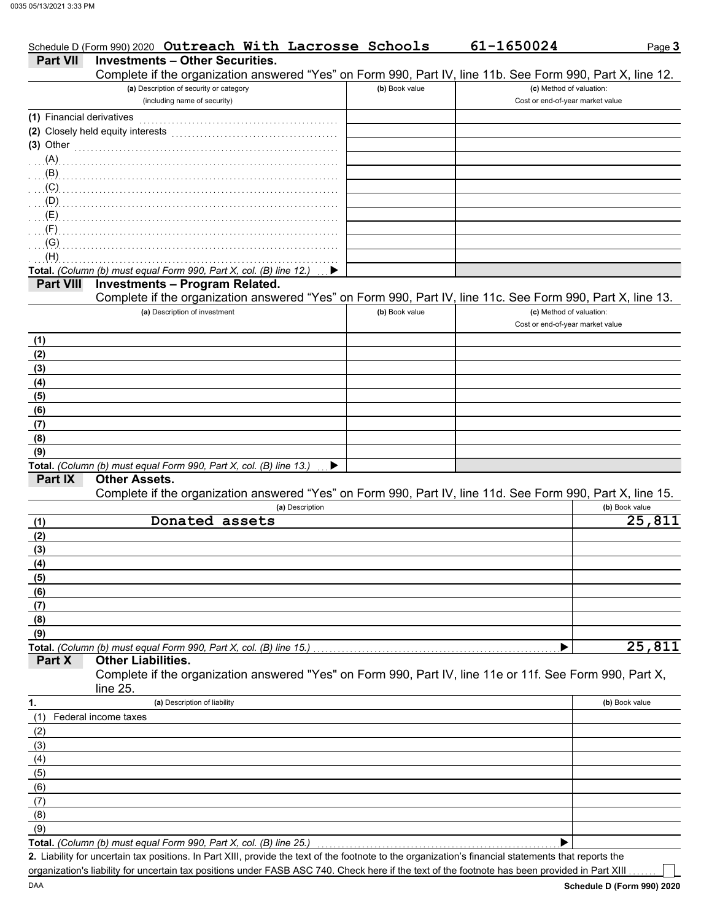|                           | Schedule D (Form 990) 2020 Outreach With Lacrosse Schools                                                  |                | 61-1650024                       | Page 3         |
|---------------------------|------------------------------------------------------------------------------------------------------------|----------------|----------------------------------|----------------|
| <b>Part VII</b>           | <b>Investments - Other Securities.</b>                                                                     |                |                                  |                |
|                           | Complete if the organization answered "Yes" on Form 990, Part IV, line 11b. See Form 990, Part X, line 12. |                |                                  |                |
|                           | (a) Description of security or category                                                                    | (b) Book value | (c) Method of valuation:         |                |
|                           | (including name of security)                                                                               |                | Cost or end-of-year market value |                |
| (1) Financial derivatives |                                                                                                            |                |                                  |                |
|                           | (2) Closely held equity interests                                                                          |                |                                  |                |
| $(3)$ Other               |                                                                                                            |                |                                  |                |
| (A)                       |                                                                                                            |                |                                  |                |
| $\mathbf{B}$              |                                                                                                            |                |                                  |                |
| (C)                       |                                                                                                            |                |                                  |                |
| (D)                       |                                                                                                            |                |                                  |                |
| (E)                       |                                                                                                            |                |                                  |                |
| (F)                       |                                                                                                            |                |                                  |                |
| (G)                       |                                                                                                            |                |                                  |                |
| (H)                       |                                                                                                            |                |                                  |                |
|                           | Total. (Column (b) must equal Form 990, Part X, col. (B) line 12.)                                         |                |                                  |                |
|                           | ▶<br><b>Investments - Program Related.</b>                                                                 |                |                                  |                |
| <b>Part VIII</b>          |                                                                                                            |                |                                  |                |
|                           | Complete if the organization answered "Yes" on Form 990, Part IV, line 11c. See Form 990, Part X, line 13. |                |                                  |                |
|                           | (a) Description of investment                                                                              | (b) Book value | (c) Method of valuation:         |                |
|                           |                                                                                                            |                | Cost or end-of-year market value |                |
| (1)                       |                                                                                                            |                |                                  |                |
| (2)                       |                                                                                                            |                |                                  |                |
| (3)                       |                                                                                                            |                |                                  |                |
| (4)                       |                                                                                                            |                |                                  |                |
| (5)                       |                                                                                                            |                |                                  |                |
| (6)                       |                                                                                                            |                |                                  |                |
| (7)                       |                                                                                                            |                |                                  |                |
| (8)                       |                                                                                                            |                |                                  |                |
| (9)                       |                                                                                                            |                |                                  |                |
|                           | Total. (Column (b) must equal Form 990, Part X, col. (B) line 13.)<br>▶                                    |                |                                  |                |
| Part IX                   | <b>Other Assets.</b>                                                                                       |                |                                  |                |
|                           | Complete if the organization answered "Yes" on Form 990, Part IV, line 11d. See Form 990, Part X, line 15. |                |                                  |                |
|                           | (a) Description                                                                                            |                |                                  | (b) Book value |
| (1)                       | Donated assets                                                                                             |                |                                  | 25,811         |
| (2)                       |                                                                                                            |                |                                  |                |
| (3)                       |                                                                                                            |                |                                  |                |
|                           |                                                                                                            |                |                                  |                |
| (4)                       |                                                                                                            |                |                                  |                |
| (5)                       |                                                                                                            |                |                                  |                |
| (6)                       |                                                                                                            |                |                                  |                |
| (7)                       |                                                                                                            |                |                                  |                |
| (8)                       |                                                                                                            |                |                                  |                |
| (9)                       |                                                                                                            |                |                                  |                |
|                           | Total. (Column (b) must equal Form 990, Part X, col. (B) line 15.)                                         |                |                                  | 25,811         |
| Part X                    | <b>Other Liabilities.</b>                                                                                  |                |                                  |                |
|                           | Complete if the organization answered "Yes" on Form 990, Part IV, line 11e or 11f. See Form 990, Part X,   |                |                                  |                |
|                           | line 25.                                                                                                   |                |                                  |                |
| 1.                        | (a) Description of liability                                                                               |                |                                  | (b) Book value |
| (1)                       | Federal income taxes                                                                                       |                |                                  |                |
| (2)                       |                                                                                                            |                |                                  |                |
| (3)                       |                                                                                                            |                |                                  |                |
| (4)                       |                                                                                                            |                |                                  |                |
| (5)                       |                                                                                                            |                |                                  |                |
| (6)                       |                                                                                                            |                |                                  |                |
| (7)                       |                                                                                                            |                |                                  |                |
| (8)                       |                                                                                                            |                |                                  |                |
| (9)                       |                                                                                                            |                |                                  |                |
|                           | Total. (Column (b) must equal Form 990, Part X, col. (B) line 25.)                                         |                | ▶                                |                |
|                           |                                                                                                            |                |                                  |                |

Liability for uncertain tax positions. In Part XIII, provide the text of the footnote to the organization's financial statements that reports the **2.** organization's liability for uncertain tax positions under FASB ASC 740. Check here if the text of the footnote has been provided in Part XIII

٦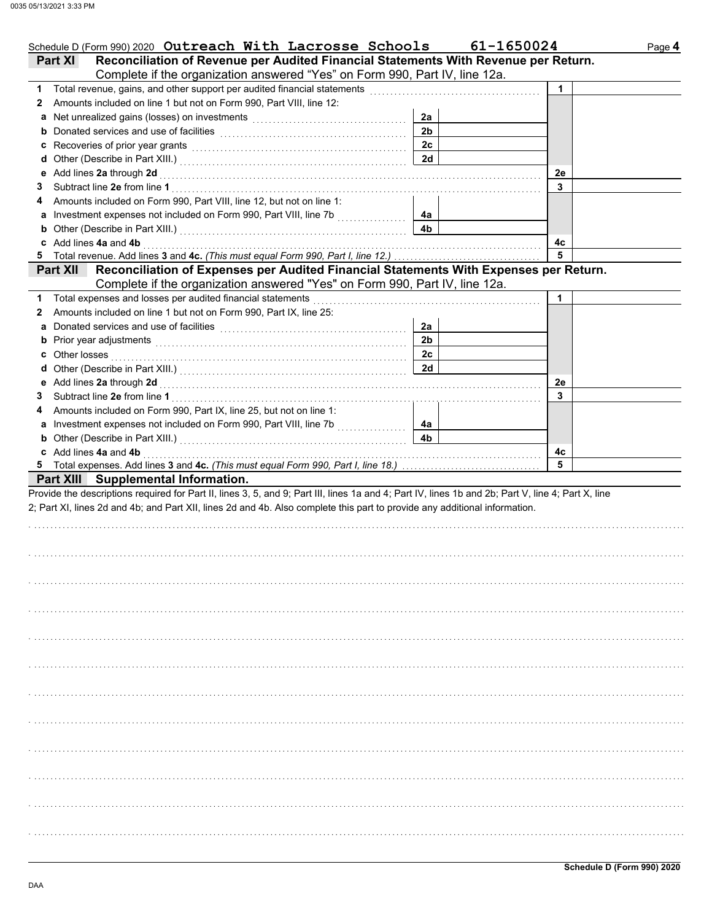|    | Schedule D (Form 990) 2020 Outreach With Lacrosse Schools                                                                                                                                                       |                | 61-1650024 | Page 4 |
|----|-----------------------------------------------------------------------------------------------------------------------------------------------------------------------------------------------------------------|----------------|------------|--------|
|    | Reconciliation of Revenue per Audited Financial Statements With Revenue per Return.<br>Part XI                                                                                                                  |                |            |        |
|    | Complete if the organization answered "Yes" on Form 990, Part IV, line 12a.                                                                                                                                     |                |            |        |
|    | 1 Total revenue, gains, and other support per audited financial statements                                                                                                                                      |                | 1          |        |
| 2  | Amounts included on line 1 but not on Form 990, Part VIII, line 12:                                                                                                                                             |                |            |        |
| a  |                                                                                                                                                                                                                 | 2a             |            |        |
|    |                                                                                                                                                                                                                 | 2 <sub>b</sub> |            |        |
|    |                                                                                                                                                                                                                 | 2c             |            |        |
|    |                                                                                                                                                                                                                 | 2d             |            |        |
|    |                                                                                                                                                                                                                 |                | 2e         |        |
| 3  |                                                                                                                                                                                                                 |                | 3          |        |
| 4  | Amounts included on Form 990, Part VIII, line 12, but not on line 1:                                                                                                                                            |                |            |        |
|    | a Investment expenses not included on Form 990, Part VIII, line 7b [[[[[[[[[[[[[[[[[[[[[[[[[[[[[[[[[                                                                                                            | 4a             |            |        |
|    | <b>b</b> Other (Describe in Part XIII.) <b>CONSIDENT DESCRIPTION DESCRIPTION DESCRIPTION DESCRIPTION DESCRIPTION DESCRIPTION DESCRIPTION DESCRIPTION DESCRIPTION DESCRIPTION DESCRIPTION DESCRIPTION DESCRI</b> | 4 <sub>b</sub> |            |        |
|    | c Add lines 4a and 4b                                                                                                                                                                                           |                | 4с         |        |
|    |                                                                                                                                                                                                                 |                | 5          |        |
|    | Part XII Reconciliation of Expenses per Audited Financial Statements With Expenses per Return.                                                                                                                  |                |            |        |
|    | Complete if the organization answered "Yes" on Form 990, Part IV, line 12a.                                                                                                                                     |                |            |        |
| 1. | Total expenses and losses per audited financial statements                                                                                                                                                      |                | 1          |        |
| 2  | Amounts included on line 1 but not on Form 990, Part IX, line 25:                                                                                                                                               |                |            |        |
| a  |                                                                                                                                                                                                                 | 2a             |            |        |
|    |                                                                                                                                                                                                                 | 2 <sub>b</sub> |            |        |
|    |                                                                                                                                                                                                                 | 2 <sub>c</sub> |            |        |
|    |                                                                                                                                                                                                                 | 2d             |            |        |
|    |                                                                                                                                                                                                                 |                | 2e         |        |
| 3  |                                                                                                                                                                                                                 |                | 3          |        |
| 4  | Amounts included on Form 990, Part IX, line 25, but not on line 1:                                                                                                                                              |                |            |        |
|    |                                                                                                                                                                                                                 | 4a             |            |        |
|    | <b>b</b> Other (Describe in Part XIII.) <b>CONSIDENT DESCRIPTION DESCRIPTION DESCRIPTION DESCRIPTION DESCRIPTION DESCRIPTION DESCRIPTION DESCRIPTION DESCRIPTION DESCRIPTION DESCRIPTION DESCRIPTION DESCRI</b> | 4 <sub>b</sub> |            |        |
|    | c Add lines 4a and 4b                                                                                                                                                                                           |                | 4c         |        |
|    |                                                                                                                                                                                                                 |                | 5          |        |
|    | Part XIII Supplemental Information.                                                                                                                                                                             |                |            |        |
|    | Provide the descriptions required for Part II, lines 3, 5, and 9; Part III, lines 1a and 4; Part IV, lines 1b and 2b; Part V, line 4; Part X, line                                                              |                |            |        |
|    | 2; Part XI, lines 2d and 4b; and Part XII, lines 2d and 4b. Also complete this part to provide any additional information.                                                                                      |                |            |        |
|    |                                                                                                                                                                                                                 |                |            |        |
|    |                                                                                                                                                                                                                 |                |            |        |
|    |                                                                                                                                                                                                                 |                |            |        |
|    |                                                                                                                                                                                                                 |                |            |        |
|    |                                                                                                                                                                                                                 |                |            |        |
|    |                                                                                                                                                                                                                 |                |            |        |
|    |                                                                                                                                                                                                                 |                |            |        |
|    |                                                                                                                                                                                                                 |                |            |        |
|    |                                                                                                                                                                                                                 |                |            |        |
|    |                                                                                                                                                                                                                 |                |            |        |
|    |                                                                                                                                                                                                                 |                |            |        |
|    |                                                                                                                                                                                                                 |                |            |        |
|    |                                                                                                                                                                                                                 |                |            |        |
|    |                                                                                                                                                                                                                 |                |            |        |
|    |                                                                                                                                                                                                                 |                |            |        |
|    |                                                                                                                                                                                                                 |                |            |        |
|    |                                                                                                                                                                                                                 |                |            |        |
|    |                                                                                                                                                                                                                 |                |            |        |
|    |                                                                                                                                                                                                                 |                |            |        |
|    |                                                                                                                                                                                                                 |                |            |        |
|    |                                                                                                                                                                                                                 |                |            |        |
|    |                                                                                                                                                                                                                 |                |            |        |
|    |                                                                                                                                                                                                                 |                |            |        |
|    |                                                                                                                                                                                                                 |                |            |        |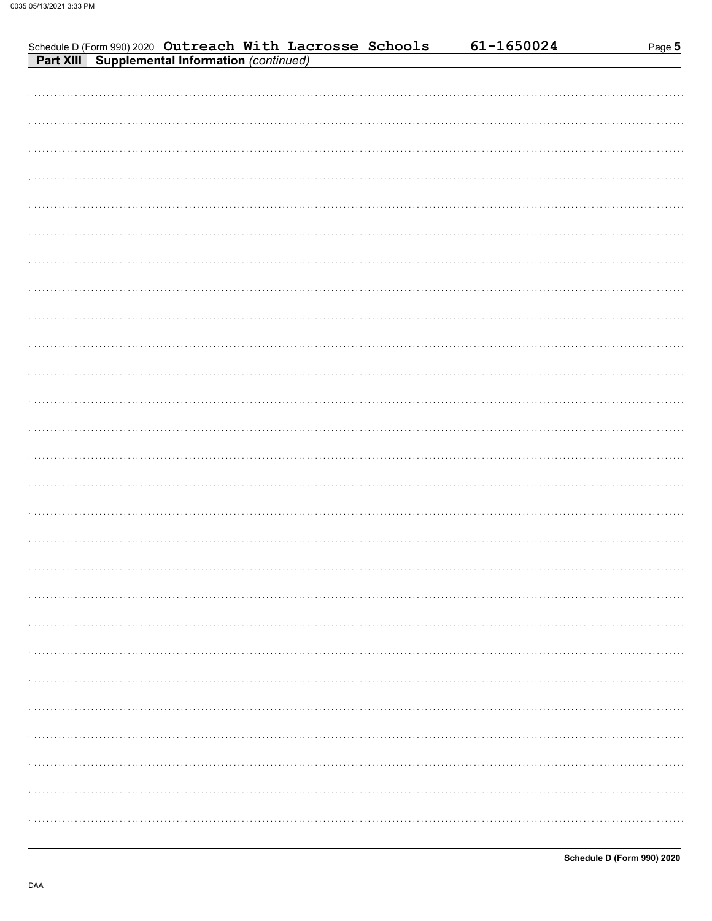| Schedule D (Form 990) 2020 Outreach With Lacrosse Schools<br>Part XIII Supplemental Information (continued) | 61-1650024 | Page 5 |
|-------------------------------------------------------------------------------------------------------------|------------|--------|
|                                                                                                             |            |        |
|                                                                                                             |            |        |
|                                                                                                             |            |        |
|                                                                                                             |            |        |
|                                                                                                             |            |        |
|                                                                                                             |            |        |
|                                                                                                             |            |        |
|                                                                                                             |            |        |
|                                                                                                             |            |        |
|                                                                                                             |            |        |
|                                                                                                             |            |        |
|                                                                                                             |            |        |
|                                                                                                             |            |        |
|                                                                                                             |            |        |
|                                                                                                             |            |        |
|                                                                                                             |            |        |
|                                                                                                             |            |        |
|                                                                                                             |            |        |
|                                                                                                             |            |        |
|                                                                                                             |            |        |
|                                                                                                             |            |        |
|                                                                                                             |            |        |
|                                                                                                             |            |        |
|                                                                                                             |            |        |
|                                                                                                             |            |        |
|                                                                                                             |            |        |
|                                                                                                             |            |        |
|                                                                                                             |            |        |
|                                                                                                             |            |        |
|                                                                                                             |            |        |
|                                                                                                             |            |        |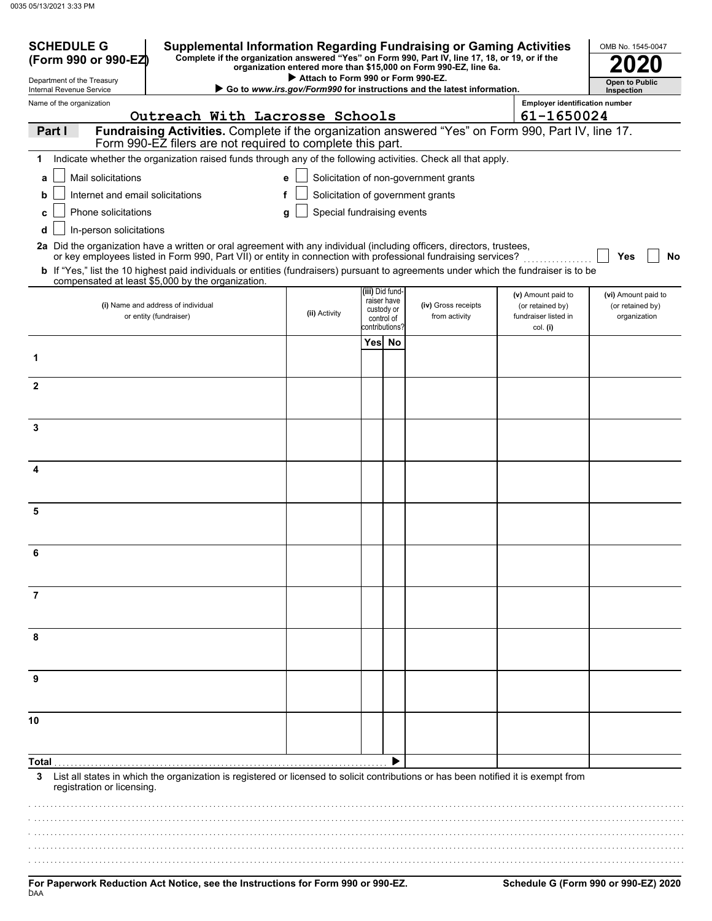| <b>SCHEDULE G</b><br><b>Supplemental Information Regarding Fundraising or Gaming Activities</b><br>Complete if the organization answered "Yes" on Form 990, Part IV, line 17, 18, or 19, or if the<br>(Form 990 or 990-EZ)<br>organization entered more than \$15,000 on Form 990-EZ, line 6a. |                                                                                                                                                                                                                                                                |                                    |  |                                | OMB No. 1545-0047                                                      |                                          |                                  |
|------------------------------------------------------------------------------------------------------------------------------------------------------------------------------------------------------------------------------------------------------------------------------------------------|----------------------------------------------------------------------------------------------------------------------------------------------------------------------------------------------------------------------------------------------------------------|------------------------------------|--|--------------------------------|------------------------------------------------------------------------|------------------------------------------|----------------------------------|
| Department of the Treasury<br>Internal Revenue Service                                                                                                                                                                                                                                         |                                                                                                                                                                                                                                                                | Attach to Form 990 or Form 990-EZ. |  |                                | Go to www.irs.gov/Form990 for instructions and the latest information. |                                          | <b>Open to Public</b>            |
| Name of the organization                                                                                                                                                                                                                                                                       |                                                                                                                                                                                                                                                                |                                    |  |                                |                                                                        | <b>Employer identification number</b>    | Inspection                       |
|                                                                                                                                                                                                                                                                                                | Outreach With Lacrosse Schools                                                                                                                                                                                                                                 |                                    |  |                                |                                                                        | 61-1650024                               |                                  |
| Part I                                                                                                                                                                                                                                                                                         | Fundraising Activities. Complete if the organization answered "Yes" on Form 990, Part IV, line 17.<br>Form 990-EZ filers are not required to complete this part.                                                                                               |                                    |  |                                |                                                                        |                                          |                                  |
| 1                                                                                                                                                                                                                                                                                              | Indicate whether the organization raised funds through any of the following activities. Check all that apply.                                                                                                                                                  |                                    |  |                                |                                                                        |                                          |                                  |
| Mail solicitations<br>a                                                                                                                                                                                                                                                                        |                                                                                                                                                                                                                                                                |                                    |  |                                | Solicitation of non-government grants                                  |                                          |                                  |
| Internet and email solicitations<br>b                                                                                                                                                                                                                                                          |                                                                                                                                                                                                                                                                | f                                  |  |                                | Solicitation of government grants                                      |                                          |                                  |
| Phone solicitations<br>c                                                                                                                                                                                                                                                                       |                                                                                                                                                                                                                                                                | Special fundraising events<br>g    |  |                                |                                                                        |                                          |                                  |
| d                                                                                                                                                                                                                                                                                              | In-person solicitations                                                                                                                                                                                                                                        |                                    |  |                                |                                                                        |                                          |                                  |
|                                                                                                                                                                                                                                                                                                | 2a Did the organization have a written or oral agreement with any individual (including officers, directors, trustees,                                                                                                                                         |                                    |  |                                |                                                                        |                                          |                                  |
|                                                                                                                                                                                                                                                                                                | or key employees listed in Form 990, Part VII) or entity in connection with professional fundraising services?<br><b>b</b> If "Yes," list the 10 highest paid individuals or entities (fundraisers) pursuant to agreements under which the fundraiser is to be |                                    |  |                                |                                                                        |                                          | Yes<br>No                        |
|                                                                                                                                                                                                                                                                                                | compensated at least \$5,000 by the organization.                                                                                                                                                                                                              |                                    |  |                                |                                                                        |                                          |                                  |
|                                                                                                                                                                                                                                                                                                | (i) Name and address of individual                                                                                                                                                                                                                             |                                    |  | (iii) Did fund-<br>raiser have |                                                                        | (v) Amount paid to                       | (vi) Amount paid to              |
|                                                                                                                                                                                                                                                                                                | or entity (fundraiser)                                                                                                                                                                                                                                         | (ii) Activity                      |  | custody or<br>control of       | (iv) Gross receipts<br>from activity                                   | (or retained by)<br>fundraiser listed in | (or retained by)<br>organization |
|                                                                                                                                                                                                                                                                                                |                                                                                                                                                                                                                                                                |                                    |  | contributions?                 |                                                                        | col. (i)                                 |                                  |
| 1                                                                                                                                                                                                                                                                                              |                                                                                                                                                                                                                                                                |                                    |  | Yes No                         |                                                                        |                                          |                                  |
|                                                                                                                                                                                                                                                                                                |                                                                                                                                                                                                                                                                |                                    |  |                                |                                                                        |                                          |                                  |
| 2                                                                                                                                                                                                                                                                                              |                                                                                                                                                                                                                                                                |                                    |  |                                |                                                                        |                                          |                                  |
|                                                                                                                                                                                                                                                                                                |                                                                                                                                                                                                                                                                |                                    |  |                                |                                                                        |                                          |                                  |
| 3                                                                                                                                                                                                                                                                                              |                                                                                                                                                                                                                                                                |                                    |  |                                |                                                                        |                                          |                                  |
|                                                                                                                                                                                                                                                                                                |                                                                                                                                                                                                                                                                |                                    |  |                                |                                                                        |                                          |                                  |
|                                                                                                                                                                                                                                                                                                |                                                                                                                                                                                                                                                                |                                    |  |                                |                                                                        |                                          |                                  |
| 4                                                                                                                                                                                                                                                                                              |                                                                                                                                                                                                                                                                |                                    |  |                                |                                                                        |                                          |                                  |
|                                                                                                                                                                                                                                                                                                |                                                                                                                                                                                                                                                                |                                    |  |                                |                                                                        |                                          |                                  |
| 5                                                                                                                                                                                                                                                                                              |                                                                                                                                                                                                                                                                |                                    |  |                                |                                                                        |                                          |                                  |
|                                                                                                                                                                                                                                                                                                |                                                                                                                                                                                                                                                                |                                    |  |                                |                                                                        |                                          |                                  |
|                                                                                                                                                                                                                                                                                                |                                                                                                                                                                                                                                                                |                                    |  |                                |                                                                        |                                          |                                  |
| 6                                                                                                                                                                                                                                                                                              |                                                                                                                                                                                                                                                                |                                    |  |                                |                                                                        |                                          |                                  |
|                                                                                                                                                                                                                                                                                                |                                                                                                                                                                                                                                                                |                                    |  |                                |                                                                        |                                          |                                  |
|                                                                                                                                                                                                                                                                                                |                                                                                                                                                                                                                                                                |                                    |  |                                |                                                                        |                                          |                                  |
|                                                                                                                                                                                                                                                                                                |                                                                                                                                                                                                                                                                |                                    |  |                                |                                                                        |                                          |                                  |
| 8                                                                                                                                                                                                                                                                                              |                                                                                                                                                                                                                                                                |                                    |  |                                |                                                                        |                                          |                                  |
|                                                                                                                                                                                                                                                                                                |                                                                                                                                                                                                                                                                |                                    |  |                                |                                                                        |                                          |                                  |
|                                                                                                                                                                                                                                                                                                |                                                                                                                                                                                                                                                                |                                    |  |                                |                                                                        |                                          |                                  |
|                                                                                                                                                                                                                                                                                                |                                                                                                                                                                                                                                                                |                                    |  |                                |                                                                        |                                          |                                  |
|                                                                                                                                                                                                                                                                                                |                                                                                                                                                                                                                                                                |                                    |  |                                |                                                                        |                                          |                                  |
| 10                                                                                                                                                                                                                                                                                             |                                                                                                                                                                                                                                                                |                                    |  |                                |                                                                        |                                          |                                  |
|                                                                                                                                                                                                                                                                                                |                                                                                                                                                                                                                                                                |                                    |  |                                |                                                                        |                                          |                                  |
| Total                                                                                                                                                                                                                                                                                          |                                                                                                                                                                                                                                                                |                                    |  |                                |                                                                        |                                          |                                  |
| 3<br>registration or licensing.                                                                                                                                                                                                                                                                | List all states in which the organization is registered or licensed to solicit contributions or has been notified it is exempt from                                                                                                                            |                                    |  |                                |                                                                        |                                          |                                  |
|                                                                                                                                                                                                                                                                                                |                                                                                                                                                                                                                                                                |                                    |  |                                |                                                                        |                                          |                                  |
|                                                                                                                                                                                                                                                                                                |                                                                                                                                                                                                                                                                |                                    |  |                                |                                                                        |                                          |                                  |
|                                                                                                                                                                                                                                                                                                |                                                                                                                                                                                                                                                                |                                    |  |                                |                                                                        |                                          |                                  |
|                                                                                                                                                                                                                                                                                                |                                                                                                                                                                                                                                                                |                                    |  |                                |                                                                        |                                          |                                  |
|                                                                                                                                                                                                                                                                                                |                                                                                                                                                                                                                                                                |                                    |  |                                |                                                                        |                                          |                                  |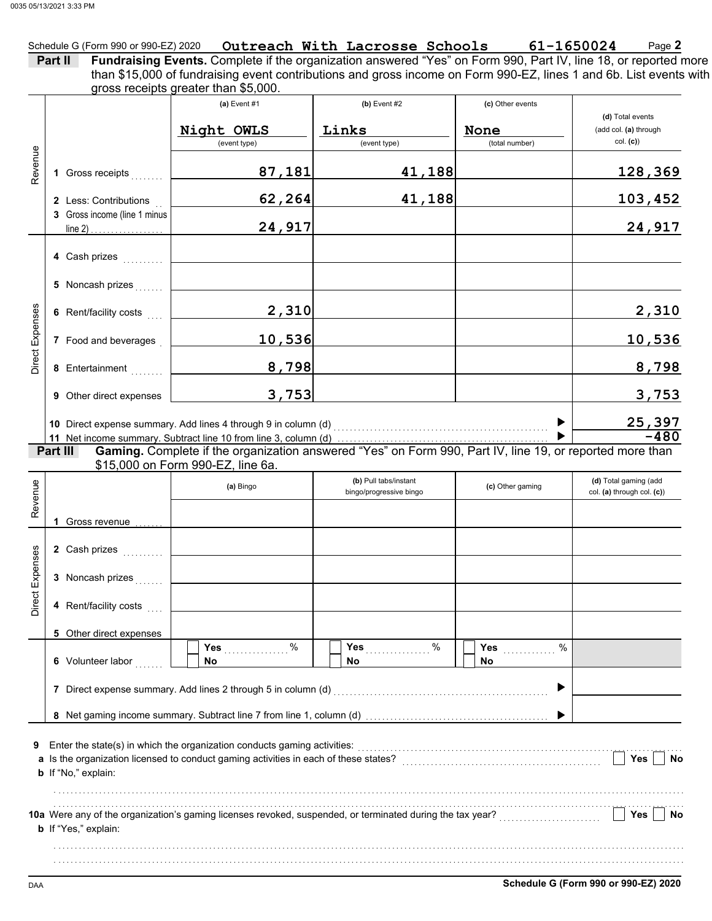| Schedule G (Form 990 or 990-EZ) 2020<br>Part II | Fundraising Events. Complete if the organization answered "Yes" on Form 990, Part IV, line 18, or reported more                                                                      | Outreach With Lacrosse Schools | 61-1650024       | Page 2                                    |
|-------------------------------------------------|--------------------------------------------------------------------------------------------------------------------------------------------------------------------------------------|--------------------------------|------------------|-------------------------------------------|
|                                                 | than \$15,000 of fundraising event contributions and gross income on Form 990-EZ, lines 1 and 6b. List events with                                                                   |                                |                  |                                           |
|                                                 | gross receipts greater than \$5,000.                                                                                                                                                 |                                |                  |                                           |
|                                                 | (a) Event $#1$                                                                                                                                                                       | (b) Event $#2$                 | (c) Other events |                                           |
|                                                 | Night OWLS                                                                                                                                                                           | Links                          | None             | (d) Total events<br>(add col. (a) through |
|                                                 | (event type)                                                                                                                                                                         | (event type)                   | (total number)   | col. (c)                                  |
|                                                 |                                                                                                                                                                                      |                                |                  |                                           |
| 1 Gross receipts                                | 87,181                                                                                                                                                                               | 41,188                         |                  | 128,369                                   |
| 2 Less: Contributions                           | 62, 264                                                                                                                                                                              | 41,188                         |                  | 103,452                                   |
| 3 Gross income (line 1 minus                    |                                                                                                                                                                                      |                                |                  |                                           |
|                                                 | 24,917                                                                                                                                                                               |                                |                  | 24,917                                    |
| 4 Cash prizes                                   |                                                                                                                                                                                      |                                |                  |                                           |
|                                                 |                                                                                                                                                                                      |                                |                  |                                           |
| 5 Noncash prizes                                |                                                                                                                                                                                      |                                |                  |                                           |
| 6 Rent/facility costs                           | 2,310                                                                                                                                                                                |                                |                  | 2,310                                     |
|                                                 |                                                                                                                                                                                      |                                |                  |                                           |
| 7 Food and beverages                            | 10,536                                                                                                                                                                               |                                |                  | 10,536                                    |
| 8 Entertainment                                 | 8,798                                                                                                                                                                                |                                |                  | 8,798                                     |
| 9 Other direct expenses                         | 3,753                                                                                                                                                                                |                                |                  | 3,753                                     |
|                                                 |                                                                                                                                                                                      |                                |                  |                                           |
|                                                 | 10 Direct expense summary. Add lines 4 through 9 in column (d) [11] content to content the summary of Direct expense summary. Add lines 4 through 9 in column (d) [11] $\frac{1}{2}$ |                                |                  | $\frac{25,397}{-480}$                     |
| Part III                                        | Gaming. Complete if the organization answered "Yes" on Form 990, Part IV, line 19, or reported more than                                                                             |                                |                  |                                           |
|                                                 | \$15,000 on Form 990-EZ, line 6a.                                                                                                                                                    |                                |                  |                                           |
|                                                 | (a) Bingo                                                                                                                                                                            | (b) Pull tabs/instant          | (c) Other gaming | (d) Total gaming (add                     |
|                                                 |                                                                                                                                                                                      | bingo/progressive bingo        |                  | col. (a) through col. (c))                |
| Gross revenue                                   |                                                                                                                                                                                      |                                |                  |                                           |
|                                                 |                                                                                                                                                                                      |                                |                  |                                           |
| 2 Cash prizes                                   |                                                                                                                                                                                      |                                |                  |                                           |
| 3 Noncash prizes                                |                                                                                                                                                                                      |                                |                  |                                           |
|                                                 |                                                                                                                                                                                      |                                |                  |                                           |
| 4 Rent/facility costs                           |                                                                                                                                                                                      |                                |                  |                                           |
| 5 Other direct expenses                         |                                                                                                                                                                                      |                                |                  |                                           |
|                                                 | Yes<br>%                                                                                                                                                                             | %<br>Yes                       | %<br>Yes         |                                           |
| 6 Volunteer labor                               | <b>No</b>                                                                                                                                                                            | No                             | <b>No</b>        |                                           |
|                                                 | 7 Direct expense summary. Add lines 2 through 5 in column (d)                                                                                                                        |                                | ▶                |                                           |
|                                                 |                                                                                                                                                                                      |                                |                  |                                           |
|                                                 |                                                                                                                                                                                      |                                |                  |                                           |
|                                                 | Enter the state(s) in which the organization conducts gaming activities:                                                                                                             |                                |                  |                                           |
|                                                 | a Is the organization licensed to conduct gaming activities in each of these states?                                                                                                 |                                |                  | Yes<br>No                                 |
| b If "No," explain:                             |                                                                                                                                                                                      |                                |                  |                                           |
|                                                 |                                                                                                                                                                                      |                                |                  |                                           |
|                                                 | 10a Were any of the organization's gaming licenses revoked, suspended, or terminated during the tax year?                                                                            |                                |                  | Yes<br>No                                 |
| <b>b</b> If "Yes," explain:                     |                                                                                                                                                                                      |                                |                  |                                           |
|                                                 |                                                                                                                                                                                      |                                |                  |                                           |
|                                                 |                                                                                                                                                                                      |                                |                  |                                           |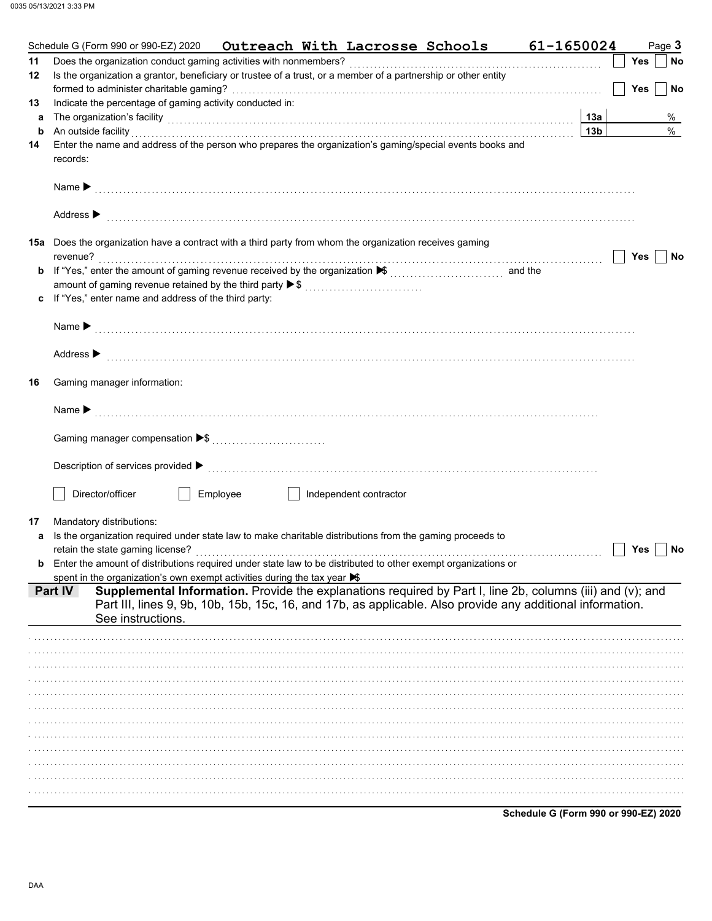|    | Schedule G (Form 990 or 990-EZ) 2020<br>Outreach With Lacrosse Schools                                                                                                                                                                                                                 | 61-1650024      |     | Page 3    |
|----|----------------------------------------------------------------------------------------------------------------------------------------------------------------------------------------------------------------------------------------------------------------------------------------|-----------------|-----|-----------|
| 11 | Does the organization conduct gaming activities with nonmembers?                                                                                                                                                                                                                       |                 | Yes | <b>No</b> |
| 12 | Is the organization a grantor, beneficiary or trustee of a trust, or a member of a partnership or other entity                                                                                                                                                                         |                 |     |           |
|    |                                                                                                                                                                                                                                                                                        |                 | Yes | <b>No</b> |
| 13 | Indicate the percentage of gaming activity conducted in:                                                                                                                                                                                                                               |                 |     |           |
| а  | The organization's facility <b>contained a contained a contained a contained a contained a contained a contained a</b>                                                                                                                                                                 | 13a             |     | %         |
| b  | An outside facility                                                                                                                                                                                                                                                                    | 13 <sub>b</sub> |     | $\%$      |
| 14 | Enter the name and address of the person who prepares the organization's gaming/special events books and                                                                                                                                                                               |                 |     |           |
|    | records:                                                                                                                                                                                                                                                                               |                 |     |           |
|    |                                                                                                                                                                                                                                                                                        |                 |     |           |
|    |                                                                                                                                                                                                                                                                                        |                 |     |           |
|    |                                                                                                                                                                                                                                                                                        |                 |     |           |
|    | Address $\blacktriangleright$                                                                                                                                                                                                                                                          |                 |     |           |
|    |                                                                                                                                                                                                                                                                                        |                 |     |           |
|    | 15a Does the organization have a contract with a third party from whom the organization receives gaming                                                                                                                                                                                |                 |     |           |
|    | revenue?                                                                                                                                                                                                                                                                               |                 | Yes | No        |
| b  | If "Yes," enter the amount of gaming revenue received by the organization ▶ (\\times\)                                                                                                                                                                                                 |                 |     |           |
|    | amount of gaming revenue retained by the third party ▶ \$                                                                                                                                                                                                                              |                 |     |           |
| c  | If "Yes," enter name and address of the third party:                                                                                                                                                                                                                                   |                 |     |           |
|    |                                                                                                                                                                                                                                                                                        |                 |     |           |
|    |                                                                                                                                                                                                                                                                                        |                 |     |           |
|    |                                                                                                                                                                                                                                                                                        |                 |     |           |
|    | Address > material contracts and contracts are contracted and contract of the contract of the contract of the contract of the contract of the contract of the contract of the contract of the contract of the contract of the                                                          |                 |     |           |
| 16 | Gaming manager information:                                                                                                                                                                                                                                                            |                 |     |           |
|    |                                                                                                                                                                                                                                                                                        |                 |     |           |
|    |                                                                                                                                                                                                                                                                                        |                 |     |           |
|    |                                                                                                                                                                                                                                                                                        |                 |     |           |
|    |                                                                                                                                                                                                                                                                                        |                 |     |           |
|    |                                                                                                                                                                                                                                                                                        |                 |     |           |
|    | Description of services provided $\blacktriangleright$ [100] contract the contract of services provided $\blacktriangleright$ [100] contract the contract of services provided $\blacktriangleright$ [100] contract the contract of services provided $\blacktriangleright$ [100] cont |                 |     |           |
|    |                                                                                                                                                                                                                                                                                        |                 |     |           |
|    | Director/officer<br>Employee<br>Independent contractor                                                                                                                                                                                                                                 |                 |     |           |
|    |                                                                                                                                                                                                                                                                                        |                 |     |           |
| 17 | Mandatory distributions:                                                                                                                                                                                                                                                               |                 |     |           |
| a  | Is the organization required under state law to make charitable distributions from the gaming proceeds to                                                                                                                                                                              |                 |     |           |
|    |                                                                                                                                                                                                                                                                                        |                 | Yes | No        |
|    | Enter the amount of distributions required under state law to be distributed to other exempt organizations or                                                                                                                                                                          |                 |     |           |
|    | spent in the organization's own exempt activities during the tax year $\blacktriangleright$                                                                                                                                                                                            |                 |     |           |
|    | Supplemental Information. Provide the explanations required by Part I, line 2b, columns (iii) and (v); and<br>Part IV                                                                                                                                                                  |                 |     |           |
|    | Part III, lines 9, 9b, 10b, 15b, 15c, 16, and 17b, as applicable. Also provide any additional information.<br>See instructions.                                                                                                                                                        |                 |     |           |
|    |                                                                                                                                                                                                                                                                                        |                 |     |           |
|    |                                                                                                                                                                                                                                                                                        |                 |     |           |
|    |                                                                                                                                                                                                                                                                                        |                 |     |           |
|    |                                                                                                                                                                                                                                                                                        |                 |     |           |
|    |                                                                                                                                                                                                                                                                                        |                 |     |           |
|    |                                                                                                                                                                                                                                                                                        |                 |     |           |
|    |                                                                                                                                                                                                                                                                                        |                 |     |           |
|    |                                                                                                                                                                                                                                                                                        |                 |     |           |
|    |                                                                                                                                                                                                                                                                                        |                 |     |           |
|    |                                                                                                                                                                                                                                                                                        |                 |     |           |
|    |                                                                                                                                                                                                                                                                                        |                 |     |           |
|    |                                                                                                                                                                                                                                                                                        |                 |     |           |
|    |                                                                                                                                                                                                                                                                                        |                 |     |           |
|    |                                                                                                                                                                                                                                                                                        |                 |     |           |

Schedule G (Form 990 or 990-EZ) 2020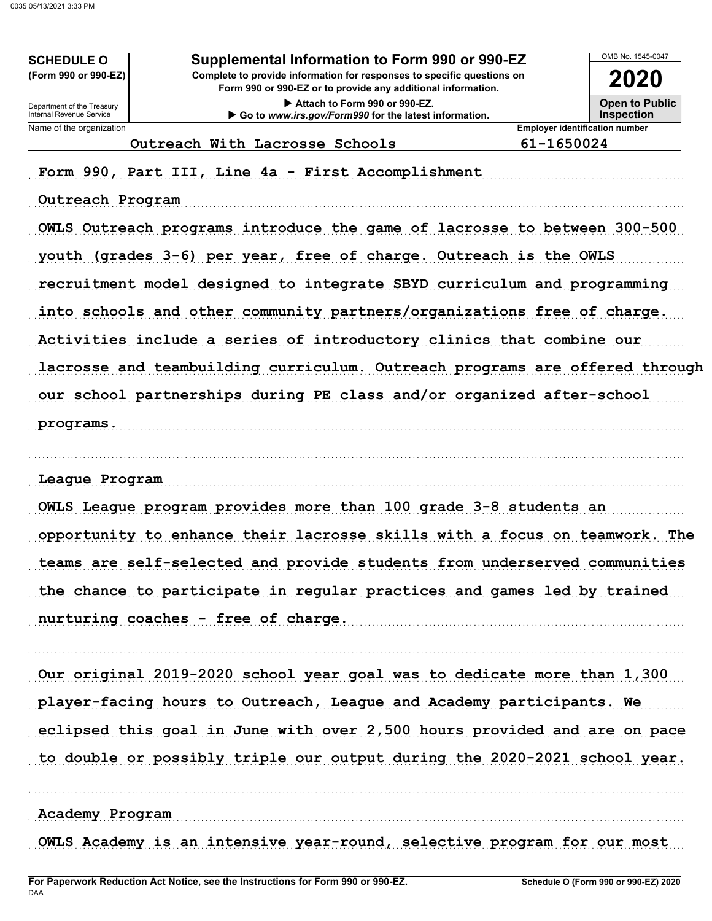| <b>SCHEDULE O</b><br>(Form 990 or 990-EZ)                    | Supplemental Information to Form 990 or 990-EZ<br>Complete to provide information for responses to specific questions on |                               | OMB No. 1545-0047                     |
|--------------------------------------------------------------|--------------------------------------------------------------------------------------------------------------------------|-------------------------------|---------------------------------------|
| Form 990 or 990-EZ or to provide any additional information. |                                                                                                                          | 2020<br><b>Open to Public</b> |                                       |
| Department of the Treasury<br>Internal Revenue Service       | Attach to Form 990 or 990-EZ.<br>Go to www.irs.gov/Form990 for the latest information.                                   |                               |                                       |
| Name of the organization                                     | Outreach With Lacrosse Schools                                                                                           | 61-1650024                    | <b>Employer identification number</b> |
|                                                              |                                                                                                                          |                               |                                       |
|                                                              | Form 990, Part III, Line 4a - First Accomplishment                                                                       |                               |                                       |
| Outreach Program                                             |                                                                                                                          |                               |                                       |
|                                                              | OWLS Outreach programs introduce the game of lacrosse to between 300-500                                                 |                               |                                       |
|                                                              | youth (grades 3-6) per year, free of charge. Outreach is the OWLS                                                        |                               |                                       |
|                                                              | recruitment model designed to integrate SBYD curriculum and programming                                                  |                               |                                       |
|                                                              | into schools and other community partners/organizations free of charge.                                                  |                               |                                       |
|                                                              | Activities include a series of introductory clinics that combine our                                                     |                               |                                       |
|                                                              | lacrosse and teambuilding curriculum. Outreach programs are offered through                                              |                               |                                       |
|                                                              | our school partnerships during PE class and/or organized after-school                                                    |                               |                                       |
| programs.                                                    |                                                                                                                          |                               |                                       |
|                                                              |                                                                                                                          |                               |                                       |
| League Program                                               |                                                                                                                          |                               |                                       |
|                                                              | OWLS League program provides more than 100 grade 3-8 students an                                                         |                               |                                       |
|                                                              | opportunity to enhance their lacrosse skills with a focus on teamwork. The                                               |                               |                                       |
|                                                              | teams are self-selected and provide students from underserved communities                                                |                               |                                       |
|                                                              | the chance to participate in regular practices and games led by trained                                                  |                               |                                       |
|                                                              | nurturing coaches - free of charge.                                                                                      |                               |                                       |
|                                                              |                                                                                                                          |                               |                                       |
|                                                              | Our original 2019-2020 school year goal was to dedicate more than 1,300                                                  |                               |                                       |
|                                                              | player-facing hours to Outreach, League and Academy participants. We                                                     |                               |                                       |
|                                                              | eclipsed this goal in June with over 2,500 hours provided and are on pace                                                |                               |                                       |
|                                                              |                                                                                                                          |                               |                                       |
|                                                              | to double or possibly triple our output during the 2020-2021 school year.                                                |                               |                                       |
|                                                              |                                                                                                                          |                               |                                       |
| Academy Program                                              |                                                                                                                          |                               |                                       |
|                                                              | OWLS Academy is an intensive year-round, selective program for our most                                                  |                               |                                       |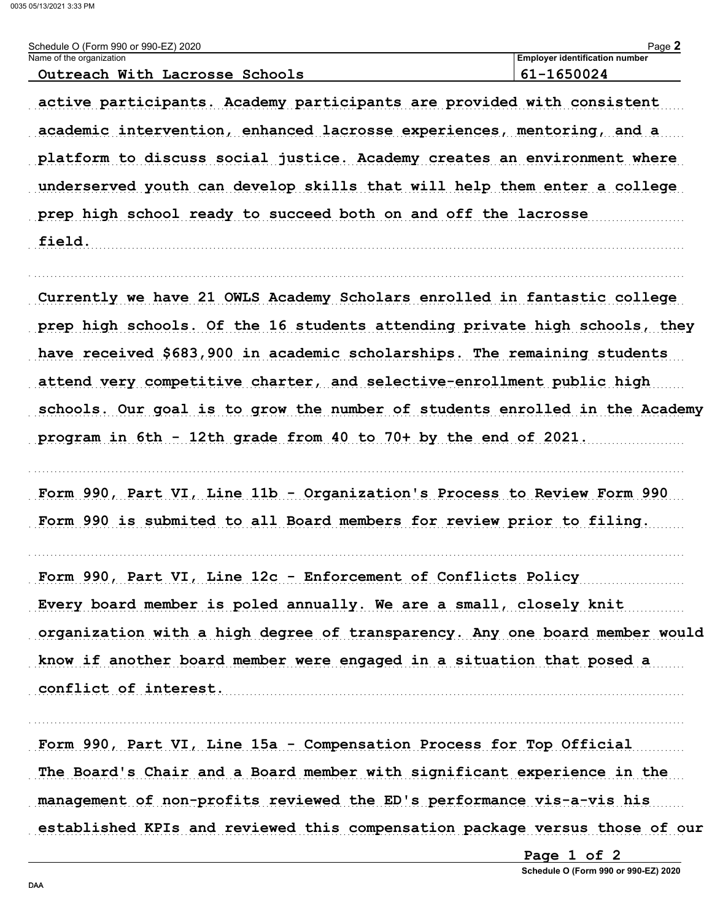| Schedule O (Form 990 or 990-EZ) 2020                                     | Page 2                                |
|--------------------------------------------------------------------------|---------------------------------------|
| Name of the organization                                                 | <b>Employer identification number</b> |
| Outreach With Lacrosse Schools                                           | 61-1650024                            |
| active participants. Academy participants are provided with consistent   |                                       |
| academic intervention, enhanced lacrosse experiences, mentoring, and a   |                                       |
| platform to discuss social justice. Academy creates an environment where |                                       |
| underserved youth can develop skills that will help them enter a college |                                       |

prep high school ready to succeed both on and off the lacrosse

field.

Currently we have 21 OWLS Academy Scholars enrolled in fantastic college prep high schools. Of the 16 students attending private high schools, they have received \$683,900 in academic scholarships. The remaining students attend very competitive charter, and selective-enrollment public high schools. Our goal is to grow the number of students enrolled in the Academy program in 6th - 12th grade from 40 to 70+ by the end of 2021.

Form 990, Part VI, Line 11b - Organization's Process to Review Form 990 Form 990 is submited to all Board members for review prior to filing.

Form 990, Part VI, Line 12c - Enforcement of Conflicts Policy Every board member is poled annually. We are a small, closely knit organization with a high degree of transparency. Any one board member would know if another board member were engaged in a situation that posed a conflict of interest.

Form 990, Part VI, Line 15a - Compensation Process for Top Official The Board's Chair and a Board member with significant experience in the management of non-profits reviewed the ED's performance vis-a-vis his established KPIs and reviewed this compensation package versus those of our

Page 1 of 2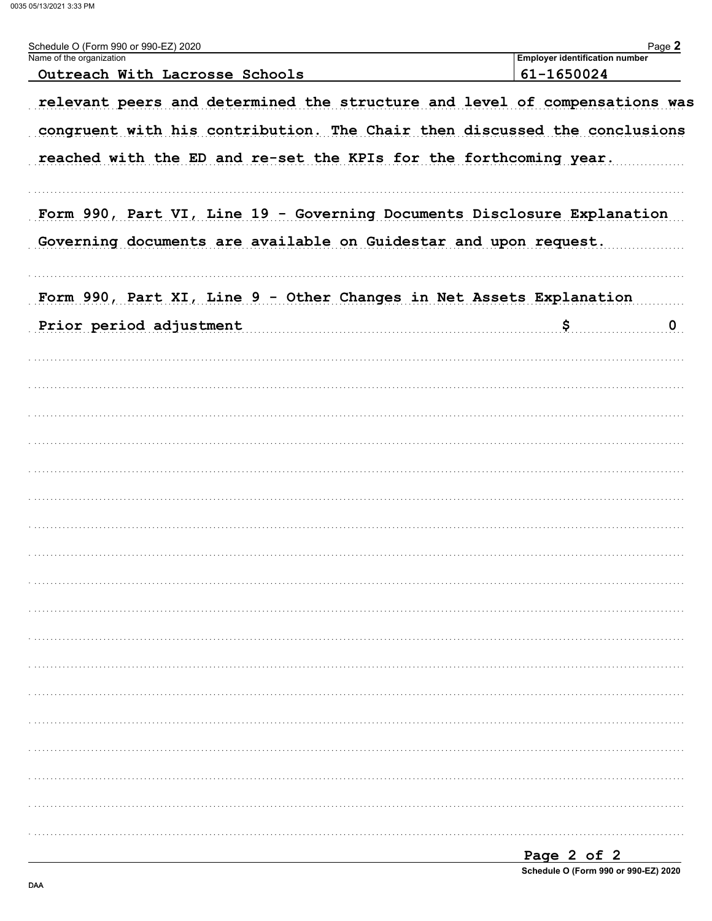0035 05/13/2021 3:33 PM

| Schedule O (Form 990 or 990-EZ) 2020                                                                                                                                                                                         | Page 2                                              |
|------------------------------------------------------------------------------------------------------------------------------------------------------------------------------------------------------------------------------|-----------------------------------------------------|
| Name of the organization<br>Outreach With Lacrosse Schools                                                                                                                                                                   | <b>Employer identification number</b><br>61-1650024 |
| relevant peers and determined the structure and level of compensations was<br>congruent with his contribution. The Chair then discussed the conclusions<br>reached with the ED and re-set the KPIs for the forthcoming year. |                                                     |
| Form 990, Part VI, Line 19 - Governing Documents Disclosure Explanation<br>Governing documents are available on Guidestar and upon request.                                                                                  |                                                     |
| Form 990, Part XI, Line 9 - Other Changes in Net Assets Explanation                                                                                                                                                          |                                                     |
| Prior period adjustment                                                                                                                                                                                                      | \$<br>$\mathbf 0$                                   |
|                                                                                                                                                                                                                              |                                                     |
|                                                                                                                                                                                                                              |                                                     |
|                                                                                                                                                                                                                              |                                                     |
|                                                                                                                                                                                                                              |                                                     |
|                                                                                                                                                                                                                              |                                                     |
|                                                                                                                                                                                                                              |                                                     |
|                                                                                                                                                                                                                              |                                                     |
|                                                                                                                                                                                                                              |                                                     |
|                                                                                                                                                                                                                              |                                                     |
|                                                                                                                                                                                                                              |                                                     |
|                                                                                                                                                                                                                              |                                                     |
|                                                                                                                                                                                                                              |                                                     |
|                                                                                                                                                                                                                              |                                                     |
|                                                                                                                                                                                                                              |                                                     |
|                                                                                                                                                                                                                              |                                                     |
|                                                                                                                                                                                                                              |                                                     |

| Page 2 of 2                          |  |  |  |  |  |
|--------------------------------------|--|--|--|--|--|
| Schedule O (Form 990 or 990-EZ) 2020 |  |  |  |  |  |

L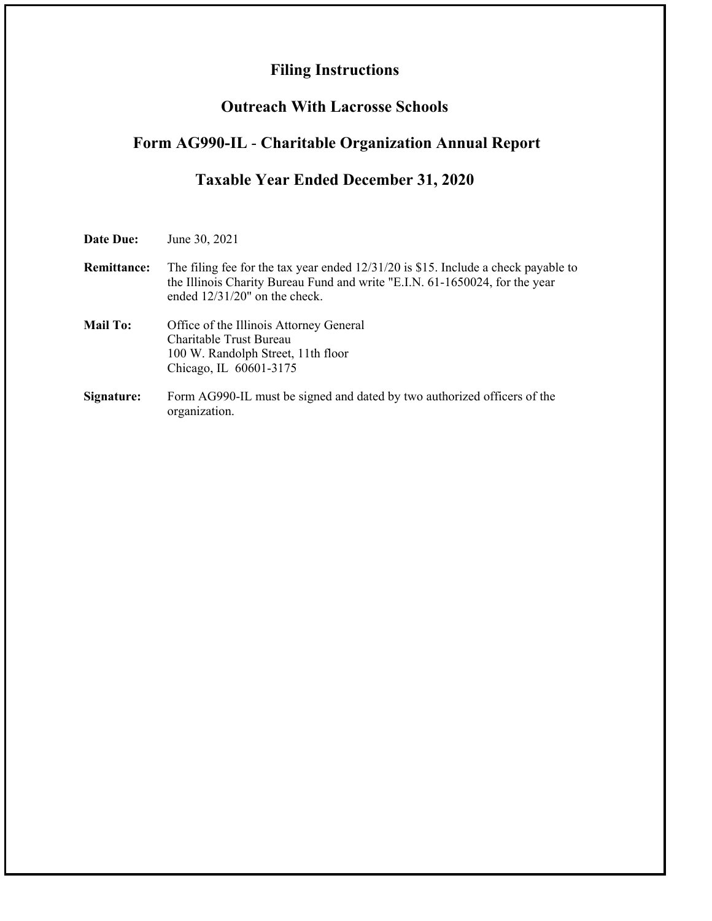## **Filing Instructions**

### **Outreach With Lacrosse Schools**

### **Form AG990-IL** - **Charitable Organization Annual Report**

## **Taxable Year Ended December 31, 2020**

| <b>Date Due:</b>   | June 30, 2021                                                                                                                                                                                           |
|--------------------|---------------------------------------------------------------------------------------------------------------------------------------------------------------------------------------------------------|
| <b>Remittance:</b> | The filing fee for the tax year ended $12/31/20$ is \$15. Include a check payable to<br>the Illinois Charity Bureau Fund and write "E.I.N. 61-1650024, for the year<br>ended $12/31/20$ " on the check. |
| <b>Mail To:</b>    | Office of the Illinois Attorney General<br>Charitable Trust Bureau<br>100 W. Randolph Street, 11th floor<br>Chicago, IL 60601-3175                                                                      |
| Signature:         | Form AG990-IL must be signed and dated by two authorized officers of the<br>organization.                                                                                                               |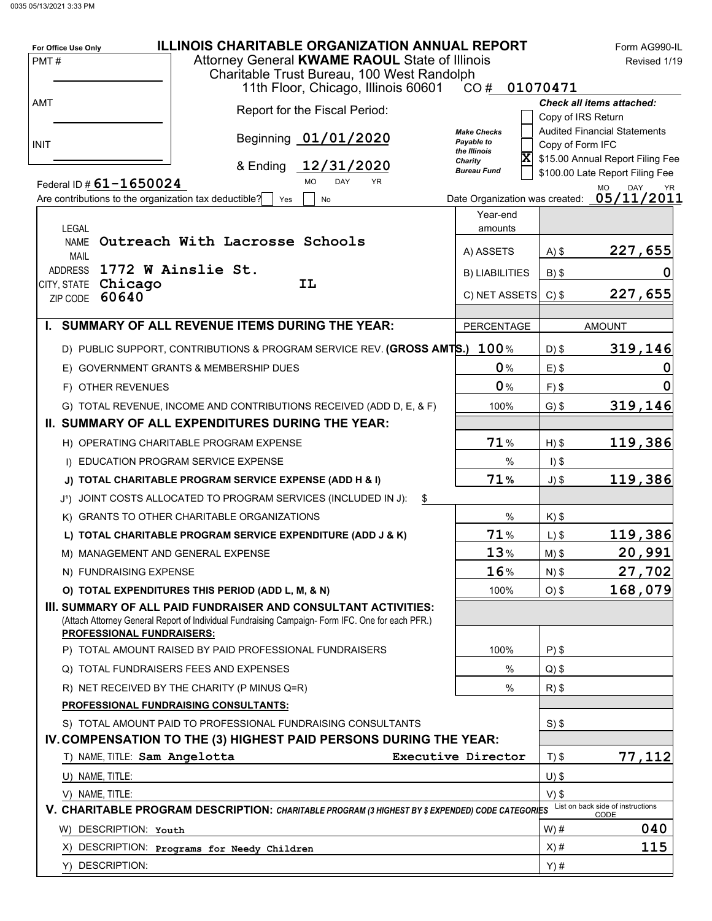| For Office Use Only<br>PMT#                                                                                         |                                                                                                                                                                                                 | <b>ILLINOIS CHARITABLE ORGANIZATION ANNUAL REPORT</b><br>Attorney General KWAME RAOUL State of Illinois<br>Charitable Trust Bureau, 100 West Randolph |                                                                                                                                                       |                                       |  |
|---------------------------------------------------------------------------------------------------------------------|-------------------------------------------------------------------------------------------------------------------------------------------------------------------------------------------------|-------------------------------------------------------------------------------------------------------------------------------------------------------|-------------------------------------------------------------------------------------------------------------------------------------------------------|---------------------------------------|--|
|                                                                                                                     | 11th Floor, Chicago, Illinois 60601                                                                                                                                                             | CO#                                                                                                                                                   | 01070471                                                                                                                                              |                                       |  |
| AMT<br><b>INIT</b>                                                                                                  | Report for the Fiscal Period:<br>Beginning 01/01/2020                                                                                                                                           | <b>Make Checks</b><br>Payable to                                                                                                                      | <b>Check all items attached:</b><br>Copy of IRS Return<br><b>Audited Financial Statements</b><br>Copy of Form IFC<br>\$15.00 Annual Report Filing Fee |                                       |  |
|                                                                                                                     |                                                                                                                                                                                                 | the Illinois<br>$ \mathbf{X} $<br>Charity                                                                                                             |                                                                                                                                                       |                                       |  |
|                                                                                                                     | 12/31/2020<br>& Ending<br><b>MO</b><br>DAY<br><b>YR</b>                                                                                                                                         | <b>Bureau Fund</b>                                                                                                                                    |                                                                                                                                                       | \$100.00 Late Report Filing Fee       |  |
| Federal ID # $61 - 1650024$                                                                                         | Are contributions to the organization tax deductible?<br>Yes<br>No                                                                                                                              | Date Organization was created:                                                                                                                        |                                                                                                                                                       | <b>MO</b><br>DAY<br>YR.<br>05/11/2011 |  |
|                                                                                                                     |                                                                                                                                                                                                 | Year-end                                                                                                                                              |                                                                                                                                                       |                                       |  |
| <b>LEGAL</b>                                                                                                        |                                                                                                                                                                                                 | amounts                                                                                                                                               |                                                                                                                                                       |                                       |  |
| <b>NAME</b><br><b>MAIL</b>                                                                                          | Outreach With Lacrosse Schools                                                                                                                                                                  | A) ASSETS                                                                                                                                             | $A)$ \$                                                                                                                                               | 227,655                               |  |
| <b>ADDRESS</b>                                                                                                      | 1772 W Ainslie St.                                                                                                                                                                              | <b>B) LIABILITIES</b>                                                                                                                                 | $B)$ \$                                                                                                                                               | O                                     |  |
| Chicago<br>CITY, STATE                                                                                              | IL                                                                                                                                                                                              |                                                                                                                                                       |                                                                                                                                                       |                                       |  |
| ZIP CODE 60640                                                                                                      |                                                                                                                                                                                                 | C) NET ASSETS                                                                                                                                         | $C$ ) \$                                                                                                                                              | 227,655                               |  |
|                                                                                                                     | I. SUMMARY OF ALL REVENUE ITEMS DURING THE YEAR:                                                                                                                                                | PERCENTAGE                                                                                                                                            |                                                                                                                                                       | <b>AMOUNT</b>                         |  |
|                                                                                                                     | D) PUBLIC SUPPORT, CONTRIBUTIONS & PROGRAM SERVICE REV. (GROSS AMTS.) 100%                                                                                                                      |                                                                                                                                                       | $D)$ \$                                                                                                                                               | 319,146                               |  |
|                                                                                                                     | E) GOVERNMENT GRANTS & MEMBERSHIP DUES                                                                                                                                                          | 0%                                                                                                                                                    | $E)$ \$                                                                                                                                               | 0                                     |  |
| F) OTHER REVENUES                                                                                                   |                                                                                                                                                                                                 | 0%                                                                                                                                                    | $F$ ) \$                                                                                                                                              | 0                                     |  |
|                                                                                                                     | G) TOTAL REVENUE, INCOME AND CONTRIBUTIONS RECEIVED (ADD D, E, & F)                                                                                                                             | 100%                                                                                                                                                  | $G$ ) \$                                                                                                                                              | 319,146                               |  |
|                                                                                                                     | II. SUMMARY OF ALL EXPENDITURES DURING THE YEAR:                                                                                                                                                |                                                                                                                                                       |                                                                                                                                                       |                                       |  |
|                                                                                                                     | H) OPERATING CHARITABLE PROGRAM EXPENSE                                                                                                                                                         | 71%                                                                                                                                                   | $H)$ \$                                                                                                                                               | 119,386                               |  |
|                                                                                                                     | I) EDUCATION PROGRAM SERVICE EXPENSE                                                                                                                                                            | %                                                                                                                                                     | $I)$ \$                                                                                                                                               |                                       |  |
|                                                                                                                     | J) TOTAL CHARITABLE PROGRAM SERVICE EXPENSE (ADD H & I)                                                                                                                                         | 71%                                                                                                                                                   | $J)$ \$                                                                                                                                               | 119,386                               |  |
|                                                                                                                     | J1) JOINT COSTS ALLOCATED TO PROGRAM SERVICES (INCLUDED IN J):<br>\$                                                                                                                            |                                                                                                                                                       |                                                                                                                                                       |                                       |  |
|                                                                                                                     | K) GRANTS TO OTHER CHARITABLE ORGANIZATIONS                                                                                                                                                     | %                                                                                                                                                     | $K$ ) \$                                                                                                                                              |                                       |  |
|                                                                                                                     | L) TOTAL CHARITABLE PROGRAM SERVICE EXPENDITURE (ADD J & K)                                                                                                                                     | 71%                                                                                                                                                   | $L)$ \$                                                                                                                                               | 119,386                               |  |
|                                                                                                                     | M) MANAGEMENT AND GENERAL EXPENSE                                                                                                                                                               | 13%                                                                                                                                                   | $M$ ) \$                                                                                                                                              | 20,991                                |  |
| N) FUNDRAISING EXPENSE                                                                                              |                                                                                                                                                                                                 | 16%                                                                                                                                                   | $N)$ \$                                                                                                                                               | 27,702                                |  |
|                                                                                                                     | O) TOTAL EXPENDITURES THIS PERIOD (ADD L, M, & N)                                                                                                                                               | 100%                                                                                                                                                  | $O$ ) \$                                                                                                                                              | 168,079                               |  |
|                                                                                                                     | III. SUMMARY OF ALL PAID FUNDRAISER AND CONSULTANT ACTIVITIES:<br>(Attach Attorney General Report of Individual Fundraising Campaign- Form IFC. One for each PFR.)<br>PROFESSIONAL FUNDRAISERS: |                                                                                                                                                       |                                                                                                                                                       |                                       |  |
|                                                                                                                     | P) TOTAL AMOUNT RAISED BY PAID PROFESSIONAL FUNDRAISERS                                                                                                                                         | 100%                                                                                                                                                  | $P$ ) \$                                                                                                                                              |                                       |  |
|                                                                                                                     | Q) TOTAL FUNDRAISERS FEES AND EXPENSES                                                                                                                                                          | %                                                                                                                                                     | $Q$ ) \$                                                                                                                                              |                                       |  |
|                                                                                                                     | R) NET RECEIVED BY THE CHARITY (P MINUS Q=R)                                                                                                                                                    | %                                                                                                                                                     | $R$ ) \$                                                                                                                                              |                                       |  |
|                                                                                                                     | <b>PROFESSIONAL FUNDRAISING CONSULTANTS:</b>                                                                                                                                                    |                                                                                                                                                       |                                                                                                                                                       |                                       |  |
|                                                                                                                     | S) TOTAL AMOUNT PAID TO PROFESSIONAL FUNDRAISING CONSULTANTS                                                                                                                                    |                                                                                                                                                       | $S)$ \$                                                                                                                                               |                                       |  |
| IV. COMPENSATION TO THE (3) HIGHEST PAID PERSONS DURING THE YEAR:                                                   |                                                                                                                                                                                                 |                                                                                                                                                       |                                                                                                                                                       |                                       |  |
|                                                                                                                     | T) NAME, TITLE: Sam Angelotta                                                                                                                                                                   | Executive Director                                                                                                                                    | $T$ ) \$                                                                                                                                              | 77,112                                |  |
| U) NAME, TITLE:                                                                                                     | $U$ ) \$<br>$V)$ \$                                                                                                                                                                             |                                                                                                                                                       |                                                                                                                                                       |                                       |  |
| V) NAME, TITLE:<br>V. CHARITABLE PROGRAM DESCRIPTION: CHARITABLE PROGRAM (3 HIGHEST BY \$ EXPENDED) CODE CATEGORIES |                                                                                                                                                                                                 |                                                                                                                                                       |                                                                                                                                                       | List on back side of instructions     |  |
| W) DESCRIPTION: Youth                                                                                               |                                                                                                                                                                                                 |                                                                                                                                                       | $W)$ #                                                                                                                                                | CODE<br>040                           |  |
|                                                                                                                     | X) DESCRIPTION: Programs for Needy Children                                                                                                                                                     |                                                                                                                                                       | $X)$ #                                                                                                                                                | 115                                   |  |
| Y) DESCRIPTION:                                                                                                     |                                                                                                                                                                                                 |                                                                                                                                                       | $Y)$ #                                                                                                                                                |                                       |  |
|                                                                                                                     |                                                                                                                                                                                                 |                                                                                                                                                       |                                                                                                                                                       |                                       |  |